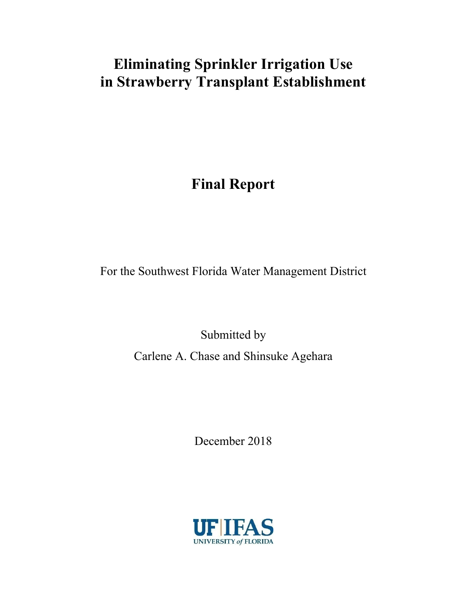# **Eliminating Sprinkler Irrigation Use in Strawberry Transplant Establishment**

# **Final Report**

For the Southwest Florida Water Management District

Submitted by Carlene A. Chase and Shinsuke Agehara

December 2018

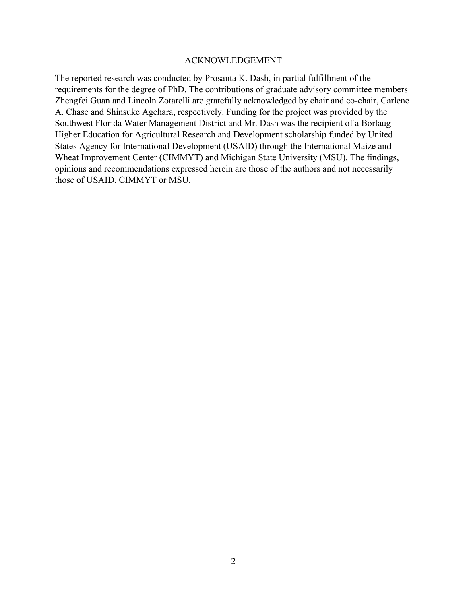#### ACKNOWLEDGEMENT

The reported research was conducted by Prosanta K. Dash, in partial fulfillment of the requirements for the degree of PhD. The contributions of graduate advisory committee members Zhengfei Guan and Lincoln Zotarelli are gratefully acknowledged by chair and co-chair, Carlene A. Chase and Shinsuke Agehara, respectively. Funding for the project was provided by the Southwest Florida Water Management District and Mr. Dash was the recipient of a Borlaug Higher Education for Agricultural Research and Development scholarship funded by United States Agency for International Development (USAID) through the International Maize and Wheat Improvement Center (CIMMYT) and Michigan State University (MSU). The findings, opinions and recommendations expressed herein are those of the authors and not necessarily those of USAID, CIMMYT or MSU.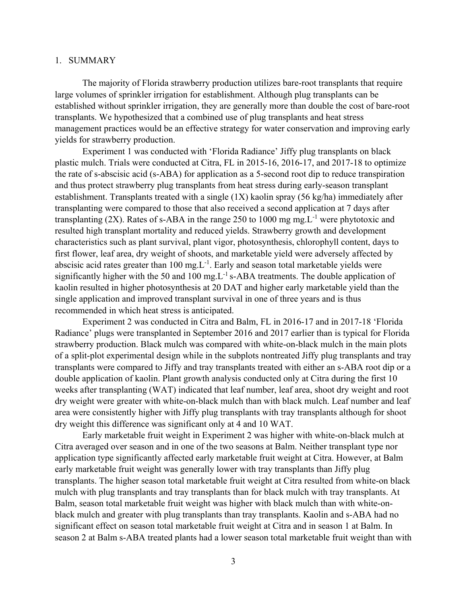#### 1. SUMMARY

The majority of Florida strawberry production utilizes bare-root transplants that require large volumes of sprinkler irrigation for establishment. Although plug transplants can be established without sprinkler irrigation, they are generally more than double the cost of bare-root transplants. We hypothesized that a combined use of plug transplants and heat stress management practices would be an effective strategy for water conservation and improving early yields for strawberry production.

Experiment 1 was conducted with 'Florida Radiance' Jiffy plug transplants on black plastic mulch. Trials were conducted at Citra, FL in 2015-16, 2016-17, and 2017-18 to optimize the rate of s-abscisic acid (s-ABA) for application as a 5-second root dip to reduce transpiration and thus protect strawberry plug transplants from heat stress during early-season transplant establishment. Transplants treated with a single (1X) kaolin spray (56 kg/ha) immediately after transplanting were compared to those that also received a second application at 7 days after transplanting (2X). Rates of s-ABA in the range 250 to 1000 mg mg. $L^{-1}$  were phytotoxic and resulted high transplant mortality and reduced yields. Strawberry growth and development characteristics such as plant survival, plant vigor, photosynthesis, chlorophyll content, days to first flower, leaf area, dry weight of shoots, and marketable yield were adversely affected by abscisic acid rates greater than  $100 \text{ mg}$ . Early and season total marketable yields were significantly higher with the 50 and 100 mg. $L^{-1}$  s-ABA treatments. The double application of kaolin resulted in higher photosynthesis at 20 DAT and higher early marketable yield than the single application and improved transplant survival in one of three years and is thus recommended in which heat stress is anticipated.

Experiment 2 was conducted in Citra and Balm, FL in 2016-17 and in 2017-18 'Florida Radiance' plugs were transplanted in September 2016 and 2017 earlier than is typical for Florida strawberry production. Black mulch was compared with white-on-black mulch in the main plots of a split-plot experimental design while in the subplots nontreated Jiffy plug transplants and tray transplants were compared to Jiffy and tray transplants treated with either an s-ABA root dip or a double application of kaolin. Plant growth analysis conducted only at Citra during the first 10 weeks after transplanting (WAT) indicated that leaf number, leaf area, shoot dry weight and root dry weight were greater with white-on-black mulch than with black mulch. Leaf number and leaf area were consistently higher with Jiffy plug transplants with tray transplants although for shoot dry weight this difference was significant only at 4 and 10 WAT.

Early marketable fruit weight in Experiment 2 was higher with white-on-black mulch at Citra averaged over season and in one of the two seasons at Balm. Neither transplant type nor application type significantly affected early marketable fruit weight at Citra. However, at Balm early marketable fruit weight was generally lower with tray transplants than Jiffy plug transplants. The higher season total marketable fruit weight at Citra resulted from white-on black mulch with plug transplants and tray transplants than for black mulch with tray transplants. At Balm, season total marketable fruit weight was higher with black mulch than with white-onblack mulch and greater with plug transplants than tray transplants. Kaolin and s-ABA had no significant effect on season total marketable fruit weight at Citra and in season 1 at Balm. In season 2 at Balm s-ABA treated plants had a lower season total marketable fruit weight than with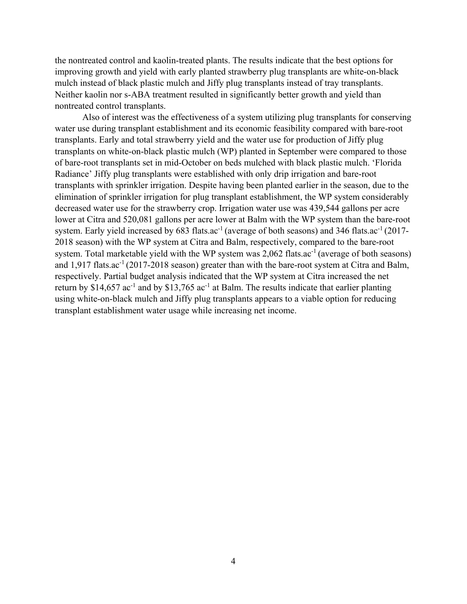the nontreated control and kaolin-treated plants. The results indicate that the best options for improving growth and yield with early planted strawberry plug transplants are white-on-black mulch instead of black plastic mulch and Jiffy plug transplants instead of tray transplants. Neither kaolin nor s-ABA treatment resulted in significantly better growth and yield than nontreated control transplants.

Also of interest was the effectiveness of a system utilizing plug transplants for conserving water use during transplant establishment and its economic feasibility compared with bare-root transplants. Early and total strawberry yield and the water use for production of Jiffy plug transplants on white-on-black plastic mulch (WP) planted in September were compared to those of bare-root transplants set in mid-October on beds mulched with black plastic mulch. 'Florida Radiance' Jiffy plug transplants were established with only drip irrigation and bare-root transplants with sprinkler irrigation. Despite having been planted earlier in the season, due to the elimination of sprinkler irrigation for plug transplant establishment, the WP system considerably decreased water use for the strawberry crop. Irrigation water use was 439,544 gallons per acre lower at Citra and 520,081 gallons per acre lower at Balm with the WP system than the bare-root system. Early yield increased by  $683$  flats.ac<sup>-1</sup> (average of both seasons) and  $346$  flats.ac<sup>-1</sup> (2017-2018 season) with the WP system at Citra and Balm, respectively, compared to the bare-root system. Total marketable yield with the WP system was 2,062 flats.ac<sup>-1</sup> (average of both seasons) and 1,917 flats.ac<sup>-1</sup> (2017-2018 season) greater than with the bare-root system at Citra and Balm, respectively. Partial budget analysis indicated that the WP system at Citra increased the net return by \$14,657 ac<sup>-1</sup> and by \$13,765 ac<sup>-1</sup> at Balm. The results indicate that earlier planting using white-on-black mulch and Jiffy plug transplants appears to a viable option for reducing transplant establishment water usage while increasing net income.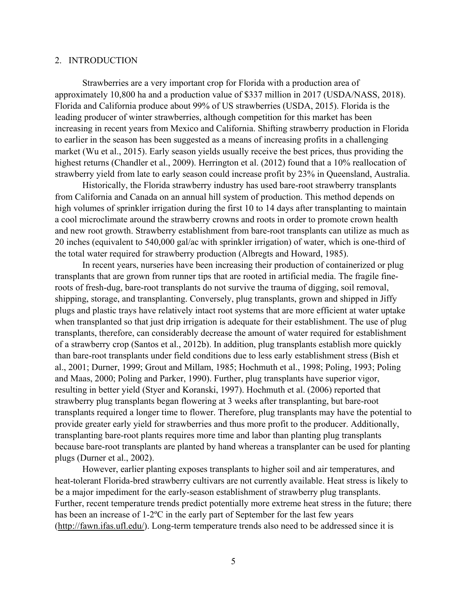#### 2. INTRODUCTION

Strawberries are a very important crop for Florida with a production area of approximately 10,800 ha and a production value of \$337 million in 2017 (USDA/NASS, 2018). Florida and California produce about 99% of US strawberries (USDA, 2015). Florida is the leading producer of winter strawberries, although competition for this market has been increasing in recent years from Mexico and California. Shifting strawberry production in Florida to earlier in the season has been suggested as a means of increasing profits in a challenging market (Wu et al., 2015). Early season yields usually receive the best prices, thus providing the highest returns (Chandler et al., 2009). Herrington et al. (2012) found that a 10% reallocation of strawberry yield from late to early season could increase profit by 23% in Queensland, Australia.

Historically, the Florida strawberry industry has used bare-root strawberry transplants from California and Canada on an annual hill system of production. This method depends on high volumes of sprinkler irrigation during the first 10 to 14 days after transplanting to maintain a cool microclimate around the strawberry crowns and roots in order to promote crown health and new root growth. Strawberry establishment from bare-root transplants can utilize as much as 20 inches (equivalent to 540,000 gal/ac with sprinkler irrigation) of water, which is one-third of the total water required for strawberry production (Albregts and Howard, 1985).

In recent years, nurseries have been increasing their production of containerized or plug transplants that are grown from runner tips that are rooted in artificial media. The fragile fineroots of fresh-dug, bare-root transplants do not survive the trauma of digging, soil removal, shipping, storage, and transplanting. Conversely, plug transplants, grown and shipped in Jiffy plugs and plastic trays have relatively intact root systems that are more efficient at water uptake when transplanted so that just drip irrigation is adequate for their establishment. The use of plug transplants, therefore, can considerably decrease the amount of water required for establishment of a strawberry crop (Santos et al., 2012b). In addition, plug transplants establish more quickly than bare-root transplants under field conditions due to less early establishment stress (Bish et al., 2001; Durner, 1999; Grout and Millam, 1985; Hochmuth et al., 1998; Poling, 1993; Poling and Maas, 2000; Poling and Parker, 1990). Further, plug transplants have superior vigor, resulting in better yield (Styer and Koranski, 1997). Hochmuth et al. (2006) reported that strawberry plug transplants began flowering at 3 weeks after transplanting, but bare-root transplants required a longer time to flower. Therefore, plug transplants may have the potential to provide greater early yield for strawberries and thus more profit to the producer. Additionally, transplanting bare-root plants requires more time and labor than planting plug transplants because bare-root transplants are planted by hand whereas a transplanter can be used for planting plugs (Durner et al., 2002).

However, earlier planting exposes transplants to higher soil and air temperatures, and heat-tolerant Florida-bred strawberry cultivars are not currently available. Heat stress is likely to be a major impediment for the early-season establishment of strawberry plug transplants. Further, recent temperature trends predict potentially more extreme heat stress in the future; there has been an increase of 1-2ºC in the early part of September for the last few years (http://fawn.ifas.ufl.edu/). Long-term temperature trends also need to be addressed since it is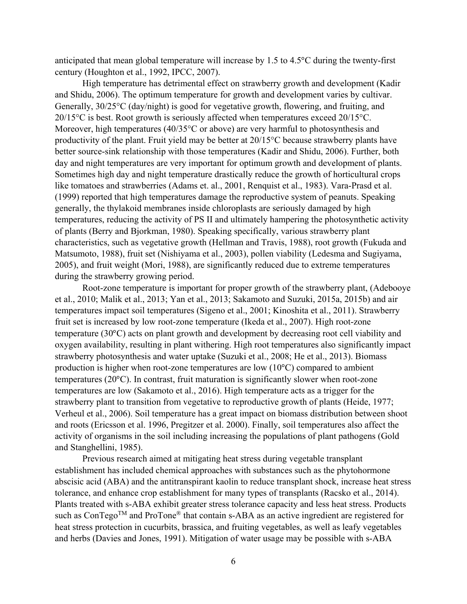anticipated that mean global temperature will increase by 1.5 to 4.5°C during the twenty-first century (Houghton et al., 1992, IPCC, 2007).

High temperature has detrimental effect on strawberry growth and development (Kadir and Shidu, 2006). The optimum temperature for growth and development varies by cultivar. Generally, 30/25°C (day/night) is good for vegetative growth, flowering, and fruiting, and 20/15°C is best. Root growth is seriously affected when temperatures exceed 20/15°C. Moreover, high temperatures (40/35°C or above) are very harmful to photosynthesis and productivity of the plant. Fruit yield may be better at 20/15°C because strawberry plants have better source-sink relationship with those temperatures (Kadir and Shidu, 2006). Further, both day and night temperatures are very important for optimum growth and development of plants. Sometimes high day and night temperature drastically reduce the growth of horticultural crops like tomatoes and strawberries (Adams et. al., 2001, Renquist et al., 1983). Vara-Prasd et al. (1999) reported that high temperatures damage the reproductive system of peanuts. Speaking generally, the thylakoid membranes inside chloroplasts are seriously damaged by high temperatures, reducing the activity of PS II and ultimately hampering the photosynthetic activity of plants (Berry and Bjorkman, 1980). Speaking specifically, various strawberry plant characteristics, such as vegetative growth (Hellman and Travis, 1988), root growth (Fukuda and Matsumoto, 1988), fruit set (Nishiyama et al., 2003), pollen viability (Ledesma and Sugiyama, 2005), and fruit weight (Mori, 1988), are significantly reduced due to extreme temperatures during the strawberry growing period.

Root-zone temperature is important for proper growth of the strawberry plant, (Adebooye et al., 2010; Malik et al., 2013; Yan et al., 2013; Sakamoto and Suzuki, 2015a, 2015b) and air temperatures impact soil temperatures (Sigeno et al., 2001; Kinoshita et al., 2011). Strawberry fruit set is increased by low root-zone temperature (Ikeda et al., 2007). High root-zone temperature (30°C) acts on plant growth and development by decreasing root cell viability and oxygen availability, resulting in plant withering. High root temperatures also significantly impact strawberry photosynthesis and water uptake (Suzuki et al., 2008; He et al., 2013). Biomass production is higher when root-zone temperatures are low (10°C) compared to ambient temperatures (20°C). In contrast, fruit maturation is significantly slower when root-zone temperatures are low (Sakamoto et al., 2016). High temperature acts as a trigger for the strawberry plant to transition from vegetative to reproductive growth of plants (Heide, 1977; Verheul et al., 2006). Soil temperature has a great impact on biomass distribution between shoot and roots (Ericsson et al. 1996, Pregitzer et al. 2000). Finally, soil temperatures also affect the activity of organisms in the soil including increasing the populations of plant pathogens (Gold and Stanghellini, 1985).

Previous research aimed at mitigating heat stress during vegetable transplant establishment has included chemical approaches with substances such as the phytohormone abscisic acid (ABA) and the antitranspirant kaolin to reduce transplant shock, increase heat stress tolerance, and enhance crop establishment for many types of transplants (Racsko et al., 2014). Plants treated with s-ABA exhibit greater stress tolerance capacity and less heat stress. Products such as ConTego<sup>TM</sup> and ProTone<sup>®</sup> that contain s-ABA as an active ingredient are registered for heat stress protection in cucurbits, brassica, and fruiting vegetables, as well as leafy vegetables and herbs (Davies and Jones, 1991). Mitigation of water usage may be possible with s-ABA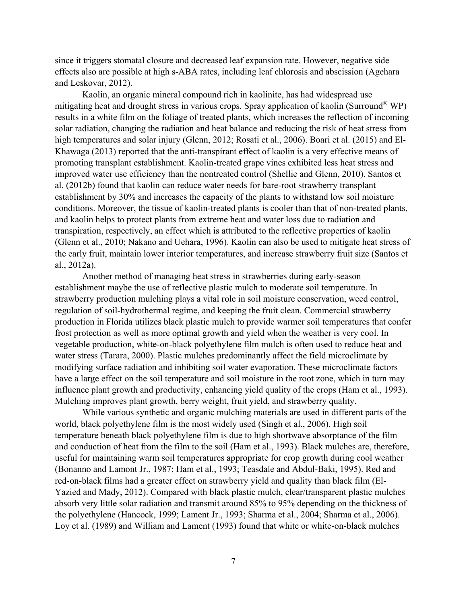since it triggers stomatal closure and decreased leaf expansion rate. However, negative side effects also are possible at high s-ABA rates, including leaf chlorosis and abscission (Agehara and Leskovar, 2012).

Kaolin, an organic mineral compound rich in kaolinite, has had widespread use mitigating heat and drought stress in various crops. Spray application of kaolin (Surround® WP) results in a white film on the foliage of treated plants, which increases the reflection of incoming solar radiation, changing the radiation and heat balance and reducing the risk of heat stress from high temperatures and solar injury (Glenn, 2012; Rosati et al., 2006). Boari et al. (2015) and El-Khawaga (2013) reported that the anti-transpirant effect of kaolin is a very effective means of promoting transplant establishment. Kaolin-treated grape vines exhibited less heat stress and improved water use efficiency than the nontreated control (Shellie and Glenn, 2010). Santos et al. (2012b) found that kaolin can reduce water needs for bare-root strawberry transplant establishment by 30% and increases the capacity of the plants to withstand low soil moisture conditions. Moreover, the tissue of kaolin-treated plants is cooler than that of non-treated plants, and kaolin helps to protect plants from extreme heat and water loss due to radiation and transpiration, respectively, an effect which is attributed to the reflective properties of kaolin (Glenn et al., 2010; Nakano and Uehara, 1996). Kaolin can also be used to mitigate heat stress of the early fruit, maintain lower interior temperatures, and increase strawberry fruit size (Santos et al., 2012a).

Another method of managing heat stress in strawberries during early-season establishment maybe the use of reflective plastic mulch to moderate soil temperature. In strawberry production mulching plays a vital role in soil moisture conservation, weed control, regulation of soil-hydrothermal regime, and keeping the fruit clean. Commercial strawberry production in Florida utilizes black plastic mulch to provide warmer soil temperatures that confer frost protection as well as more optimal growth and yield when the weather is very cool. In vegetable production, white-on-black polyethylene film mulch is often used to reduce heat and water stress (Tarara, 2000). Plastic mulches predominantly affect the field microclimate by modifying surface radiation and inhibiting soil water evaporation. These microclimate factors have a large effect on the soil temperature and soil moisture in the root zone, which in turn may influence plant growth and productivity, enhancing yield quality of the crops (Ham et al., 1993). Mulching improves plant growth, berry weight, fruit yield, and strawberry quality.

While various synthetic and organic mulching materials are used in different parts of the world, black polyethylene film is the most widely used (Singh et al., 2006). High soil temperature beneath black polyethylene film is due to high shortwave absorptance of the film and conduction of heat from the film to the soil (Ham et al., 1993). Black mulches are, therefore, useful for maintaining warm soil temperatures appropriate for crop growth during cool weather (Bonanno and Lamont Jr., 1987; Ham et al., 1993; Teasdale and Abdul-Baki, 1995). Red and red-on-black films had a greater effect on strawberry yield and quality than black film (El-Yazied and Mady, 2012). Compared with black plastic mulch, clear/transparent plastic mulches absorb very little solar radiation and transmit around 85% to 95% depending on the thickness of the polyethylene (Hancock, 1999; Lament Jr., 1993; Sharma et al., 2004; Sharma et al., 2006). Loy et al. (1989) and William and Lament (1993) found that white or white-on-black mulches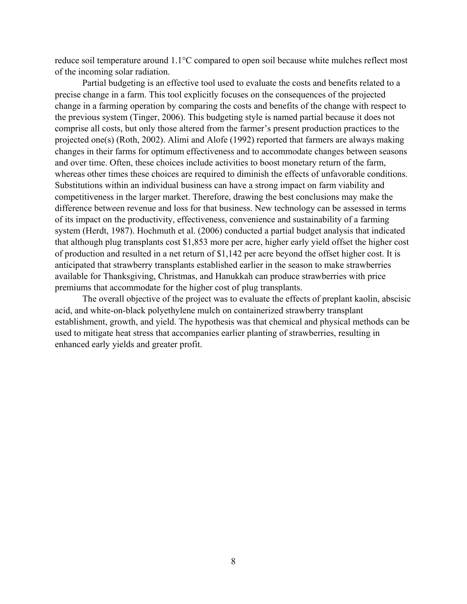reduce soil temperature around 1.1°C compared to open soil because white mulches reflect most of the incoming solar radiation.

Partial budgeting is an effective tool used to evaluate the costs and benefits related to a precise change in a farm. This tool explicitly focuses on the consequences of the projected change in a farming operation by comparing the costs and benefits of the change with respect to the previous system (Tinger, 2006). This budgeting style is named partial because it does not comprise all costs, but only those altered from the farmer's present production practices to the projected one(s) (Roth, 2002). Alimi and Alofe (1992) reported that farmers are always making changes in their farms for optimum effectiveness and to accommodate changes between seasons and over time. Often, these choices include activities to boost monetary return of the farm, whereas other times these choices are required to diminish the effects of unfavorable conditions. Substitutions within an individual business can have a strong impact on farm viability and competitiveness in the larger market. Therefore, drawing the best conclusions may make the difference between revenue and loss for that business. New technology can be assessed in terms of its impact on the productivity, effectiveness, convenience and sustainability of a farming system (Herdt, 1987). Hochmuth et al. (2006) conducted a partial budget analysis that indicated that although plug transplants cost \$1,853 more per acre, higher early yield offset the higher cost of production and resulted in a net return of \$1,142 per acre beyond the offset higher cost. It is anticipated that strawberry transplants established earlier in the season to make strawberries available for Thanksgiving, Christmas, and Hanukkah can produce strawberries with price premiums that accommodate for the higher cost of plug transplants.

The overall objective of the project was to evaluate the effects of preplant kaolin, abscisic acid, and white-on-black polyethylene mulch on containerized strawberry transplant establishment, growth, and yield. The hypothesis was that chemical and physical methods can be used to mitigate heat stress that accompanies earlier planting of strawberries, resulting in enhanced early yields and greater profit.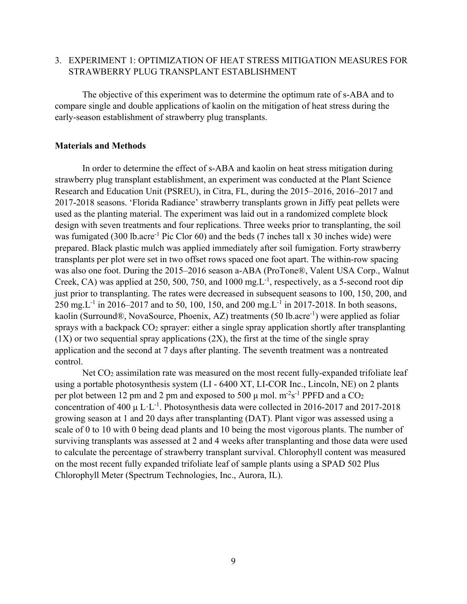## 3. EXPERIMENT 1: OPTIMIZATION OF HEAT STRESS MITIGATION MEASURES FOR STRAWBERRY PLUG TRANSPLANT ESTABLISHMENT

The objective of this experiment was to determine the optimum rate of s-ABA and to compare single and double applications of kaolin on the mitigation of heat stress during the early-season establishment of strawberry plug transplants.

#### **Materials and Methods**

In order to determine the effect of s-ABA and kaolin on heat stress mitigation during strawberry plug transplant establishment, an experiment was conducted at the Plant Science Research and Education Unit (PSREU), in Citra, FL, during the 2015–2016, 2016–2017 and 2017-2018 seasons. 'Florida Radiance' strawberry transplants grown in Jiffy peat pellets were used as the planting material. The experiment was laid out in a randomized complete block design with seven treatments and four replications. Three weeks prior to transplanting, the soil was fumigated (300 lb.acre<sup>-1</sup> Pic Clor 60) and the beds (7 inches tall x 30 inches wide) were prepared. Black plastic mulch was applied immediately after soil fumigation. Forty strawberry transplants per plot were set in two offset rows spaced one foot apart. The within-row spacing was also one foot. During the 2015–2016 season a-ABA (ProTone®, Valent USA Corp., Walnut Creek, CA) was applied at 250, 500, 750, and 1000 mg.L-1, respectively, as a 5-second root dip just prior to transplanting. The rates were decreased in subsequent seasons to 100, 150, 200, and 250 mg. L<sup>-1</sup> in 2016–2017 and to 50, 100, 150, and 200 mg. L<sup>-1</sup> in 2017-2018. In both seasons, kaolin (Surround®, NovaSource, Phoenix, AZ) treatments (50 lb.acre<sup>-1</sup>) were applied as foliar sprays with a backpack  $CO<sub>2</sub>$  sprayer: either a single spray application shortly after transplanting  $(1X)$  or two sequential spray applications  $(2X)$ , the first at the time of the single spray application and the second at 7 days after planting. The seventh treatment was a nontreated control.

Net CO<sub>2</sub> assimilation rate was measured on the most recent fully-expanded trifoliate leaf using a portable photosynthesis system (LI - 6400 XT, LI-COR Inc., Lincoln, NE) on 2 plants per plot between 12 pm and 2 pm and exposed to 500  $\mu$  mol. m<sup>-2</sup>s<sup>-1</sup> PPFD and a CO<sub>2</sub> concentration of 400  $\mu$  L·L<sup>-1</sup>. Photosynthesis data were collected in 2016-2017 and 2017-2018 growing season at 1 and 20 days after transplanting (DAT). Plant vigor was assessed using a scale of 0 to 10 with 0 being dead plants and 10 being the most vigorous plants. The number of surviving transplants was assessed at 2 and 4 weeks after transplanting and those data were used to calculate the percentage of strawberry transplant survival. Chlorophyll content was measured on the most recent fully expanded trifoliate leaf of sample plants using a SPAD 502 Plus Chlorophyll Meter (Spectrum Technologies, Inc., Aurora, IL).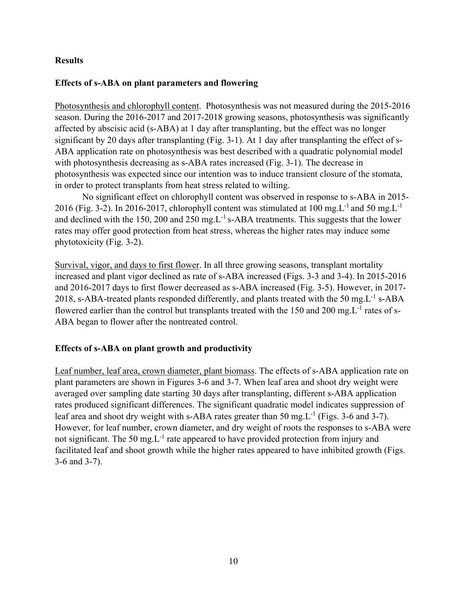## **Results**

# **Effects of s-ABA on plant parameters and flowering**

Photosynthesis and chlorophyll content.Photosynthesis was not measured during the 2015-2016 season. During the 2016-2017 and 2017-2018 growing seasons, photosynthesis was significantly affected by abscisic acid (s-ABA) at 1 day after transplanting, but the effect was no longer significant by 20 days after transplanting (Fig. 3-1). At 1 day after transplanting the effect of s-ABA application rate on photosynthesis was best described with a quadratic polynomial model with photosynthesis decreasing as s-ABA rates increased (Fig. 3-1). The decrease in photosynthesis was expected since our intention was to induce transient closure of the stomata, in order to protect transplants from heat stress related to wilting.

No significant effect on chlorophyll content was observed in response to s-ABA in 2015- 2016 (Fig. 3-2). In 2016-2017, chlorophyll content was stimulated at 100 mg.L<sup>-1</sup> and 50 mg.L<sup>-1</sup> and declined with the 150, 200 and 250 mg.  $L^{-1}$  s-ABA treatments. This suggests that the lower rates may offer good protection from heat stress, whereas the higher rates may induce some phytotoxicity (Fig. 3-2).

Survival, vigor, and days to first flower. In all three growing seasons, transplant mortality increased and plant vigor declined as rate of s-ABA increased (Figs. 3-3 and 3-4). In 2015-2016 and 2016-2017 days to first flower decreased as s-ABA increased (Fig. 3-5). However, in 2017- 2018, s-ABA-treated plants responded differently, and plants treated with the 50 mg. $L^{-1}$  s-ABA flowered earlier than the control but transplants treated with the 150 and 200 mg. $L^{-1}$  rates of s-ABA began to flower after the nontreated control.

# **Effects of s-ABA on plant growth and productivity**

Leaf number, leaf area, crown diameter, plant biomass. The effects of s-ABA application rate on plant parameters are shown in Figures 3-6 and 3-7. When leaf area and shoot dry weight were averaged over sampling date starting 30 days after transplanting, different s-ABA application rates produced significant differences. The significant quadratic model indicates suppression of leaf area and shoot dry weight with s-ABA rates greater than 50 mg. $L^{-1}$  (Figs. 3-6 and 3-7). However, for leaf number, crown diameter, and dry weight of roots the responses to s-ABA were not significant. The 50 mg. $L^{-1}$  rate appeared to have provided protection from injury and facilitated leaf and shoot growth while the higher rates appeared to have inhibited growth (Figs. 3-6 and 3-7).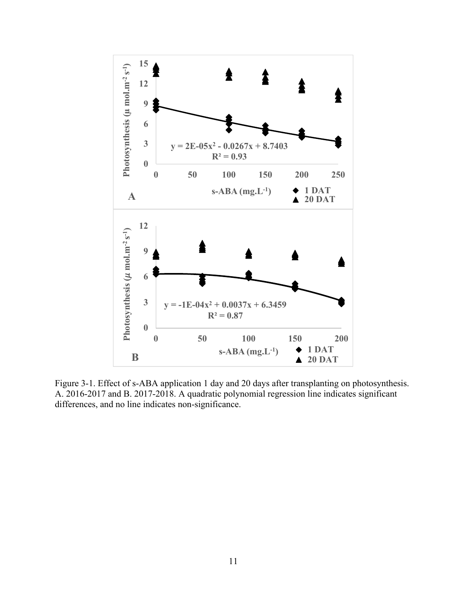

Figure 3-1. Effect of s-ABA application 1 day and 20 days after transplanting on photosynthesis. A. 2016-2017 and B. 2017-2018. A quadratic polynomial regression line indicates significant differences, and no line indicates non-significance.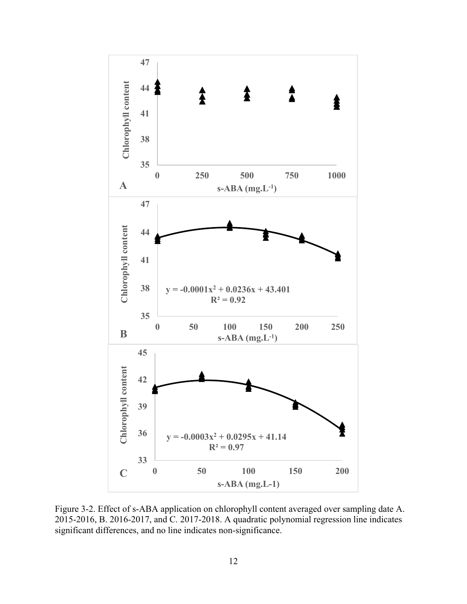

Figure 3-2. Effect of s-ABA application on chlorophyll content averaged over sampling date A. 2015-2016, B. 2016-2017, and C. 2017-2018. A quadratic polynomial regression line indicates significant differences, and no line indicates non-significance.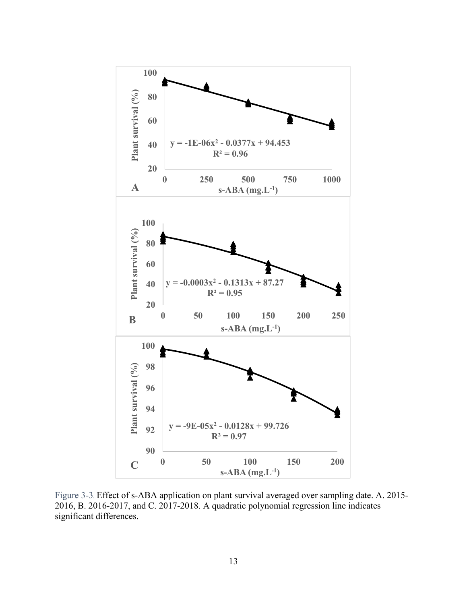

Figure 3-3*.* Effect of s-ABA application on plant survival averaged over sampling date. A. 2015- 2016, B. 2016-2017, and C. 2017-2018. A quadratic polynomial regression line indicates significant differences.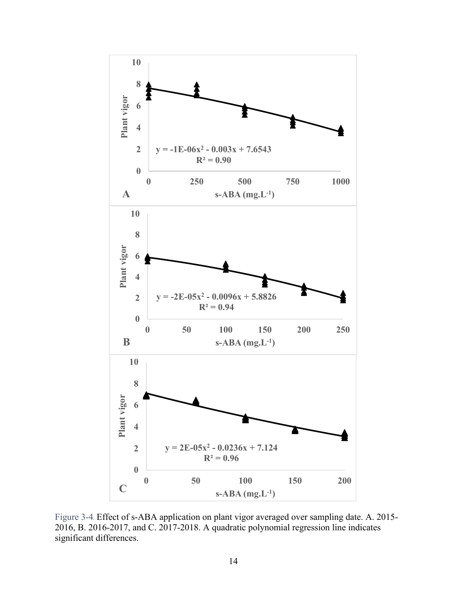

Figure 3-4*.* Effect of s-ABA application on plant vigor averaged over sampling date. A. 2015- 2016, B. 2016-2017, and C. 2017-2018. A quadratic polynomial regression line indicates significant differences.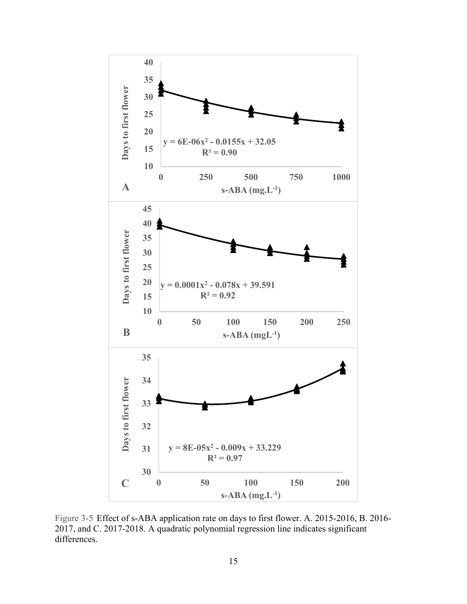

Figure 3-5*.* Effect of s-ABA application rate on days to first flower. A. 2015-2016, B. 2016- 2017, and C. 2017-2018. A quadratic polynomial regression line indicates significant differences.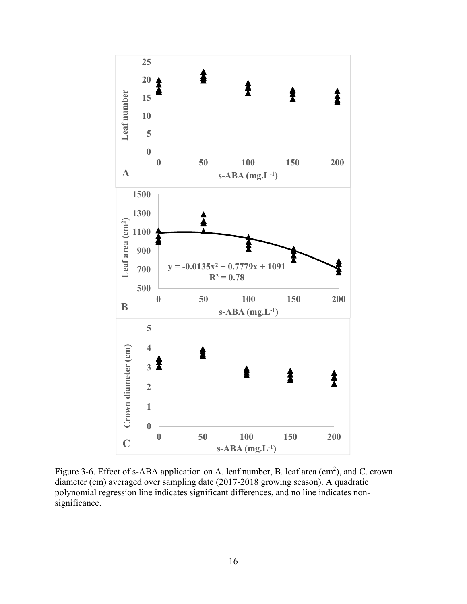

Figure 3-6. Effect of s-ABA application on A. leaf number, B. leaf area  $(cm<sup>2</sup>)$ , and C. crown diameter (cm) averaged over sampling date (2017-2018 growing season). A quadratic polynomial regression line indicates significant differences, and no line indicates nonsignificance.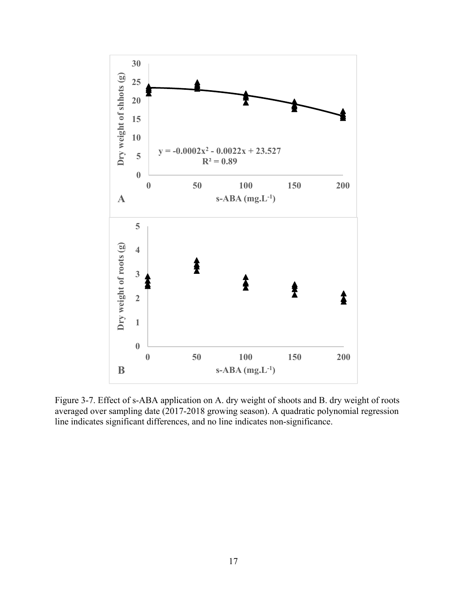

Figure 3-7. Effect of s-ABA application on A. dry weight of shoots and B. dry weight of roots averaged over sampling date (2017-2018 growing season). A quadratic polynomial regression line indicates significant differences, and no line indicates non-significance.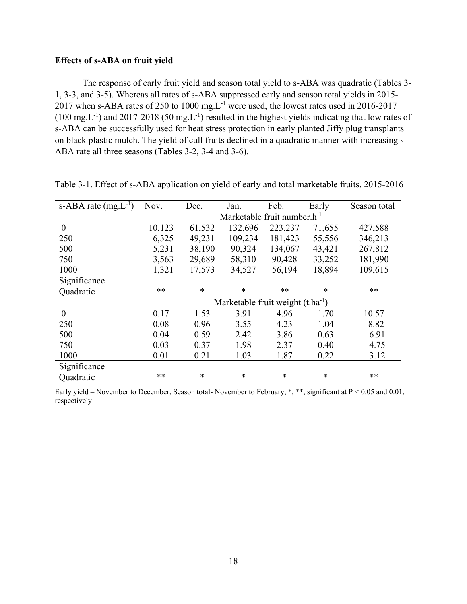## **Effects of s-ABA on fruit yield**

The response of early fruit yield and season total yield to s-ABA was quadratic (Tables 3- 1, 3-3, and 3-5). Whereas all rates of s-ABA suppressed early and season total yields in 2015- 2017 when s-ABA rates of 250 to 1000 mg.  $L^{-1}$  were used, the lowest rates used in 2016-2017  $(100 \text{ mg} \cdot \text{L}^{-1})$  and 2017-2018 (50 mg L<sup>-1</sup>) resulted in the highest yields indicating that low rates of s-ABA can be successfully used for heat stress protection in early planted Jiffy plug transplants on black plastic mulch. The yield of cull fruits declined in a quadratic manner with increasing s-ABA rate all three seasons (Tables 3-2, 3-4 and 3-6).

| s-ABA rate $(mg.L^{-1})$ | Nov.   | Dec.                                    | Jan.                                  | Feb.    | Early  | Season total |  |
|--------------------------|--------|-----------------------------------------|---------------------------------------|---------|--------|--------------|--|
|                          |        | Marketable fruit number.h <sup>-1</sup> |                                       |         |        |              |  |
| $\theta$                 | 10,123 | 61,532                                  | 132,696                               | 223,237 | 71,655 | 427,588      |  |
| 250                      | 6,325  | 49,231                                  | 109,234                               | 181,423 | 55,556 | 346,213      |  |
| 500                      | 5,231  | 38,190                                  | 90,324                                | 134,067 | 43,421 | 267,812      |  |
| 750                      | 3,563  | 29,689                                  | 58,310                                | 90,428  | 33,252 | 181,990      |  |
| 1000                     | 1,321  | 17,573                                  | 34,527                                | 56,194  | 18,894 | 109,615      |  |
| Significance             |        |                                         |                                       |         |        |              |  |
| Quadratic                | $***$  | $\ast$                                  | $\ast$                                | $***$   | $\ast$ | $**$         |  |
|                          |        |                                         | Marketable fruit weight $(t.ha^{-1})$ |         |        |              |  |
| $\overline{0}$           | 0.17   | 1.53                                    | 3.91                                  | 4.96    | 1.70   | 10.57        |  |
| 250                      | 0.08   | 0.96                                    | 3.55                                  | 4.23    | 1.04   | 8.82         |  |
| 500                      | 0.04   | 0.59                                    | 2.42                                  | 3.86    | 0.63   | 6.91         |  |
| 750                      | 0.03   | 0.37                                    | 1.98                                  | 2.37    | 0.40   | 4.75         |  |
| 1000                     | 0.01   | 0.21                                    | 1.03                                  | 1.87    | 0.22   | 3.12         |  |
| Significance             |        |                                         |                                       |         |        |              |  |
| Quadratic                | $***$  | $\ast$                                  | $\ast$                                | $\ast$  | $\ast$ | $***$        |  |

Table 3-1. Effect of s-ABA application on yield of early and total marketable fruits, 2015-2016

Early yield – November to December, Season total- November to February, \*, \*\*, significant at P < 0.05 and 0.01, respectively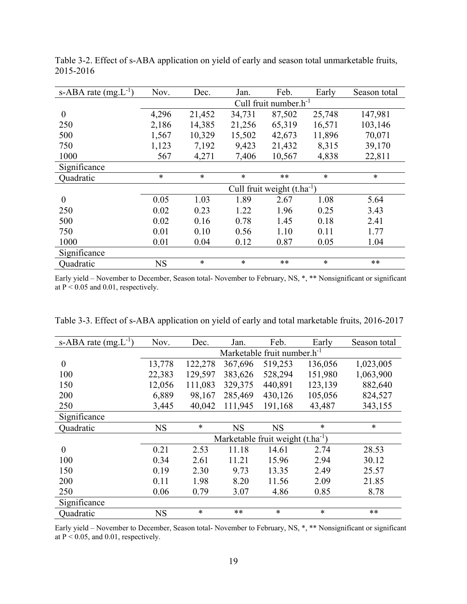| s-ABA rate $(mg.L^{-1})$ | Nov.      | Dec.   | Jan.   | Feb.                            | Early  | Season total |
|--------------------------|-----------|--------|--------|---------------------------------|--------|--------------|
|                          |           |        |        | Cull fruit number. $h^{-1}$     |        |              |
| $\boldsymbol{0}$         | 4,296     | 21,452 | 34,731 | 87,502                          | 25,748 | 147,981      |
| 250                      | 2,186     | 14,385 | 21,256 | 65,319                          | 16,571 | 103,146      |
| 500                      | 1,567     | 10,329 | 15,502 | 42,673                          | 11,896 | 70,071       |
| 750                      | 1,123     | 7,192  | 9,423  | 21,432                          | 8,315  | 39,170       |
| 1000                     | 567       | 4,271  | 7,406  | 10,567                          | 4,838  | 22,811       |
| Significance             |           |        |        |                                 |        |              |
| Quadratic                | $\ast$    | $\ast$ | $\ast$ | **                              | $\ast$ | $\ast$       |
|                          |           |        |        | Cull fruit weight $(t.ha^{-1})$ |        |              |
| $\theta$                 | 0.05      | 1.03   | 1.89   | 2.67                            | 1.08   | 5.64         |
| 250                      | 0.02      | 0.23   | 1.22   | 1.96                            | 0.25   | 3.43         |
| 500                      | 0.02      | 0.16   | 0.78   | 1.45                            | 0.18   | 2.41         |
| 750                      | 0.01      | 0.10   | 0.56   | 1.10                            | 0.11   | 1.77         |
| 1000                     | 0.01      | 0.04   | 0.12   | 0.87                            | 0.05   | 1.04         |
| Significance             |           |        |        |                                 |        |              |
| Quadratic                | <b>NS</b> | $\ast$ | $\ast$ | $***$                           | $\ast$ | $**$         |

Table 3-2. Effect of s-ABA application on yield of early and season total unmarketable fruits, 2015-2016

Early yield – November to December, Season total- November to February, NS, \*, \*\* Nonsignificant or significant at  $P < 0.05$  and 0.01, respectively.

| s-ABA rate $(mg.L^{-1})$ | Nov.                                    | Dec.    | Jan.      | Feb.                                  | Early   | Season total |
|--------------------------|-----------------------------------------|---------|-----------|---------------------------------------|---------|--------------|
|                          | Marketable fruit number.h <sup>-1</sup> |         |           |                                       |         |              |
| $\boldsymbol{0}$         | 13,778                                  | 122,278 | 367,696   | 519,253                               | 136,056 | 1,023,005    |
| 100                      | 22,383                                  | 129,597 | 383,626   | 528,294                               | 151,980 | 1,063,900    |
| 150                      | 12,056                                  | 111,083 | 329,375   | 440,891                               | 123,139 | 882,640      |
| 200                      | 6,889                                   | 98,167  | 285,469   | 430,126                               | 105,056 | 824,527      |
| 250                      | 3,445                                   | 40,042  | 111,945   | 191,168                               | 43,487  | 343,155      |
| Significance             |                                         |         |           |                                       |         |              |
| Ouadratic                | <b>NS</b>                               | $\ast$  | <b>NS</b> | <b>NS</b>                             | $\ast$  | $\ast$       |
|                          |                                         |         |           | Marketable fruit weight $(t.ha^{-1})$ |         |              |
| $\overline{0}$           | 0.21                                    | 2.53    | 11.18     | 14.61                                 | 2.74    | 28.53        |
| 100                      | 0.34                                    | 2.61    | 11.21     | 15.96                                 | 2.94    | 30.12        |
| 150                      | 0.19                                    | 2.30    | 9.73      | 13.35                                 | 2.49    | 25.57        |
| 200                      | 0.11                                    | 1.98    | 8.20      | 11.56                                 | 2.09    | 21.85        |
| 250                      | 0.06                                    | 0.79    | 3.07      | 4.86                                  | 0.85    | 8.78         |
| Significance             |                                         |         |           |                                       |         |              |
| Quadratic                | <b>NS</b>                               | $\ast$  | $**$      | $\ast$                                | $\ast$  | $**$         |

Table 3-3. Effect of s-ABA application on yield of early and total marketable fruits, 2016-2017

Early yield – November to December, Season total- November to February, NS, \*, \*\* Nonsignificant or significant at  $P < 0.05$ , and 0.01, respectively.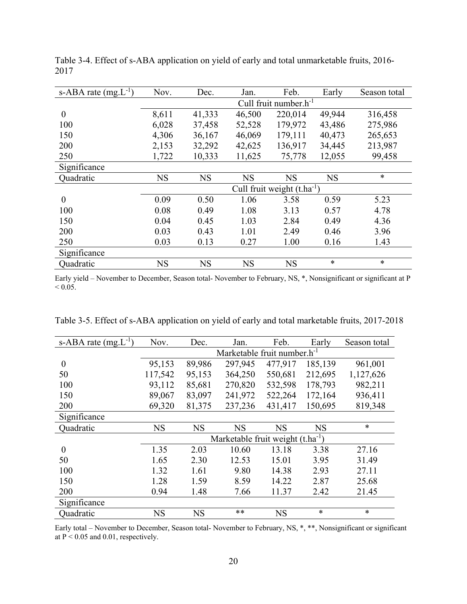| s-ABA rate $(mg.L^{-1})$ | Nov.      | Dec.      | Jan.      | Feb.                            | Early     | Season total |
|--------------------------|-----------|-----------|-----------|---------------------------------|-----------|--------------|
|                          |           |           |           | Cull fruit number. $h^{-1}$     |           |              |
| $\boldsymbol{0}$         | 8,611     | 41,333    | 46,500    | 220,014                         | 49,944    | 316,458      |
| 100                      | 6,028     | 37,458    | 52,528    | 179,972                         | 43,486    | 275,986      |
| 150                      | 4,306     | 36,167    | 46,069    | 179,111                         | 40,473    | 265,653      |
| 200                      | 2,153     | 32,292    | 42,625    | 136,917                         | 34,445    | 213,987      |
| 250                      | 1,722     | 10,333    | 11,625    | 75,778                          | 12,055    | 99,458       |
| Significance             |           |           |           |                                 |           |              |
| Quadratic                | <b>NS</b> | <b>NS</b> | <b>NS</b> | <b>NS</b>                       | <b>NS</b> | $\ast$       |
|                          |           |           |           | Cull fruit weight $(t.ha^{-1})$ |           |              |
| $\overline{0}$           | 0.09      | 0.50      | 1.06      | 3.58                            | 0.59      | 5.23         |
| 100                      | 0.08      | 0.49      | 1.08      | 3.13                            | 0.57      | 4.78         |
| 150                      | 0.04      | 0.45      | 1.03      | 2.84                            | 0.49      | 4.36         |
| 200                      | 0.03      | 0.43      | 1.01      | 2.49                            | 0.46      | 3.96         |
| 250                      | 0.03      | 0.13      | 0.27      | 1.00                            | 0.16      | 1.43         |
| Significance             |           |           |           |                                 |           |              |
| Quadratic                | <b>NS</b> | <b>NS</b> | <b>NS</b> | <b>NS</b>                       | *         | $\ast$       |

Table 3-4. Effect of s-ABA application on yield of early and total unmarketable fruits, 2016- 2017

Early yield – November to December, Season total- November to February, NS, \*, Nonsignificant or significant at P  $< 0.05$ .

| s-ABA rate $(mg.L^{-1})$ | Nov.      | Dec.                                    | Jan.                                          | Feb.      | Early     | Season total |  |
|--------------------------|-----------|-----------------------------------------|-----------------------------------------------|-----------|-----------|--------------|--|
|                          |           | Marketable fruit number.h <sup>-1</sup> |                                               |           |           |              |  |
| $\boldsymbol{0}$         | 95,153    | 89,986                                  | 297,945                                       | 477,917   | 185,139   | 961,001      |  |
| 50                       | 117,542   | 95,153                                  | 364,250                                       | 550,681   | 212,695   | 1,127,626    |  |
| 100                      | 93,112    | 85,681                                  | 270,820                                       | 532,598   | 178,793   | 982,211      |  |
| 150                      | 89,067    | 83,097                                  | 241,972                                       | 522,264   | 172,164   | 936,411      |  |
| 200                      | 69,320    | 81,375                                  | 237,236                                       | 431,417   | 150,695   | 819,348      |  |
| Significance             |           |                                         |                                               |           |           |              |  |
| Ouadratic                | <b>NS</b> | <b>NS</b>                               | <b>NS</b>                                     | <b>NS</b> | <b>NS</b> | $\ast$       |  |
|                          |           |                                         | Marketable fruit weight (t.ha <sup>-1</sup> ) |           |           |              |  |
| $\theta$                 | 1.35      | 2.03                                    | 10.60                                         | 13.18     | 3.38      | 27.16        |  |
| 50                       | 1.65      | 2.30                                    | 12.53                                         | 15.01     | 3.95      | 31.49        |  |
| 100                      | 1.32      | 1.61                                    | 9.80                                          | 14.38     | 2.93      | 27.11        |  |
| 150                      | 1.28      | 1.59                                    | 8.59                                          | 14.22     | 2.87      | 25.68        |  |
| 200                      | 0.94      | 1.48                                    | 7.66                                          | 11.37     | 2.42      | 21.45        |  |
| Significance             |           |                                         |                                               |           |           |              |  |
| Quadratic                | <b>NS</b> | <b>NS</b>                               | $**$                                          | <b>NS</b> | $\ast$    | $\ast$       |  |

Early total – November to December, Season total- November to February, NS, \*, \*\*, Nonsignificant or significant at  $P < 0.05$  and 0.01, respectively.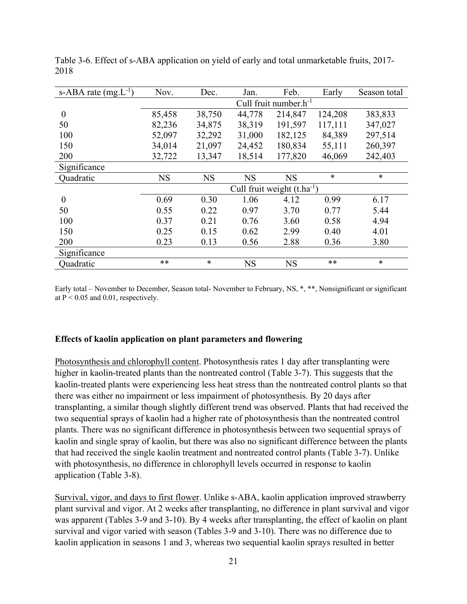| s-ABA rate $(mg.L^{-1})$ | Nov.      | Dec.      | Jan.      | Feb.                            | Early   | Season total |
|--------------------------|-----------|-----------|-----------|---------------------------------|---------|--------------|
|                          |           |           |           | Cull fruit number. $h^{-1}$     |         |              |
| $\boldsymbol{0}$         | 85,458    | 38,750    | 44,778    | 214,847                         | 124,208 | 383,833      |
| 50                       | 82,236    | 34,875    | 38,319    | 191,597                         | 117,111 | 347,027      |
| 100                      | 52,097    | 32,292    | 31,000    | 182,125                         | 84,389  | 297,514      |
| 150                      | 34,014    | 21,097    | 24,452    | 180,834                         | 55,111  | 260,397      |
| 200                      | 32,722    | 13,347    | 18,514    | 177,820                         | 46,069  | 242,403      |
| Significance             |           |           |           |                                 |         |              |
| Quadratic                | <b>NS</b> | <b>NS</b> | <b>NS</b> | <b>NS</b>                       | $\ast$  | $\ast$       |
|                          |           |           |           | Cull fruit weight $(t.ha^{-1})$ |         |              |
| $\boldsymbol{0}$         | 0.69      | 0.30      | 1.06      | 4.12                            | 0.99    | 6.17         |
| 50                       | 0.55      | 0.22      | 0.97      | 3.70                            | 0.77    | 5.44         |
| 100                      | 0.37      | 0.21      | 0.76      | 3.60                            | 0.58    | 4.94         |
| 150                      | 0.25      | 0.15      | 0.62      | 2.99                            | 0.40    | 4.01         |
| 200                      | 0.23      | 0.13      | 0.56      | 2.88                            | 0.36    | 3.80         |
| Significance             |           |           |           |                                 |         |              |
| Quadratic                | $**$      | $\ast$    | <b>NS</b> | <b>NS</b>                       | **      | $\ast$       |

Table 3-6. Effect of s-ABA application on yield of early and total unmarketable fruits, 2017- 2018

Early total – November to December, Season total- November to February, NS, \*, \*\*, Nonsignificant or significant at  $P < 0.05$  and 0.01, respectively.

## **Effects of kaolin application on plant parameters and flowering**

Photosynthesis and chlorophyll content. Photosynthesis rates 1 day after transplanting were higher in kaolin-treated plants than the nontreated control (Table 3-7). This suggests that the kaolin-treated plants were experiencing less heat stress than the nontreated control plants so that there was either no impairment or less impairment of photosynthesis. By 20 days after transplanting, a similar though slightly different trend was observed. Plants that had received the two sequential sprays of kaolin had a higher rate of photosynthesis than the nontreated control plants. There was no significant difference in photosynthesis between two sequential sprays of kaolin and single spray of kaolin, but there was also no significant difference between the plants that had received the single kaolin treatment and nontreated control plants (Table 3-7). Unlike with photosynthesis, no difference in chlorophyll levels occurred in response to kaolin application (Table 3-8).

Survival, vigor, and days to first flower. Unlike s-ABA, kaolin application improved strawberry plant survival and vigor. At 2 weeks after transplanting, no difference in plant survival and vigor was apparent (Tables 3-9 and 3-10). By 4 weeks after transplanting, the effect of kaolin on plant survival and vigor varied with season (Tables 3-9 and 3-10). There was no difference due to kaolin application in seasons 1 and 3, whereas two sequential kaolin sprays resulted in better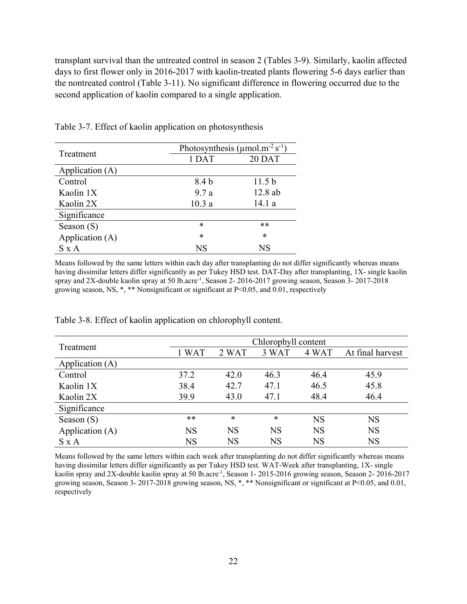transplant survival than the untreated control in season 2 (Tables 3-9). Similarly, kaolin affected days to first flower only in 2016-2017 with kaolin-treated plants flowering 5-6 days earlier than the nontreated control (Table 3-11). No significant difference in flowering occurred due to the second application of kaolin compared to a single application.

| Treatment       | Photosynthesis ( $\mu$ mol.m <sup>-2</sup> s <sup>-1</sup> ) |                   |
|-----------------|--------------------------------------------------------------|-------------------|
|                 | 1 DAT                                                        | 20 DAT            |
| Application (A) |                                                              |                   |
| Control         | 8.4 b                                                        | 11.5 <sub>b</sub> |
| Kaolin 1X       | 9.7a                                                         | 12.8 ab           |
| Kaolin 2X       | 10.3a                                                        | 14.1 a            |
| Significance    |                                                              |                   |
| Season $(S)$    | $\ast$                                                       | $**$              |
| Application (A) | $\ast$                                                       | $\ast$            |
| $S \times A$    | NS                                                           | NS                |

Table 3-7. Effect of kaolin application on photosynthesis

Means followed by the same letters within each day after transplanting do not differ significantly whereas means having dissimilar letters differ significantly as per Tukey HSD test. DAT-Day after transplanting, 1X- single kaolin spray and 2X-double kaolin spray at 50 lb.acre<sup>-1</sup>, Season 2- 2016-2017 growing season, Season 3- 2017-2018 growing season, NS, \*, \*\* Nonsignificant or significant at P<0.05, and 0.01, respectively

| Treatment       | Chlorophyll content |           |           |           |                  |  |
|-----------------|---------------------|-----------|-----------|-----------|------------------|--|
|                 | 1 WAT               | 2 WAT     | 3 WAT     | 4 WAT     | At final harvest |  |
| Application (A) |                     |           |           |           |                  |  |
| Control         | 37.2                | 42.0      | 46.3      | 46.4      | 45.9             |  |
| Kaolin 1X       | 38.4                | 42.7      | 47.1      | 46.5      | 45.8             |  |
| Kaolin 2X       | 39.9                | 43.0      | 47.1      | 48.4      | 46.4             |  |
| Significance    |                     |           |           |           |                  |  |
| Season $(S)$    | $**$                | $\ast$    | $\ast$    | <b>NS</b> | <b>NS</b>        |  |
| Application (A) | <b>NS</b>           | <b>NS</b> | <b>NS</b> | <b>NS</b> | <b>NS</b>        |  |
| $S \times A$    | <b>NS</b>           | <b>NS</b> | NS        | <b>NS</b> | <b>NS</b>        |  |

Table 3-8. Effect of kaolin application on chlorophyll content.

Means followed by the same letters within each week after transplanting do not differ significantly whereas means having dissimilar letters differ significantly as per Tukey HSD test. WAT-Week after transplanting, 1X- single kaolin spray and 2X-double kaolin spray at 50 lb.acre-1, Season 1- 2015-2016 growing season, Season 2- 2016-2017 growing season, Season 3- 2017-2018 growing season, NS, \*, \*\* Nonsignificant or significant at P<0.05, and 0.01, respectively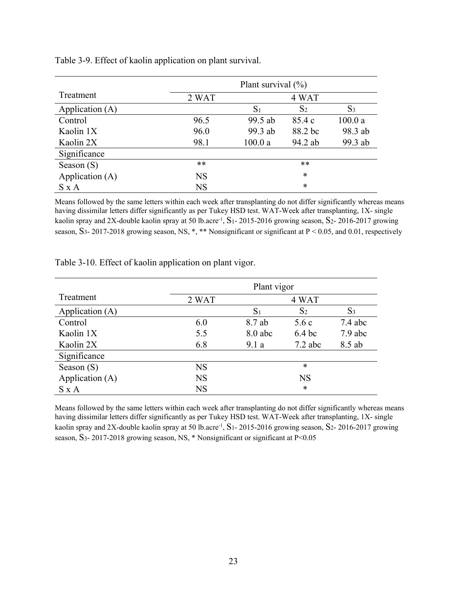|                 |           | Plant survival $(\% )$ |                |         |
|-----------------|-----------|------------------------|----------------|---------|
| Treatment       | 2 WAT     |                        | 4 WAT          |         |
| Application (A) |           | $S_1$                  | S <sub>2</sub> | $S_3$   |
| Control         | 96.5      | 99.5 ab                | 85.4 c         | 100.0a  |
| Kaolin 1X       | 96.0      | 99.3 ab                | 88.2 bc        | 98.3 ab |
| Kaolin 2X       | 98.1      | 100.0a                 | 94.2 ab        | 99.3 ab |
| Significance    |           |                        |                |         |
| Season $(S)$    | **        |                        | $**$           |         |
| Application (A) | <b>NS</b> |                        | *              |         |
| $S \times A$    | <b>NS</b> |                        | *              |         |

Table 3-9. Effect of kaolin application on plant survival.

Means followed by the same letters within each week after transplanting do not differ significantly whereas means having dissimilar letters differ significantly as per Tukey HSD test. WAT-Week after transplanting, 1X- single kaolin spray and 2X-double kaolin spray at 50 lb.acre<sup>-1</sup>, S<sub>1</sub>-2015-2016 growing season, S<sub>2</sub>-2016-2017 growing season, S<sub>3</sub>- 2017-2018 growing season, NS, \*, \*\* Nonsignificant or significant at P < 0.05, and 0.01, respectively

|                 |           | Plant vigor    |                   |                |  |  |
|-----------------|-----------|----------------|-------------------|----------------|--|--|
| Treatment       | 2 WAT     |                | 4 WAT             |                |  |  |
| Application (A) |           | S <sub>1</sub> | S <sub>2</sub>    | S <sub>3</sub> |  |  |
| Control         | 6.0       | 8.7 ab         | 5.6c              | $7.4$ abc      |  |  |
| Kaolin 1X       | 5.5       | $8.0$ abc      | 6.4 <sub>bc</sub> | $7.9$ abc      |  |  |
| Kaolin 2X       | 6.8       | 9.1a           | $7.2$ abc         | 8.5 ab         |  |  |
| Significance    |           |                |                   |                |  |  |
| Season $(S)$    | <b>NS</b> |                | $\ast$            |                |  |  |
| Application (A) | <b>NS</b> |                | <b>NS</b>         |                |  |  |
| $S \times A$    | <b>NS</b> |                | $\ast$            |                |  |  |

Table 3-10. Effect of kaolin application on plant vigor.

Means followed by the same letters within each week after transplanting do not differ significantly whereas means having dissimilar letters differ significantly as per Tukey HSD test. WAT-Week after transplanting, 1X- single kaolin spray and 2X-double kaolin spray at 50 lb.acre<sup>-1</sup>, S<sub>1</sub>- 2015-2016 growing season, S<sub>2</sub>- 2016-2017 growing season, S3- 2017-2018 growing season, NS, \* Nonsignificant or significant at P<0.05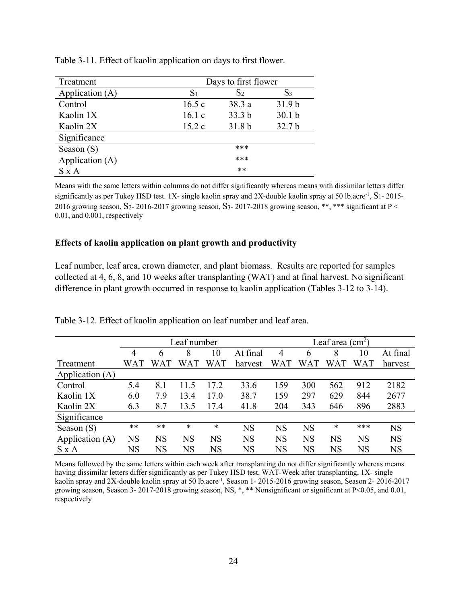| Treatment       | Days to first flower |                   |                   |  |  |  |
|-----------------|----------------------|-------------------|-------------------|--|--|--|
| Application (A) | $\mathrm{S}_1$       | S <sub>2</sub>    | $S_3$             |  |  |  |
| Control         | 16.5c                | 38.3 a            | 31.9 <sub>b</sub> |  |  |  |
| Kaolin 1X       | 16.1c                | 33.3 <sub>b</sub> | 30.1 <sub>b</sub> |  |  |  |
| Kaolin 2X       | 15.2c                | 31.8 <sub>b</sub> | 32.7 <sub>b</sub> |  |  |  |
| Significance    |                      |                   |                   |  |  |  |
| Season $(S)$    |                      | ***               |                   |  |  |  |
| Application (A) |                      | ***               |                   |  |  |  |
| $S \times A$    | $**$                 |                   |                   |  |  |  |

Table 3-11. Effect of kaolin application on days to first flower.

Means with the same letters within columns do not differ significantly whereas means with dissimilar letters differ significantly as per Tukey HSD test. 1X- single kaolin spray and 2X-double kaolin spray at 50 lb.acre<sup>-1</sup>,  $S_1$ - 2015-2016 growing season, S<sub>2</sub>- 2016-2017 growing season, S<sub>3</sub>- 2017-2018 growing season, \*\*, \*\*\* significant at P < 0.01, and 0.001, respectively

## **Effects of kaolin application on plant growth and productivity**

Leaf number, leaf area, crown diameter, and plant biomass. Results are reported for samples collected at 4, 6, 8, and 10 weeks after transplanting (WAT) and at final harvest. No significant difference in plant growth occurred in response to kaolin application (Tables 3-12 to 3-14).

|                 |             | Leaf number |           |           |           |            | Leaf area $(cm2)$ |           |            |           |  |
|-----------------|-------------|-------------|-----------|-----------|-----------|------------|-------------------|-----------|------------|-----------|--|
|                 | 4           | 6           | 8         | 10        | At final  | 4          | 6                 | 8         | 10         | At final  |  |
| Treatment       | WAT         | WAT         | WAT       | WAT       | harvest   | <b>WAT</b> | WAT               | W<br>AT.  | <b>WAT</b> | harvest   |  |
| Application (A) |             |             |           |           |           |            |                   |           |            |           |  |
| Control         | 5.4         | 8.1         | 11.5      | 17.2      | 33.6      | 159        | 300               | 562       | 912        | 2182      |  |
| Kaolin 1X       | 6.0         | 7.9         | 13.4      | 17.0      | 38.7      | 159        | 297               | 629       | 844        | 2677      |  |
| Kaolin 2X       | 6.3         | 8.7         | 13.5      | 17.4      | 41.8      | 204        | 343               | 646       | 896        | 2883      |  |
| Significance    |             |             |           |           |           |            |                   |           |            |           |  |
| Season $(S)$    | **          | **          | $\ast$    | *         | <b>NS</b> | <b>NS</b>  | <b>NS</b>         | $\ast$    | ***        | <b>NS</b> |  |
| Application (A) | <b>NS</b>   | <b>NS</b>   | <b>NS</b> | <b>NS</b> | <b>NS</b> | <b>NS</b>  | <b>NS</b>         | <b>NS</b> | <b>NS</b>  | <b>NS</b> |  |
| $S \times A$    | $_{\rm NS}$ | <b>NS</b>   | NS        | <b>NS</b> | <b>NS</b> | NS         | <b>NS</b>         | <b>NS</b> | NS         | <b>NS</b> |  |

Table 3-12. Effect of kaolin application on leaf number and leaf area.

Means followed by the same letters within each week after transplanting do not differ significantly whereas means having dissimilar letters differ significantly as per Tukey HSD test. WAT-Week after transplanting, 1X- single kaolin spray and 2X-double kaolin spray at 50 lb.acre-1, Season 1- 2015-2016 growing season, Season 2- 2016-2017 growing season, Season 3- 2017-2018 growing season, NS, \*, \*\* Nonsignificant or significant at P<0.05, and 0.01, respectively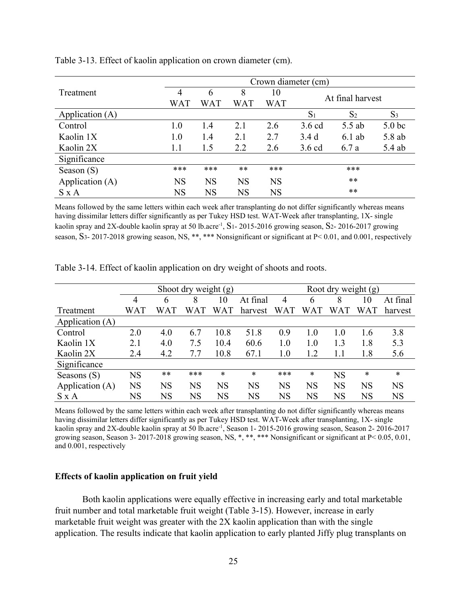|                 |           |           |           |            | Crown diameter (cm) |                |                   |  |  |
|-----------------|-----------|-----------|-----------|------------|---------------------|----------------|-------------------|--|--|
| Treatment       | 4         | 6         | 8         | 10         | At final harvest    |                |                   |  |  |
|                 | WAT       | WAT       | WAT       | <b>WAT</b> |                     |                |                   |  |  |
| Application (A) |           |           |           |            | $S_1$               | S <sub>2</sub> | $S_3$             |  |  |
| Control         | 1.0       | 1.4       | 2.1       | 2.6        | $3.6$ cd            | 5.5 ab         | 5.0 <sub>bc</sub> |  |  |
| Kaolin 1X       | 1.0       | 1.4       | 2.1       | 2.7        | 3.4d                | $6.1$ ab       | 5.8 ab            |  |  |
| Kaolin 2X       | 1.1       | 1.5       | 2.2       | 2.6        | $3.6$ cd            | 6.7a           | 5.4 ab            |  |  |
| Significance    |           |           |           |            |                     |                |                   |  |  |
| Season $(S)$    | ***       | ***       | $**$      | ***        |                     | ***            |                   |  |  |
| Application (A) | <b>NS</b> | <b>NS</b> | <b>NS</b> | <b>NS</b>  |                     | **             |                   |  |  |
| $S \times A$    | <b>NS</b> | <b>NS</b> | <b>NS</b> | <b>NS</b>  |                     | $***$          |                   |  |  |

Table 3-13. Effect of kaolin application on crown diameter (cm).

Means followed by the same letters within each week after transplanting do not differ significantly whereas means having dissimilar letters differ significantly as per Tukey HSD test. WAT-Week after transplanting, 1X- single kaolin spray and 2X-double kaolin spray at 50 lb.acre<sup>-1</sup>, S<sub>1</sub>- 2015-2016 growing season, S<sub>2</sub>- 2016-2017 growing season, S<sub>3</sub>- 2017-2018 growing season, NS, \*\*, \*\*\* Nonsignificant or significant at P< 0.01, and 0.001, respectively

|                 | Shoot dry weight $(g)$ |           |          |         | Root dry weight $(g)$ |           |           |           |           |           |
|-----------------|------------------------|-----------|----------|---------|-----------------------|-----------|-----------|-----------|-----------|-----------|
|                 | 4                      | 6         | 8        | 10      | At final              | 4         | 6         | 8         | 10        | At final  |
| Treatment       | WAT                    | WA'I      | W<br>'AT | W<br>ΆT | harvest               | WAT       | W<br>AΤ   | WAT       | WAT       | harvest   |
| Application (A) |                        |           |          |         |                       |           |           |           |           |           |
| Control         | 2.0                    | 4.0       | 6.7      | 10.8    | 51.8                  | 0.9       | 1.0       | 1.0       | 1.6       | 3.8       |
| Kaolin 1X       | 2.1                    | 4.0       | 7.5      | 10.4    | 60.6                  | 1.0       | 1.0       | 1.3       | 1.8       | 5.3       |
| Kaolin 2X       | 2.4                    | 4.2       | 7.7      | 10.8    | 67.1                  | $1.0\,$   | 1.2       |           | 1.8       | 5.6       |
| Significance    |                        |           |          |         |                       |           |           |           |           |           |
| Seasons $(S)$   | <b>NS</b>              | $***$     | ***      | $\ast$  | $\ast$                | ***       | $\ast$    | <b>NS</b> | *         | $\ast$    |
| Application (A) | <b>NS</b>              | <b>NS</b> | NS       | NS      | <b>NS</b>             | <b>NS</b> | <b>NS</b> | <b>NS</b> | <b>NS</b> | <b>NS</b> |
| S x A           | NS                     | NS        | NS       | NS      | <b>NS</b>             | NS        | NS        | NS        | NS        | NS        |

Table 3-14. Effect of kaolin application on dry weight of shoots and roots.

Means followed by the same letters within each week after transplanting do not differ significantly whereas means having dissimilar letters differ significantly as per Tukey HSD test. WAT-Week after transplanting, 1X- single kaolin spray and 2X-double kaolin spray at 50 lb.acre-1, Season 1- 2015-2016 growing season, Season 2- 2016-2017 growing season, Season 3- 2017-2018 growing season, NS, \*, \*\*, \*\*\* Nonsignificant or significant at P< 0.05, 0.01, and 0.001, respectively

## **Effects of kaolin application on fruit yield**

Both kaolin applications were equally effective in increasing early and total marketable fruit number and total marketable fruit weight (Table 3-15). However, increase in early marketable fruit weight was greater with the 2X kaolin application than with the single application. The results indicate that kaolin application to early planted Jiffy plug transplants on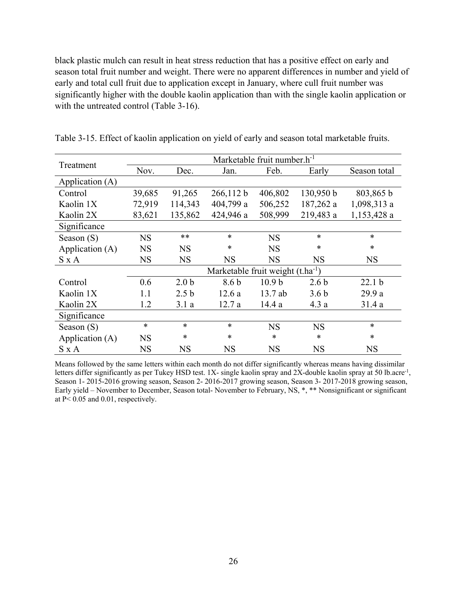black plastic mulch can result in heat stress reduction that has a positive effect on early and season total fruit number and weight. There were no apparent differences in number and yield of early and total cull fruit due to application except in January, where cull fruit number was significantly higher with the double kaolin application than with the single kaolin application or with the untreated control (Table 3-16).

|                 | Marketable fruit number.h <sup>-1</sup> |                  |                                               |                   |                  |                   |  |  |  |  |
|-----------------|-----------------------------------------|------------------|-----------------------------------------------|-------------------|------------------|-------------------|--|--|--|--|
| Treatment       | Nov.                                    | Dec.             | Jan.                                          | Feb.              | Early            | Season total      |  |  |  |  |
| Application (A) |                                         |                  |                                               |                   |                  |                   |  |  |  |  |
| Control         | 39,685                                  | 91,265           | 266,112 b                                     | 406,802           | 130,950 b        | 803,865 b         |  |  |  |  |
| Kaolin 1X       | 72,919                                  | 114,343          | 404,799 a                                     | 506,252           | 187,262 a        | 1,098,313 a       |  |  |  |  |
| Kaolin 2X       | 83,621                                  | 135,862          | 424,946 a                                     | 508,999           | 219,483 a        | 1,153,428 a       |  |  |  |  |
| Significance    |                                         |                  |                                               |                   |                  |                   |  |  |  |  |
| Season $(S)$    | <b>NS</b>                               | **               | $\ast$                                        | <b>NS</b>         | $\ast$           | $\ast$            |  |  |  |  |
| Application (A) | <b>NS</b>                               | <b>NS</b>        | $\ast$                                        | <b>NS</b>         | $\ast$           | $\ast$            |  |  |  |  |
| S x A           | <b>NS</b>                               | <b>NS</b>        | <b>NS</b>                                     | <b>NS</b>         | <b>NS</b>        | <b>NS</b>         |  |  |  |  |
|                 |                                         |                  | Marketable fruit weight (t.ha <sup>-1</sup> ) |                   |                  |                   |  |  |  |  |
| Control         | 0.6                                     | 2.0 <sub>b</sub> | 8.6 <sub>b</sub>                              | 10.9 <sub>b</sub> | 2.6 <sub>b</sub> | 22.1 <sub>b</sub> |  |  |  |  |
| Kaolin 1X       | 1.1                                     | 2.5 <sub>b</sub> | 12.6a                                         | $13.7$ ab         | 3.6 <sub>b</sub> | 29.9 a            |  |  |  |  |
| Kaolin 2X       | 1.2                                     | 3.1a             | 12.7a                                         | 14.4 a            | 4.3a             | 31.4 a            |  |  |  |  |
| Significance    |                                         |                  |                                               |                   |                  |                   |  |  |  |  |
| Season $(S)$    | $\ast$                                  | $\ast$           | $\ast$                                        | <b>NS</b>         | <b>NS</b>        | $\ast$            |  |  |  |  |
| Application (A) | <b>NS</b>                               | *                | $\ast$                                        | $\ast$            | $\ast$           | $\ast$            |  |  |  |  |
| S x A           | <b>NS</b>                               | $_{\rm NS}$      | NS                                            | <b>NS</b>         | <b>NS</b>        | <b>NS</b>         |  |  |  |  |

Table 3-15. Effect of kaolin application on yield of early and season total marketable fruits.

Means followed by the same letters within each month do not differ significantly whereas means having dissimilar letters differ significantly as per Tukey HSD test. 1X- single kaolin spray and 2X-double kaolin spray at 50 lb.acre<sup>-1</sup>, Season 1- 2015-2016 growing season, Season 2- 2016-2017 growing season, Season 3- 2017-2018 growing season, Early yield – November to December, Season total- November to February, NS, \*, \*\* Nonsignificant or significant at P< 0.05 and 0.01, respectively.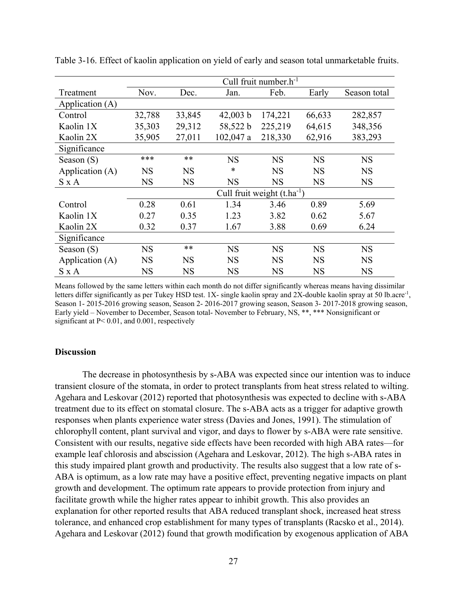|                 | Cull fruit number. $h^{-1}$ |           |             |                                 |           |              |  |  |  |
|-----------------|-----------------------------|-----------|-------------|---------------------------------|-----------|--------------|--|--|--|
| Treatment       | Nov.                        | Dec.      | Jan.        | Feb.                            | Early     | Season total |  |  |  |
| Application (A) |                             |           |             |                                 |           |              |  |  |  |
| Control         | 32,788                      | 33,845    | $42,003$ b  | 174,221                         | 66,633    | 282,857      |  |  |  |
| Kaolin 1X       | 35,303                      | 29,312    | 58,522 b    | 225,219                         | 64,615    | 348,356      |  |  |  |
| Kaolin 2X       | 35,905                      | 27,011    | $102,047$ a | 218,330                         | 62,916    | 383,293      |  |  |  |
| Significance    |                             |           |             |                                 |           |              |  |  |  |
| Season $(S)$    | ***                         | **        | <b>NS</b>   | <b>NS</b>                       | <b>NS</b> | <b>NS</b>    |  |  |  |
| Application (A) | <b>NS</b>                   | <b>NS</b> | *           | <b>NS</b>                       | <b>NS</b> | <b>NS</b>    |  |  |  |
| S x A           | <b>NS</b>                   | <b>NS</b> | <b>NS</b>   | <b>NS</b>                       | <b>NS</b> | <b>NS</b>    |  |  |  |
|                 |                             |           |             | Cull fruit weight $(t.ha^{-1})$ |           |              |  |  |  |
| Control         | 0.28                        | 0.61      | 1.34        | 3.46                            | 0.89      | 5.69         |  |  |  |
| Kaolin 1X       | 0.27                        | 0.35      | 1.23        | 3.82                            | 0.62      | 5.67         |  |  |  |
| Kaolin 2X       | 0.32                        | 0.37      | 1.67        | 3.88                            | 0.69      | 6.24         |  |  |  |
| Significance    |                             |           |             |                                 |           |              |  |  |  |
| Season $(S)$    | <b>NS</b>                   | $**$      | <b>NS</b>   | <b>NS</b>                       | <b>NS</b> | <b>NS</b>    |  |  |  |
| Application (A) | <b>NS</b>                   | <b>NS</b> | <b>NS</b>   | <b>NS</b>                       | <b>NS</b> | <b>NS</b>    |  |  |  |
| S x A           | NS                          | NS        | NS          | <b>NS</b>                       | NS        | <b>NS</b>    |  |  |  |

Table 3-16. Effect of kaolin application on yield of early and season total unmarketable fruits.

Means followed by the same letters within each month do not differ significantly whereas means having dissimilar letters differ significantly as per Tukey HSD test. 1X- single kaolin spray and 2X-double kaolin spray at 50 lb.acre<sup>-1</sup>, Season 1- 2015-2016 growing season, Season 2- 2016-2017 growing season, Season 3- 2017-2018 growing season, Early yield – November to December, Season total- November to February, NS, \*\*, \*\*\* Nonsignificant or significant at P< 0.01, and 0.001, respectively

#### **Discussion**

The decrease in photosynthesis by s-ABA was expected since our intention was to induce transient closure of the stomata, in order to protect transplants from heat stress related to wilting. Agehara and Leskovar (2012) reported that photosynthesis was expected to decline with s-ABA treatment due to its effect on stomatal closure. The s-ABA acts as a trigger for adaptive growth responses when plants experience water stress (Davies and Jones, 1991). The stimulation of chlorophyll content, plant survival and vigor, and days to flower by s-ABA were rate sensitive. Consistent with our results, negative side effects have been recorded with high ABA rates—for example leaf chlorosis and abscission (Agehara and Leskovar, 2012). The high s-ABA rates in this study impaired plant growth and productivity. The results also suggest that a low rate of s-ABA is optimum, as a low rate may have a positive effect, preventing negative impacts on plant growth and development. The optimum rate appears to provide protection from injury and facilitate growth while the higher rates appear to inhibit growth. This also provides an explanation for other reported results that ABA reduced transplant shock, increased heat stress tolerance, and enhanced crop establishment for many types of transplants (Racsko et al., 2014). Agehara and Leskovar (2012) found that growth modification by exogenous application of ABA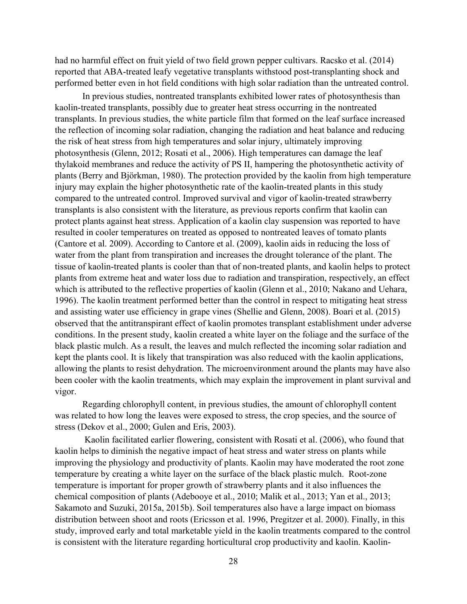had no harmful effect on fruit yield of two field grown pepper cultivars. Racsko et al. (2014) reported that ABA-treated leafy vegetative transplants withstood post-transplanting shock and performed better even in hot field conditions with high solar radiation than the untreated control.

In previous studies, nontreated transplants exhibited lower rates of photosynthesis than kaolin-treated transplants, possibly due to greater heat stress occurring in the nontreated transplants. In previous studies, the white particle film that formed on the leaf surface increased the reflection of incoming solar radiation, changing the radiation and heat balance and reducing the risk of heat stress from high temperatures and solar injury, ultimately improving photosynthesis (Glenn, 2012; Rosati et al., 2006). High temperatures can damage the leaf thylakoid membranes and reduce the activity of PS II, hampering the photosynthetic activity of plants (Berry and Björkman, 1980). The protection provided by the kaolin from high temperature injury may explain the higher photosynthetic rate of the kaolin-treated plants in this study compared to the untreated control. Improved survival and vigor of kaolin-treated strawberry transplants is also consistent with the literature, as previous reports confirm that kaolin can protect plants against heat stress. Application of a kaolin clay suspension was reported to have resulted in cooler temperatures on treated as opposed to nontreated leaves of tomato plants (Cantore et al. 2009). According to Cantore et al. (2009), kaolin aids in reducing the loss of water from the plant from transpiration and increases the drought tolerance of the plant. The tissue of kaolin-treated plants is cooler than that of non-treated plants, and kaolin helps to protect plants from extreme heat and water loss due to radiation and transpiration, respectively, an effect which is attributed to the reflective properties of kaolin (Glenn et al., 2010; Nakano and Uehara, 1996). The kaolin treatment performed better than the control in respect to mitigating heat stress and assisting water use efficiency in grape vines (Shellie and Glenn, 2008). Boari et al. (2015) observed that the antitranspirant effect of kaolin promotes transplant establishment under adverse conditions. In the present study, kaolin created a white layer on the foliage and the surface of the black plastic mulch. As a result, the leaves and mulch reflected the incoming solar radiation and kept the plants cool. It is likely that transpiration was also reduced with the kaolin applications, allowing the plants to resist dehydration. The microenvironment around the plants may have also been cooler with the kaolin treatments, which may explain the improvement in plant survival and vigor.

Regarding chlorophyll content, in previous studies, the amount of chlorophyll content was related to how long the leaves were exposed to stress, the crop species, and the source of stress (Dekov et al., 2000; Gulen and Eris, 2003).

 Kaolin facilitated earlier flowering, consistent with Rosati et al. (2006), who found that kaolin helps to diminish the negative impact of heat stress and water stress on plants while improving the physiology and productivity of plants. Kaolin may have moderated the root zone temperature by creating a white layer on the surface of the black plastic mulch. Root-zone temperature is important for proper growth of strawberry plants and it also influences the chemical composition of plants (Adebooye et al., 2010; Malik et al., 2013; Yan et al., 2013; Sakamoto and Suzuki, 2015a, 2015b). Soil temperatures also have a large impact on biomass distribution between shoot and roots (Ericsson et al. 1996, Pregitzer et al. 2000). Finally, in this study, improved early and total marketable yield in the kaolin treatments compared to the control is consistent with the literature regarding horticultural crop productivity and kaolin. Kaolin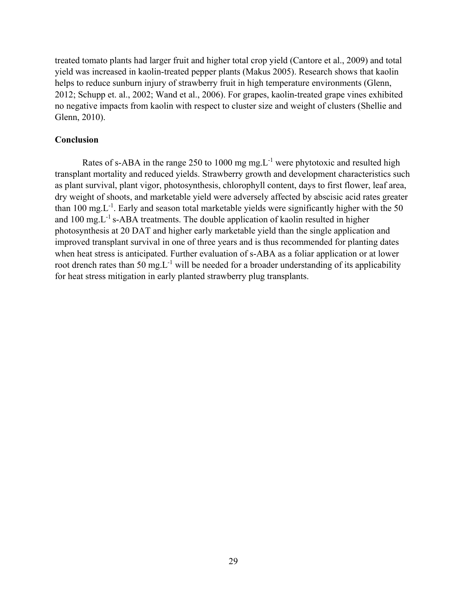treated tomato plants had larger fruit and higher total crop yield (Cantore et al., 2009) and total yield was increased in kaolin-treated pepper plants (Makus 2005). Research shows that kaolin helps to reduce sunburn injury of strawberry fruit in high temperature environments (Glenn, 2012; Schupp et. al., 2002; Wand et al., 2006). For grapes, kaolin-treated grape vines exhibited no negative impacts from kaolin with respect to cluster size and weight of clusters (Shellie and Glenn, 2010).

## **Conclusion**

Rates of s-ABA in the range 250 to 1000 mg mg. $L^{-1}$  were phytotoxic and resulted high transplant mortality and reduced yields. Strawberry growth and development characteristics such as plant survival, plant vigor, photosynthesis, chlorophyll content, days to first flower, leaf area, dry weight of shoots, and marketable yield were adversely affected by abscisic acid rates greater than 100 mg. $L^{-1}$ . Early and season total marketable yields were significantly higher with the 50 and  $100 \text{ mg}$ . L<sup>-1</sup> s-ABA treatments. The double application of kaolin resulted in higher photosynthesis at 20 DAT and higher early marketable yield than the single application and improved transplant survival in one of three years and is thus recommended for planting dates when heat stress is anticipated. Further evaluation of s-ABA as a foliar application or at lower root drench rates than 50 mg. $L^{-1}$  will be needed for a broader understanding of its applicability for heat stress mitigation in early planted strawberry plug transplants.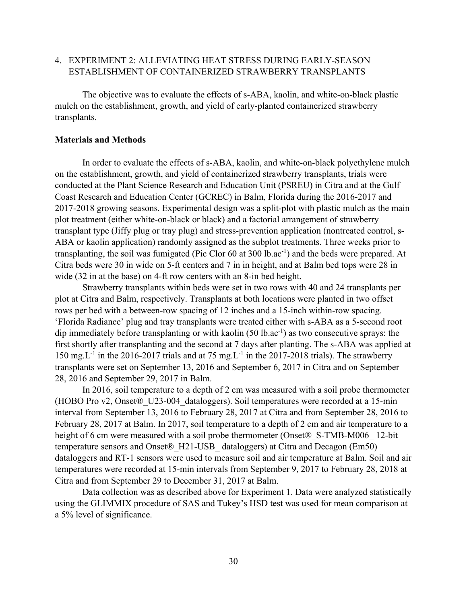# 4. EXPERIMENT 2: ALLEVIATING HEAT STRESS DURING EARLY-SEASON ESTABLISHMENT OF CONTAINERIZED STRAWBERRY TRANSPLANTS

The objective was to evaluate the effects of s-ABA, kaolin, and white-on-black plastic mulch on the establishment, growth, and yield of early-planted containerized strawberry transplants.

## **Materials and Methods**

In order to evaluate the effects of s-ABA, kaolin, and white-on-black polyethylene mulch on the establishment, growth, and yield of containerized strawberry transplants, trials were conducted at the Plant Science Research and Education Unit (PSREU) in Citra and at the Gulf Coast Research and Education Center (GCREC) in Balm, Florida during the 2016-2017 and 2017-2018 growing seasons. Experimental design was a split-plot with plastic mulch as the main plot treatment (either white-on-black or black) and a factorial arrangement of strawberry transplant type (Jiffy plug or tray plug) and stress-prevention application (nontreated control, s-ABA or kaolin application) randomly assigned as the subplot treatments. Three weeks prior to transplanting, the soil was fumigated (Pic Clor  $60$  at  $300$  lb.ac<sup>-1</sup>) and the beds were prepared. At Citra beds were 30 in wide on 5-ft centers and 7 in in height, and at Balm bed tops were 28 in wide (32 in at the base) on 4-ft row centers with an 8-in bed height.

Strawberry transplants within beds were set in two rows with 40 and 24 transplants per plot at Citra and Balm, respectively. Transplants at both locations were planted in two offset rows per bed with a between-row spacing of 12 inches and a 15-inch within-row spacing. 'Florida Radiance' plug and tray transplants were treated either with s-ABA as a 5-second root dip immediately before transplanting or with kaolin  $(50 \text{ lb.} \text{ac}^{-1})$  as two consecutive sprays: the first shortly after transplanting and the second at 7 days after planting. The s-ABA was applied at 150 mg. L<sup>-1</sup> in the 2016-2017 trials and at 75 mg. L<sup>-1</sup> in the 2017-2018 trials). The strawberry transplants were set on September 13, 2016 and September 6, 2017 in Citra and on September 28, 2016 and September 29, 2017 in Balm.

In 2016, soil temperature to a depth of 2 cm was measured with a soil probe thermometer (HOBO Pro v2, Onset®\_U23-004\_dataloggers). Soil temperatures were recorded at a 15-min interval from September 13, 2016 to February 28, 2017 at Citra and from September 28, 2016 to February 28, 2017 at Balm. In 2017, soil temperature to a depth of 2 cm and air temperature to a height of 6 cm were measured with a soil probe thermometer (Onset® S-TMB-M006 12-bit temperature sensors and Onset® H21-USB dataloggers) at Citra and Decagon (Em50) dataloggers and RT-1 sensors were used to measure soil and air temperature at Balm. Soil and air temperatures were recorded at 15-min intervals from September 9, 2017 to February 28, 2018 at Citra and from September 29 to December 31, 2017 at Balm.

Data collection was as described above for Experiment 1. Data were analyzed statistically using the GLIMMIX procedure of SAS and Tukey's HSD test was used for mean comparison at a 5% level of significance.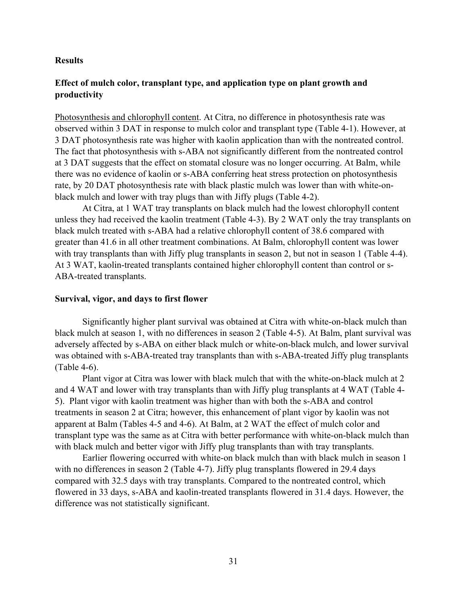#### **Results**

# **Effect of mulch color, transplant type, and application type on plant growth and productivity**

Photosynthesis and chlorophyll content. At Citra, no difference in photosynthesis rate was observed within 3 DAT in response to mulch color and transplant type (Table 4-1). However, at 3 DAT photosynthesis rate was higher with kaolin application than with the nontreated control. The fact that photosynthesis with s-ABA not significantly different from the nontreated control at 3 DAT suggests that the effect on stomatal closure was no longer occurring. At Balm, while there was no evidence of kaolin or s-ABA conferring heat stress protection on photosynthesis rate, by 20 DAT photosynthesis rate with black plastic mulch was lower than with white-onblack mulch and lower with tray plugs than with Jiffy plugs (Table 4-2).

 At Citra, at 1 WAT tray transplants on black mulch had the lowest chlorophyll content unless they had received the kaolin treatment (Table 4-3). By 2 WAT only the tray transplants on black mulch treated with s-ABA had a relative chlorophyll content of 38.6 compared with greater than 41.6 in all other treatment combinations. At Balm, chlorophyll content was lower with tray transplants than with Jiffy plug transplants in season 2, but not in season 1 (Table 4-4). At 3 WAT, kaolin-treated transplants contained higher chlorophyll content than control or s-ABA-treated transplants.

## **Survival, vigor, and days to first flower**

Significantly higher plant survival was obtained at Citra with white-on-black mulch than black mulch at season 1, with no differences in season 2 (Table 4-5). At Balm, plant survival was adversely affected by s-ABA on either black mulch or white-on-black mulch, and lower survival was obtained with s-ABA-treated tray transplants than with s-ABA-treated Jiffy plug transplants (Table 4-6).

Plant vigor at Citra was lower with black mulch that with the white-on-black mulch at 2 and 4 WAT and lower with tray transplants than with Jiffy plug transplants at 4 WAT (Table 4- 5). Plant vigor with kaolin treatment was higher than with both the s-ABA and control treatments in season 2 at Citra; however, this enhancement of plant vigor by kaolin was not apparent at Balm (Tables 4-5 and 4-6). At Balm, at 2 WAT the effect of mulch color and transplant type was the same as at Citra with better performance with white-on-black mulch than with black mulch and better vigor with Jiffy plug transplants than with tray transplants.

Earlier flowering occurred with white-on black mulch than with black mulch in season 1 with no differences in season 2 (Table 4-7). Jiffy plug transplants flowered in 29.4 days compared with 32.5 days with tray transplants. Compared to the nontreated control, which flowered in 33 days, s-ABA and kaolin-treated transplants flowered in 31.4 days. However, the difference was not statistically significant.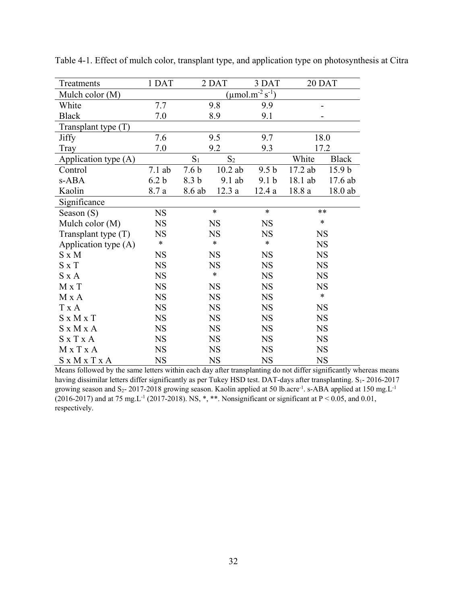| Treatments            | 1 DAT            |                  | 2 DAT          | 3 DAT                                        |           | 20 DAT            |
|-----------------------|------------------|------------------|----------------|----------------------------------------------|-----------|-------------------|
| Mulch color (M)       |                  |                  |                | $(\mu$ mol.m <sup>-2</sup> s <sup>-1</sup> ) |           |                   |
| White                 | 7.7              |                  | 9.8            | 9.9                                          |           |                   |
| <b>Black</b>          | 7.0              |                  | 8.9            | 9.1                                          |           |                   |
| Transplant type $(T)$ |                  |                  |                |                                              |           |                   |
| <b>Jiffy</b>          | 7.6              |                  | 9.5            | 9.7                                          |           | 18.0              |
| Tray                  | 7.0              |                  | 9.2            | 9.3                                          |           | 17.2              |
| Application type (A)  |                  | $S_1$            | S <sub>2</sub> |                                              | White     | <b>Black</b>      |
| Control               | $7.1$ ab         | 7.6 <sub>b</sub> | $10.2$ ab      | 9.5 <sub>b</sub>                             | 17.2 ab   | 15.9 <sub>b</sub> |
| s-ABA                 | 6.2 <sub>b</sub> | 8.3 b            | 9.1 ab         | 9.1 <sub>b</sub>                             | 18.1 ab   | 17.6 ab           |
| Kaolin                | 8.7 a            | 8.6 ab           | 12.3a          | 12.4a                                        | $18.8\ a$ | $18.0$ ab         |
| Significance          |                  |                  |                |                                              |           |                   |
| Season (S)            | <b>NS</b>        |                  | $\ast$         | $\ast$                                       |           | $**$              |
| Mulch color (M)       | <b>NS</b>        |                  | <b>NS</b>      | <b>NS</b>                                    |           | $\ast$            |
| Transplant type $(T)$ | <b>NS</b>        |                  | <b>NS</b>      | <b>NS</b>                                    | <b>NS</b> |                   |
| Application type (A)  | $\ast$           |                  | *              | $\ast$                                       | <b>NS</b> |                   |
| $S \times M$          | <b>NS</b>        |                  | <b>NS</b>      | <b>NS</b>                                    |           | <b>NS</b>         |
| $S \times T$          | <b>NS</b>        |                  | <b>NS</b>      | <b>NS</b>                                    |           | <b>NS</b>         |
| $S \times A$          | <b>NS</b>        |                  | $\ast$         | <b>NS</b>                                    |           | <b>NS</b>         |
| $M \times T$          | <b>NS</b>        |                  | <b>NS</b>      | <b>NS</b>                                    |           | <b>NS</b>         |
| M X A                 | <b>NS</b>        |                  | <b>NS</b>      | <b>NS</b>                                    |           | $\ast$            |
| T x A                 | <b>NS</b>        |                  | <b>NS</b>      | <b>NS</b>                                    |           | <b>NS</b>         |
| $S \times M \times T$ | <b>NS</b>        |                  | <b>NS</b>      | <b>NS</b>                                    |           | <b>NS</b>         |
| $S \times M \times A$ | <b>NS</b>        |                  | <b>NS</b>      | <b>NS</b>                                    |           | <b>NS</b>         |
| S x T x A             | <b>NS</b>        |                  | <b>NS</b>      | <b>NS</b>                                    | <b>NS</b> |                   |
| MxTxA                 | <b>NS</b>        |                  | <b>NS</b>      | <b>NS</b>                                    |           | <b>NS</b>         |
| S x M x T x A         | <b>NS</b>        |                  | <b>NS</b>      | <b>NS</b>                                    | <b>NS</b> |                   |

Table 4-1. Effect of mulch color, transplant type, and application type on photosynthesis at Citra

Means followed by the same letters within each day after transplanting do not differ significantly whereas means having dissimilar letters differ significantly as per Tukey HSD test. DAT-days after transplanting. S<sub>1</sub>- 2016-2017 growing season and S<sub>2</sub>- 2017-2018 growing season. Kaolin applied at 50 lb.acre<sup>-1</sup>. s-ABA applied at 150 mg.L<sup>-1</sup> (2016-2017) and at 75 mg. L<sup>-1</sup> (2017-2018). NS, \*, \*\*. Nonsignificant or significant at P < 0.05, and 0.01, respectively.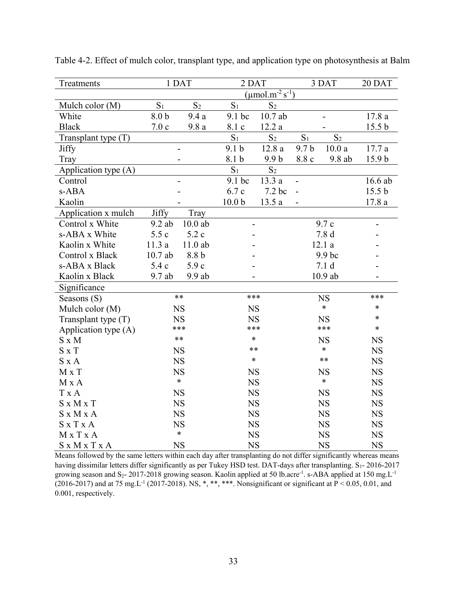| Treatments            |                  | 1 DAT          | 2 DAT             |                                              |                  | 3 DAT          | 20 DAT            |
|-----------------------|------------------|----------------|-------------------|----------------------------------------------|------------------|----------------|-------------------|
|                       |                  |                |                   | $(\mu$ mol.m <sup>-2</sup> s <sup>-1</sup> ) |                  |                |                   |
| Mulch color (M)       | S <sub>1</sub>   | S <sub>2</sub> | S <sub>1</sub>    | S <sub>2</sub>                               |                  |                |                   |
| White                 | 8.0 <sub>b</sub> | 9.4a           | 9.1 bc            | 10.7ab                                       |                  |                | 17.8 a            |
| <b>Black</b>          | 7.0c             | 9.8a           | 8.1 c             | $12.2\ a$                                    |                  |                | 15.5 <sub>b</sub> |
| Transplant type $(T)$ |                  |                | S <sub>1</sub>    | S <sub>2</sub>                               | S <sub>1</sub>   | S <sub>2</sub> |                   |
| <b>Jiffy</b>          |                  |                | 9.1 <sub>b</sub>  | 12.8a                                        | 9.7 <sub>b</sub> | 10.0a          | 17.7a             |
| Tray                  |                  |                | 8.1 b             | 9.9 <sub>b</sub>                             | 8.8 c            | $9.8$ ab       | 15.9 <sub>b</sub> |
| Application type (A)  |                  |                | S <sub>1</sub>    | S <sub>2</sub>                               |                  |                |                   |
| Control               |                  |                | 9.1 <sub>bc</sub> | 13.3a                                        |                  |                | 16.6 ab           |
| s-ABA                 |                  |                | 6.7c              | 7.2 bc                                       |                  |                | 15.5 <sub>b</sub> |
| Kaolin                |                  |                | 10.0 <sub>b</sub> | 13.5a                                        |                  |                | 17.8 a            |
| Application x mulch   | <b>Jiffy</b>     | Tray           |                   |                                              |                  |                |                   |
| Control x White       | $9.2$ ab         | $10.0$ ab      | $\overline{a}$    |                                              |                  | 9.7c           |                   |
| s-ABA x White         | 5.5c             | 5.2c           |                   |                                              | 7.8 <sub>d</sub> |                |                   |
| Kaolin x White        | 11.3a            | $11.0$ ab      |                   |                                              | 12.1a            |                |                   |
| Control x Black       | 10.7ab           | 8.8 b          |                   | 9.9 bc                                       |                  |                |                   |
| s-ABA x Black         | 5.4c             | 5.9 c          |                   |                                              | 7.1 <sub>d</sub> |                |                   |
| Kaolin x Black        | $9.7$ ab         | 9.9 ab         |                   |                                              | $10.9$ ab        |                |                   |
| Significance          |                  |                |                   |                                              |                  |                |                   |
| Seasons (S)           |                  | $**$           | ***               |                                              | <b>NS</b>        |                | ***               |
| Mulch color (M)       |                  | <b>NS</b>      | <b>NS</b>         |                                              |                  | $\ast$         | *                 |
| Transplant type $(T)$ |                  | <b>NS</b>      | <b>NS</b>         |                                              |                  | <b>NS</b>      | $\ast$            |
| Application type (A)  |                  | ***            | ***               |                                              |                  | ***            | $\ast$            |
| $S \times M$          |                  | $***$          | $\ast$            |                                              |                  | <b>NS</b>      | <b>NS</b>         |
| $S \times T$          |                  | <b>NS</b>      | $**$              |                                              |                  | $\ast$         | <b>NS</b>         |
| $S \times A$          |                  | <b>NS</b>      | $\ast$            |                                              |                  | $**$           | <b>NS</b>         |
| M x T                 |                  | <b>NS</b>      | <b>NS</b>         |                                              |                  | <b>NS</b>      | <b>NS</b>         |
| M X A                 |                  | $\ast$         | <b>NS</b>         |                                              |                  | $\ast$         | <b>NS</b>         |
| T x A                 |                  | <b>NS</b>      | <b>NS</b>         |                                              |                  | <b>NS</b>      | <b>NS</b>         |
| $S \times M \times T$ |                  | <b>NS</b>      | <b>NS</b>         |                                              |                  | <b>NS</b>      | <b>NS</b>         |
| S x M x A             |                  | <b>NS</b>      | <b>NS</b>         |                                              |                  | <b>NS</b>      | <b>NS</b>         |
| $S \times T \times A$ |                  | <b>NS</b>      | $_{\rm NS}$       |                                              |                  | <b>NS</b>      | $_{\rm NS}$       |
| MxTxA                 |                  | $\ast$         | <b>NS</b>         |                                              |                  | <b>NS</b>      | <b>NS</b>         |
| S x M x T x A         |                  | <b>NS</b>      | <b>NS</b>         |                                              | <b>NS</b>        |                | <b>NS</b>         |

Table 4-2. Effect of mulch color, transplant type, and application type on photosynthesis at Balm

Means followed by the same letters within each day after transplanting do not differ significantly whereas means having dissimilar letters differ significantly as per Tukey HSD test. DAT-days after transplanting. S<sub>1</sub>- 2016-2017 growing season and S<sub>2</sub>- 2017-2018 growing season. Kaolin applied at 50 lb.acre<sup>-1</sup>. s-ABA applied at 150 mg.L<sup>-1</sup>  $(2016-2017)$  and at 75 mg.L<sup>-1</sup> (2017-2018). NS, \*, \*\*\*, \*\*\*. Nonsignificant or significant at P < 0.05, 0.01, and 0.001, respectively.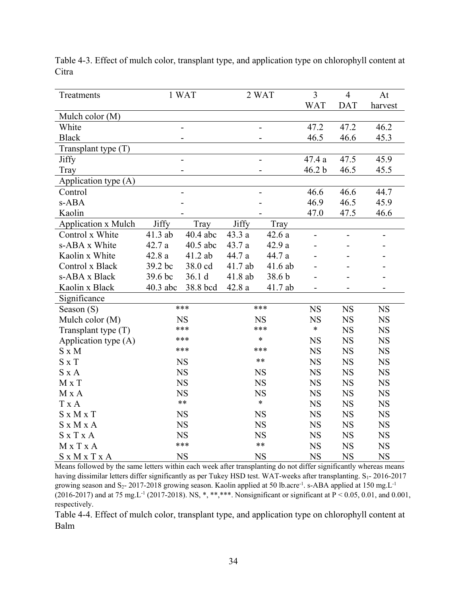| Treatments                 |            | 1 WAT                    |           | 2 WAT     | $\overline{3}$           | $\overline{4}$           | At                       |
|----------------------------|------------|--------------------------|-----------|-----------|--------------------------|--------------------------|--------------------------|
|                            |            |                          |           |           | <b>WAT</b>               | <b>DAT</b>               | harvest                  |
| Mulch color (M)            |            |                          |           |           |                          |                          |                          |
| White                      |            |                          |           |           |                          | 47.2                     | 46.2                     |
| <b>Black</b>               |            |                          |           |           |                          | 46.6                     | 45.3                     |
| Transplant type $(T)$      |            |                          |           |           |                          |                          |                          |
| Jiffy                      |            | $\overline{\phantom{0}}$ |           |           | 47.4 a                   | 47.5                     | 45.9                     |
| Tray                       |            |                          |           |           | 46.2 b                   | 46.5                     | 45.5                     |
| Application type (A)       |            |                          |           |           |                          |                          |                          |
| Control                    |            |                          |           |           | 46.6                     | 46.6                     | 44.7                     |
| s-ABA                      |            |                          |           |           | 46.9                     | 46.5                     | 45.9                     |
| Kaolin                     |            |                          |           |           | 47.0                     | 47.5                     | 46.6                     |
| <b>Application x Mulch</b> | Jiffy      | Tray                     | Jiffy     | Tray      |                          |                          |                          |
| Control x White            | 41.3 ab    | $40.4$ abc               | 43.3a     | 42.6a     | $\overline{\phantom{a}}$ | $\overline{\phantom{0}}$ | $\overline{\phantom{0}}$ |
| s-ABA x White              | 42.7 a     | 40.5 abc                 | 43.7 a    | 42.9a     |                          |                          |                          |
| Kaolin x White             | 42.8a      | 41.2 ab                  | 44.7 a    | 44.7 a    |                          |                          |                          |
| Control x Black            | 39.2 bc    | 38.0 cd                  | 41.7 ab   | $41.6$ ab |                          |                          |                          |
| s-ABA x Black              | 39.6 bc    | 36.1 d                   | 41.8 ab   | 38.6 b    |                          |                          |                          |
| Kaolin x Black             | $40.3$ abc | 38.8 bcd                 | 42.8a     | 41.7 ab   |                          |                          |                          |
| Significance               |            |                          |           |           |                          |                          |                          |
| Season (S)                 |            | ***                      | ***       |           | <b>NS</b><br><b>NS</b>   | <b>NS</b>                | <b>NS</b>                |
| Mulch color (M)            |            | <b>NS</b>                |           | <b>NS</b> |                          | <b>NS</b>                | <b>NS</b>                |
| Transplant type (T)        |            | ***                      |           | ***       | $\ast$                   | <b>NS</b>                | <b>NS</b>                |
| Application type (A)       |            | ***                      |           | $\ast$    |                          | <b>NS</b>                | <b>NS</b>                |
| $S \times M$               |            | ***                      |           | ***       | <b>NS</b>                | <b>NS</b>                | <b>NS</b>                |
| $S \times T$               |            | <b>NS</b>                |           | $***$     | <b>NS</b>                | <b>NS</b>                | <b>NS</b>                |
| $S \times A$               |            | $_{\rm NS}$              |           | <b>NS</b> | <b>NS</b>                | <b>NS</b>                | <b>NS</b>                |
| M x T                      |            | <b>NS</b>                |           | <b>NS</b> | <b>NS</b>                | <b>NS</b>                | <b>NS</b>                |
| M x A                      |            | <b>NS</b>                |           | <b>NS</b> | <b>NS</b>                | <b>NS</b>                | <b>NS</b>                |
| T x A                      |            | $**$                     |           | $\ast$    | <b>NS</b>                | <b>NS</b>                | <b>NS</b>                |
| $S \times M \times T$      |            | <b>NS</b>                |           | <b>NS</b> | <b>NS</b>                | <b>NS</b>                | <b>NS</b>                |
| S x M x A                  |            | <b>NS</b>                |           | <b>NS</b> | <b>NS</b>                | <b>NS</b>                | <b>NS</b>                |
| $S \times T \times A$      |            | <b>NS</b>                |           | <b>NS</b> | <b>NS</b>                | <b>NS</b>                | <b>NS</b>                |
| MxTxA                      |            | ***                      |           | $***$     | <b>NS</b>                | <b>NS</b>                | <b>NS</b>                |
| S x M x T x A              |            | <b>NS</b>                | <b>NS</b> |           | <b>NS</b>                | <b>NS</b>                | <b>NS</b>                |

Table 4-3. Effect of mulch color, transplant type, and application type on chlorophyll content at Citra

Means followed by the same letters within each week after transplanting do not differ significantly whereas means having dissimilar letters differ significantly as per Tukey HSD test. WAT-weeks after transplanting. S<sub>1</sub>- 2016-2017 growing season and S<sub>2</sub>- 2017-2018 growing season. Kaolin applied at 50 lb.acre<sup>-1</sup>. s-ABA applied at 150 mg.L<sup>-1</sup> (2016-2017) and at 75 mg.L-1 (2017-2018). NS, \*, \*\*,\*\*\*. Nonsignificant or significant at P < 0.05, 0.01, and 0.001, respectively.

Table 4-4. Effect of mulch color, transplant type, and application type on chlorophyll content at Balm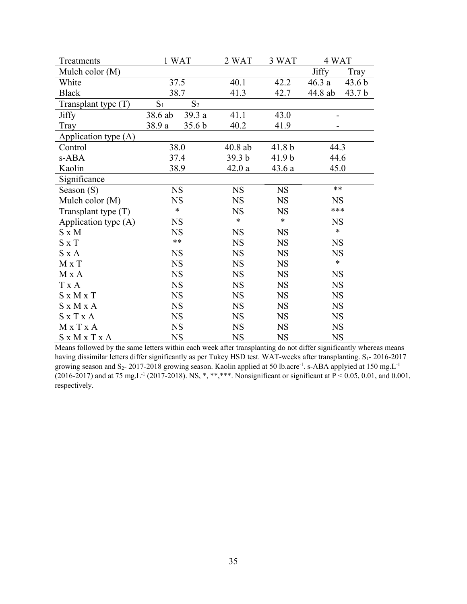| Treatments            |           | 1 WAT             | 2 WAT             | 3 WAT             | 4 WAT        |                   |
|-----------------------|-----------|-------------------|-------------------|-------------------|--------------|-------------------|
| Mulch color (M)       |           |                   |                   |                   | <b>Jiffy</b> | Tray              |
| White                 | 37.5      |                   | 40.1              | 42.2              | 46.3a        | 43.6 <sub>b</sub> |
| <b>Black</b>          | 38.7      |                   | 41.3              | 42.7              | 44.8 ab      | 43.7 <sub>b</sub> |
| Transplant type (T)   | $S_1$     | $S_2$             |                   |                   |              |                   |
| <b>Jiffy</b>          | 38.6 ab   | 39.3 a            | 41.1              | 43.0              |              |                   |
| Tray                  | 38.9 a    | 35.6 <sub>b</sub> | 40.2              | 41.9              |              |                   |
| Application type (A)  |           |                   |                   |                   |              |                   |
| Control               |           | 38.0              | $40.8$ ab         | 41.8 <sub>b</sub> | 44.3         |                   |
| s-ABA                 | 37.4      |                   | 39.3 <sub>b</sub> | 41.9 <sub>b</sub> | 44.6         |                   |
| Kaolin                | 38.9      |                   | 42.0a             | 43.6a             | 45.0         |                   |
| Significance          |           |                   |                   |                   |              |                   |
| Season $(S)$          | <b>NS</b> |                   | <b>NS</b>         | <b>NS</b>         | $**$         |                   |
| Mulch color (M)       | <b>NS</b> |                   | <b>NS</b>         | <b>NS</b>         | <b>NS</b>    |                   |
| Transplant type $(T)$ | $\ast$    |                   | <b>NS</b>         | <b>NS</b>         | ***          |                   |
| Application type (A)  | <b>NS</b> |                   | *                 | $\ast$            | <b>NS</b>    |                   |
| $S \times M$          | <b>NS</b> |                   | <b>NS</b>         | <b>NS</b>         | $\ast$       |                   |
| $S \times T$          | $***$     |                   | <b>NS</b>         | <b>NS</b>         | <b>NS</b>    |                   |
| $S \times A$          | <b>NS</b> |                   | <b>NS</b>         | <b>NS</b>         | <b>NS</b>    |                   |
| $M \times T$          | <b>NS</b> |                   | <b>NS</b>         | <b>NS</b>         | $\ast$       |                   |
| M x A                 | <b>NS</b> |                   | <b>NS</b>         | <b>NS</b>         | <b>NS</b>    |                   |
| T x A                 | <b>NS</b> |                   | <b>NS</b>         | <b>NS</b>         | <b>NS</b>    |                   |
| $S \times M \times T$ | <b>NS</b> |                   | <b>NS</b>         | <b>NS</b>         | <b>NS</b>    |                   |
| $S \times M \times A$ | <b>NS</b> |                   | <b>NS</b>         | <b>NS</b>         | <b>NS</b>    |                   |
| $S \times T \times A$ | <b>NS</b> |                   | <b>NS</b>         | <b>NS</b>         | <b>NS</b>    |                   |
| M x T x A             | <b>NS</b> |                   | <b>NS</b>         | <b>NS</b>         | <b>NS</b>    |                   |
| S x M x T x A         | <b>NS</b> |                   | <b>NS</b>         | <b>NS</b>         | <b>NS</b>    |                   |

Means followed by the same letters within each week after transplanting do not differ significantly whereas means having dissimilar letters differ significantly as per Tukey HSD test. WAT-weeks after transplanting. S<sub>1</sub>- 2016-2017 growing season and S<sub>2</sub>- 2017-2018 growing season. Kaolin applied at 50 lb.acre<sup>-1</sup>. s-ABA applyied at 150 mg.L<sup>-1</sup> (2016-2017) and at 75 mg.L<sup>-1</sup> (2017-2018). NS, \*, \*\*,\*\*\*. Nonsignificant or significant at  $P < 0.05$ , 0.01, and 0.001, respectively.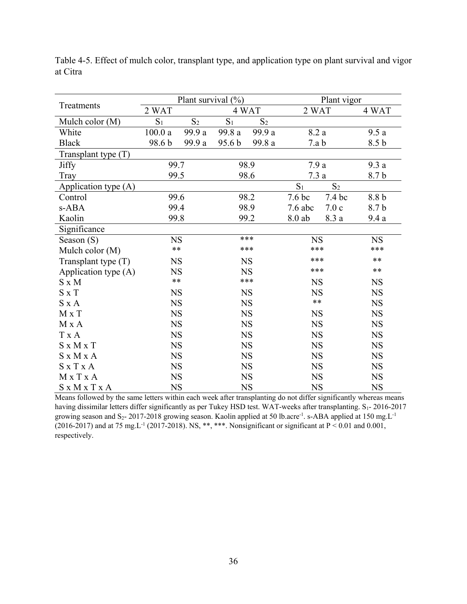|                       |                | Plant survival (%) |                   | Plant vigor    |                   |           |                  |
|-----------------------|----------------|--------------------|-------------------|----------------|-------------------|-----------|------------------|
| Treatments            | 2 WAT          |                    |                   | 4 WAT          | 2 WAT             |           | 4 WAT            |
| Mulch color (M)       | S <sub>1</sub> | S <sub>2</sub>     | $S_1$             | S <sub>2</sub> |                   |           |                  |
| White                 | 100.0a         | 99.9 a             | 99.8 a            | 99.9 a         | 8.2a              |           | 9.5a             |
| <b>Black</b>          | 98.6 b         | 99.9 a             | 95.6 <sub>b</sub> | 99.8 a         | 7.a b             |           | 8.5 <sub>b</sub> |
| Transplant type (T)   |                |                    |                   |                |                   |           |                  |
| Jiffy                 | 99.7           |                    |                   | 98.9           | 7.9a              |           | 9.3a             |
| Tray                  | 99.5           |                    |                   | 98.6           | 7.3a              |           | 8.7 b            |
| Application type (A)  |                |                    |                   |                | $S_1$             | $S_2$     |                  |
| Control               | 99.6           |                    |                   | 98.2           | 7.6 <sub>bc</sub> | 7.4 bc    | 8.8 b            |
| s-ABA                 | 99.4           |                    | 98.9              |                | $7.6$ abc         | 7.0c      | 8.7b             |
| Kaolin                | 99.8           |                    | 99.2              |                | 8.0 ab            | 8.3 a     | 9.4a             |
| Significance          |                |                    |                   |                |                   |           |                  |
| Season (S)            | <b>NS</b>      |                    |                   | ***            |                   | <b>NS</b> |                  |
| Mulch color (M)       | $\ast\ast$     |                    | ***               |                | ***               |           | ***              |
| Transplant type $(T)$ | <b>NS</b>      |                    |                   | <b>NS</b>      | ***               |           | $**$             |
| Application type (A)  | <b>NS</b>      |                    | <b>NS</b>         |                | ***               |           | $***$            |
| $S \times M$          | $**$           |                    |                   | ***            | <b>NS</b>         |           | <b>NS</b>        |
| $S \times T$          | <b>NS</b>      |                    |                   | <b>NS</b>      | <b>NS</b>         |           | <b>NS</b>        |
| $S \times A$          | <b>NS</b>      |                    |                   | <b>NS</b>      | $***$             |           | <b>NS</b>        |
| M x T                 | <b>NS</b>      |                    |                   | <b>NS</b>      | <b>NS</b>         |           | <b>NS</b>        |
| $M x A$               | <b>NS</b>      |                    |                   | <b>NS</b>      | <b>NS</b>         |           | <b>NS</b>        |
| T x A                 | <b>NS</b>      |                    |                   | <b>NS</b>      | <b>NS</b>         |           | <b>NS</b>        |
| $S \times M \times T$ | <b>NS</b>      |                    |                   | <b>NS</b>      | <b>NS</b>         |           | <b>NS</b>        |
| $S \times M \times A$ | <b>NS</b>      |                    |                   | <b>NS</b>      | <b>NS</b>         |           | <b>NS</b>        |
| $S \times T \times A$ | <b>NS</b>      |                    | <b>NS</b>         |                | <b>NS</b>         |           | <b>NS</b>        |
| MxTxA                 | <b>NS</b>      |                    |                   | <b>NS</b>      | <b>NS</b>         |           | <b>NS</b>        |
| S x M x T x A         | <b>NS</b>      |                    | <b>NS</b>         |                | <b>NS</b>         |           | <b>NS</b>        |

Table 4-5. Effect of mulch color, transplant type, and application type on plant survival and vigor at Citra

Means followed by the same letters within each week after transplanting do not differ significantly whereas means having dissimilar letters differ significantly as per Tukey HSD test. WAT-weeks after transplanting. S<sub>1</sub>- 2016-2017 growing season and S<sub>2</sub>- 2017-2018 growing season. Kaolin applied at 50 lb.acre<sup>-1</sup>. s-ABA applied at 150 mg.L<sup>-1</sup> (2016-2017) and at 75 mg.L<sup>-1</sup> (2017-2018). NS, \*\*, \*\*\*. Nonsignificant or significant at P < 0.01 and 0.001, respectively.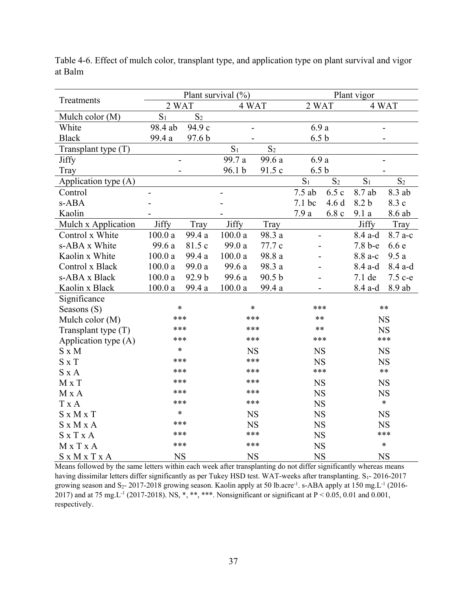|                       |                |                           | Plant survival (%) |                          |                   |                | Plant vigor    |                |
|-----------------------|----------------|---------------------------|--------------------|--------------------------|-------------------|----------------|----------------|----------------|
| Treatments            | 2 WAT          |                           | 4 WAT              |                          | 2 WAT             |                |                | 4 WAT          |
| Mulch color (M)       | S <sub>1</sub> | S <sub>2</sub>            |                    |                          |                   |                |                |                |
| White                 | 98.4 ab        | 94.9 c                    |                    |                          | 6.9a              |                |                |                |
| <b>Black</b>          | 99.4 a         | 97.6 b                    |                    |                          | 6.5 <sub>b</sub>  |                |                |                |
| Transplant type $(T)$ |                |                           | $S_1$              | S <sub>2</sub>           |                   |                |                |                |
| <b>Jiffy</b>          |                | 6.9 a<br>99.7 a<br>99.6 a |                    | $\overline{\phantom{0}}$ |                   |                |                |                |
| Tray                  |                |                           | 96.1 b             | 91.5 c                   | 6.5 <sub>b</sub>  |                |                |                |
| Application type (A)  |                |                           |                    |                          | S <sub>1</sub>    | S <sub>2</sub> | S <sub>1</sub> | S <sub>2</sub> |
| Control               |                |                           |                    |                          | $7.5$ ab          | 6.5c           | 8.7 ab         | 8.3 ab         |
| s-ABA                 |                |                           |                    |                          | 7.1 <sub>bc</sub> | 4.6d           | 8.2 b          | 8.3 c          |
| Kaolin                |                |                           |                    |                          | 7.9 a             | 6.8c           | 9.1a           | 8.6 ab         |
| Mulch x Application   | Jiffy          | Tray                      | Jiffy              | Tray                     |                   |                | <b>Jiffy</b>   | Tray           |
| Control x White       | 100.0a         | 99.4 a                    | 100.0a             | 98.3 a                   | $\overline{a}$    |                | 8.4 a-d        | 8.7 a-c        |
| s-ABA x White         | 99.6 a         | 81.5 c                    | 99.0 a             | 77.7 c                   |                   |                | 7.8 b-e        | 6.6e           |
| Kaolin x White        | 100.0a         | 99.4 a                    | 100.0a             | 98.8 a                   |                   |                | 8.8 a-c        | 9.5a           |
| Control x Black       | 100.0a         | 99.0 a                    | 99.6 a             | 98.3 a                   |                   |                | 8.4 a-d        | $8.4$ a-d      |
| s-ABA x Black         | 100.0a         | 92.9 b                    | 99.6 a             | 90.5 b                   |                   |                | 7.1 de         | 7.5 с-е        |
| Kaolin x Black        | 100.0a         | 99.4 a                    | $100.0\ \rm{a}$    | 99.4 a                   |                   |                | 8.4 a-d        | 8.9 ab         |
| Significance          |                |                           |                    |                          |                   |                |                |                |
| Seasons (S)           | $\ast$         |                           | $\ast$             |                          | ***               |                | **             |                |
| Mulch color (M)       | ***            |                           | ***                |                          | **                |                |                | <b>NS</b>      |
| Transplant type $(T)$ | ***            |                           | ***                |                          | $***$             |                |                | <b>NS</b>      |
| Application type (A)  | ***            |                           | ***                |                          | ***               |                |                | ***            |
| $S \times M$          | $\ast$         |                           | <b>NS</b>          |                          | <b>NS</b>         |                |                | <b>NS</b>      |
| $S \times T$          | ***            |                           | ***                |                          | <b>NS</b>         |                |                | <b>NS</b>      |
| $S \times A$          | ***            |                           | ***                |                          | ***               |                |                | $***$          |
| M x T                 | ***            |                           | ***                |                          | <b>NS</b>         |                |                | <b>NS</b>      |
| M x A                 | ***            |                           | ***                |                          | <b>NS</b>         |                |                | <b>NS</b>      |
| T x A                 | ***            |                           | ***                |                          | <b>NS</b>         |                |                | $\ast$         |
| $S \times M \times T$ |                | $\ast$<br><b>NS</b>       |                    |                          | <b>NS</b>         |                |                | <b>NS</b>      |
| $S \times M \times A$ | ***            |                           | <b>NS</b>          |                          | <b>NS</b>         |                |                | <b>NS</b>      |
| <b>SxTxA</b>          | ***            |                           | ***                |                          | <b>NS</b>         |                |                | ***            |
| MxTxA                 | ***            |                           | ***                |                          | <b>NS</b>         |                |                | $\ast$         |
| S x M x T x A         | <b>NS</b>      |                           | <b>NS</b>          |                          | <b>NS</b>         |                |                | <b>NS</b>      |

Table 4-6. Effect of mulch color, transplant type, and application type on plant survival and vigor at Balm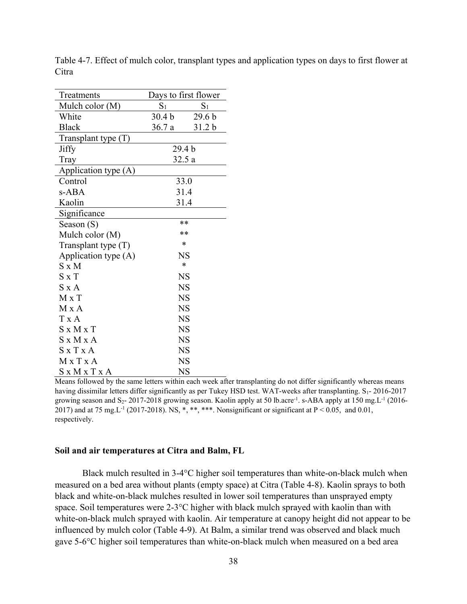| Treatments             |                   | Days to first flower |
|------------------------|-------------------|----------------------|
| Mulch color (M)        | $\mathrm{S}_1$    | $\mathrm{S}_1$       |
| White                  | 30.4 <sub>b</sub> | 29.6 <sub>b</sub>    |
| <b>Black</b>           | 36.7a             | 31.2 <sub>b</sub>    |
| Transplant type $(T)$  |                   |                      |
| Jiffy                  |                   | 29.4 <sub>b</sub>    |
| Tray                   |                   | 32.5a                |
| Application type $(A)$ |                   |                      |
| Control                |                   | 33.0                 |
| s-ABA                  |                   | 31.4                 |
| Kaolin                 |                   | 31.4                 |
| Significance           |                   |                      |
| Season (S)             |                   | **                   |
| Mulch color (M)        |                   | **                   |
| Transplant type $(T)$  |                   | *                    |
| Application type $(A)$ |                   | NS                   |
| $S \times M$           |                   | *                    |
| $S \times T$           |                   | <b>NS</b>            |
| $S \times A$           |                   | <b>NS</b>            |
| $M \times T$           |                   | <b>NS</b>            |
| $M \times A$           |                   | <b>NS</b>            |
| $T \times A$           |                   | <b>NS</b>            |
| $S \times M \times T$  |                   | <b>NS</b>            |
| $S \times M \times A$  |                   | <b>NS</b>            |
| $S \times T \times A$  |                   | <b>NS</b>            |
| M x T x A              |                   | NS                   |
| S x M x T x A          |                   | <b>NS</b>            |

Table 4-7. Effect of mulch color, transplant types and application types on days to first flower at Citra

Means followed by the same letters within each week after transplanting do not differ significantly whereas means having dissimilar letters differ significantly as per Tukey HSD test. WAT-weeks after transplanting. S<sub>1</sub>- 2016-2017 growing season and S<sub>2</sub>- 2017-2018 growing season. Kaolin apply at 50 lb.acre<sup>-1</sup>. s-ABA apply at 150 mg. L<sup>-1</sup> (2016-2017) and at 75 mg. L<sup>-1</sup> (2017-2018). NS, \*, \*\*, \*\*\*. Nonsignificant or significant at  $P < 0.05$ , and 0.01, respectively.

# **Soil and air temperatures at Citra and Balm, FL**

Black mulch resulted in 3-4°C higher soil temperatures than white-on-black mulch when measured on a bed area without plants (empty space) at Citra (Table 4-8). Kaolin sprays to both black and white-on-black mulches resulted in lower soil temperatures than unsprayed empty space. Soil temperatures were 2-3°C higher with black mulch sprayed with kaolin than with white-on-black mulch sprayed with kaolin. Air temperature at canopy height did not appear to be influenced by mulch color (Table 4-9). At Balm, a similar trend was observed and black much gave 5-6°C higher soil temperatures than white-on-black mulch when measured on a bed area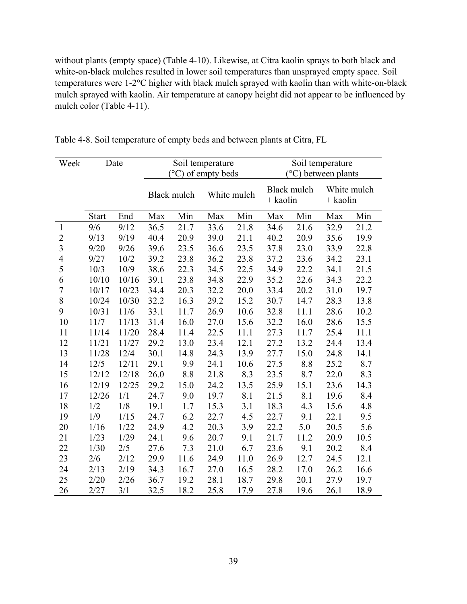without plants (empty space) (Table 4-10). Likewise, at Citra kaolin sprays to both black and white-on-black mulches resulted in lower soil temperatures than unsprayed empty space. Soil temperatures were 1-2°C higher with black mulch sprayed with kaolin than with white-on-black mulch sprayed with kaolin. Air temperature at canopy height did not appear to be influenced by mulch color (Table 4-11).

| Week           |              | Date  | Soil temperature<br>$(^{\circ}C)$ of empty beds |      |      |             | Soil temperature<br><sup>o</sup> C) between plants |             |                         |      |  |
|----------------|--------------|-------|-------------------------------------------------|------|------|-------------|----------------------------------------------------|-------------|-------------------------|------|--|
|                |              |       | Black mulch                                     |      |      | White mulch | $+$ kaolin                                         | Black mulch | White mulch<br>+ kaolin |      |  |
|                | <b>Start</b> | End   | Max                                             | Min  | Max  | Min         | Max                                                | Min         | Max                     | Min  |  |
| $\mathbf{1}$   | 9/6          | 9/12  | 36.5                                            | 21.7 | 33.6 | 21.8        | 34.6                                               | 21.6        | 32.9                    | 21.2 |  |
| $\overline{c}$ | 9/13         | 9/19  | 40.4                                            | 20.9 | 39.0 | 21.1        | 40.2                                               | 20.9        | 35.6                    | 19.9 |  |
| $\overline{3}$ | 9/20         | 9/26  | 39.6                                            | 23.5 | 36.6 | 23.5        | 37.8                                               | 23.0        | 33.9                    | 22.8 |  |
| $\overline{4}$ | 9/27         | 10/2  | 39.2                                            | 23.8 | 36.2 | 23.8        | 37.2                                               | 23.6        | 34.2                    | 23.1 |  |
| 5              | 10/3         | 10/9  | 38.6                                            | 22.3 | 34.5 | 22.5        | 34.9                                               | 22.2        | 34.1                    | 21.5 |  |
| 6              | 10/10        | 10/16 | 39.1                                            | 23.8 | 34.8 | 22.9        | 35.2                                               | 22.6        | 34.3                    | 22.2 |  |
| $\overline{7}$ | 10/17        | 10/23 | 34.4                                            | 20.3 | 32.2 | 20.0        | 33.4                                               | 20.2        | 31.0                    | 19.7 |  |
| 8              | 10/24        | 10/30 | 32.2                                            | 16.3 | 29.2 | 15.2        | 30.7                                               | 14.7        | 28.3                    | 13.8 |  |
| 9              | 10/31        | 11/6  | 33.1                                            | 11.7 | 26.9 | 10.6        | 32.8                                               | 11.1        | 28.6                    | 10.2 |  |
| 10             | 11/7         | 11/13 | 31.4                                            | 16.0 | 27.0 | 15.6        | 32.2                                               | 16.0        | 28.6                    | 15.5 |  |
| 11             | 11/14        | 11/20 | 28.4                                            | 11.4 | 22.5 | 11.1        | 27.3                                               | 11.7        | 25.4                    | 11.1 |  |
| 12             | 11/21        | 11/27 | 29.2                                            | 13.0 | 23.4 | 12.1        | 27.2                                               | 13.2        | 24.4                    | 13.4 |  |
| 13             | 11/28        | 12/4  | 30.1                                            | 14.8 | 24.3 | 13.9        | 27.7                                               | 15.0        | 24.8                    | 14.1 |  |
| 14             | 12/5         | 12/11 | 29.1                                            | 9.9  | 24.1 | 10.6        | 27.5                                               | 8.8         | 25.2                    | 8.7  |  |
| 15             | 12/12        | 12/18 | 26.0                                            | 8.8  | 21.8 | 8.3         | 23.5                                               | 8.7         | 22.0                    | 8.3  |  |
| 16             | 12/19        | 12/25 | 29.2                                            | 15.0 | 24.2 | 13.5        | 25.9                                               | 15.1        | 23.6                    | 14.3 |  |
| 17             | 12/26        | 1/1   | 24.7                                            | 9.0  | 19.7 | 8.1         | 21.5                                               | 8.1         | 19.6                    | 8.4  |  |
| 18             | 1/2          | 1/8   | 19.1                                            | 1.7  | 15.3 | 3.1         | 18.3                                               | 4.3         | 15.6                    | 4.8  |  |
| 19             | 1/9          | 1/15  | 24.7                                            | 6.2  | 22.7 | 4.5         | 22.7                                               | 9.1         | 22.1                    | 9.5  |  |
| 20             | 1/16         | 1/22  | 24.9                                            | 4.2  | 20.3 | 3.9         | 22.2                                               | 5.0         | 20.5                    | 5.6  |  |
| 21             | 1/23         | 1/29  | 24.1                                            | 9.6  | 20.7 | 9.1         | 21.7                                               | 11.2        | 20.9                    | 10.5 |  |
| 22             | 1/30         | 2/5   | 27.6                                            | 7.3  | 21.0 | 6.7         | 23.6                                               | 9.1         | 20.2                    | 8.4  |  |
| 23             | 2/6          | 2/12  | 29.9                                            | 11.6 | 24.9 | 11.0        | 26.9                                               | 12.7        | 24.5                    | 12.1 |  |
| 24             | 2/13         | 2/19  | 34.3                                            | 16.7 | 27.0 | 16.5        | 28.2                                               | 17.0        | 26.2                    | 16.6 |  |
| 25             | 2/20         | 2/26  | 36.7                                            | 19.2 | 28.1 | 18.7        | 29.8                                               | 20.1        | 27.9                    | 19.7 |  |
| 26             | 2/27         | 3/1   | 32.5                                            | 18.2 | 25.8 | 17.9        | 27.8                                               | 19.6        | 26.1                    | 18.9 |  |

Table 4-8. Soil temperature of empty beds and between plants at Citra, FL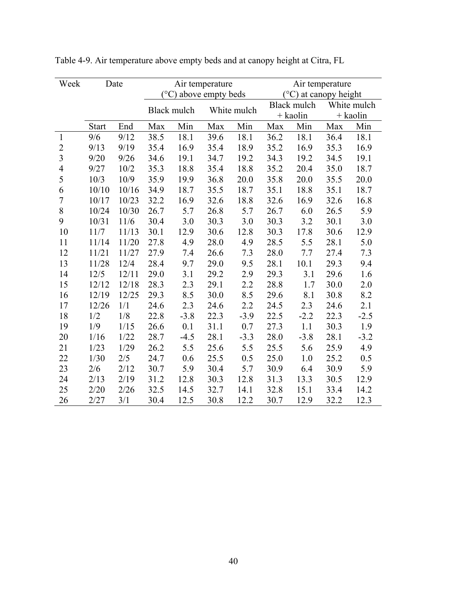| Week           |              | Date  |      |                                  | Air temperature |             | Air temperature |                                |          |             |
|----------------|--------------|-------|------|----------------------------------|-----------------|-------------|-----------------|--------------------------------|----------|-------------|
|                |              |       |      | $({}^{\circ}C)$ above empty beds |                 |             |                 | $(^{\circ}C)$ at canopy height |          |             |
|                |              |       |      | Black mulch                      |                 | White mulch |                 | Black mulch                    |          | White mulch |
|                |              |       |      |                                  |                 |             |                 | $+$ kaolin                     | + kaolin |             |
|                | <b>Start</b> | End   | Max  | Min                              | Max             | Min         | Max             | Min                            | Max      | Min         |
| 1              | 9/6          | 9/12  | 38.5 | 18.1                             | 39.6            | 18.1        | 36.2            | 18.1                           | 36.4     | 18.1        |
| $\overline{2}$ | 9/13         | 9/19  | 35.4 | 16.9                             | 35.4            | 18.9        | 35.2            | 16.9                           | 35.3     | 16.9        |
| $\overline{3}$ | 9/20         | 9/26  | 34.6 | 19.1                             | 34.7            | 19.2        | 34.3            | 19.2                           | 34.5     | 19.1        |
| 4              | 9/27         | 10/2  | 35.3 | 18.8                             | 35.4            | 18.8        | 35.2            | 20.4                           | 35.0     | 18.7        |
| 5              | 10/3         | 10/9  | 35.9 | 19.9                             | 36.8            | 20.0        | 35.8            | 20.0                           | 35.5     | 20.0        |
| 6              | 10/10        | 10/16 | 34.9 | 18.7                             | 35.5            | 18.7        | 35.1            | 18.8                           | 35.1     | 18.7        |
| $\overline{7}$ | 10/17        | 10/23 | 32.2 | 16.9                             | 32.6            | 18.8        | 32.6            | 16.9                           | 32.6     | 16.8        |
| $8\,$          | 10/24        | 10/30 | 26.7 | 5.7                              | 26.8            | 5.7         | 26.7            | 6.0                            | 26.5     | 5.9         |
| 9              | 10/31        | 11/6  | 30.4 | 3.0                              | 30.3            | 3.0         | 30.3            | 3.2                            | 30.1     | 3.0         |
| 10             | 11/7         | 11/13 | 30.1 | 12.9                             | 30.6            | 12.8        | 30.3            | 17.8                           | 30.6     | 12.9        |
| 11             | 11/14        | 11/20 | 27.8 | 4.9                              | 28.0            | 4.9         | 28.5            | 5.5                            | 28.1     | 5.0         |
| 12             | 11/21        | 11/27 | 27.9 | 7.4                              | 26.6            | 7.3         | 28.0            | 7.7                            | 27.4     | 7.3         |
| 13             | 11/28        | 12/4  | 28.4 | 9.7                              | 29.0            | 9.5         | 28.1            | 10.1                           | 29.3     | 9.4         |
| 14             | 12/5         | 12/11 | 29.0 | 3.1                              | 29.2            | 2.9         | 29.3            | 3.1                            | 29.6     | 1.6         |
| 15             | 12/12        | 12/18 | 28.3 | 2.3                              | 29.1            | 2.2         | 28.8            | 1.7                            | 30.0     | 2.0         |
| 16             | 12/19        | 12/25 | 29.3 | 8.5                              | 30.0            | 8.5         | 29.6            | 8.1                            | 30.8     | 8.2         |
| 17             | 12/26        | 1/1   | 24.6 | 2.3                              | 24.6            | 2.2         | 24.5            | 2.3                            | 24.6     | 2.1         |
| 18             | 1/2          | 1/8   | 22.8 | $-3.8$                           | 22.3            | $-3.9$      | 22.5            | $-2.2$                         | 22.3     | $-2.5$      |
| 19             | 1/9          | 1/15  | 26.6 | 0.1                              | 31.1            | 0.7         | 27.3            | 1.1                            | 30.3     | 1.9         |
| 20             | 1/16         | 1/22  | 28.7 | $-4.5$                           | 28.1            | $-3.3$      | 28.0            | $-3.8$                         | 28.1     | $-3.2$      |
| 21             | 1/23         | 1/29  | 26.2 | 5.5                              | 25.6            | 5.5         | 25.5            | 5.6                            | 25.9     | 4.9         |
| 22             | 1/30         | 2/5   | 24.7 | 0.6                              | 25.5            | 0.5         | 25.0            | 1.0                            | 25.2     | 0.5         |
| 23             | 2/6          | 2/12  | 30.7 | 5.9                              | 30.4            | 5.7         | 30.9            | 6.4                            | 30.9     | 5.9         |
| 24             | 2/13         | 2/19  | 31.2 | 12.8                             | 30.3            | 12.8        | 31.3            | 13.3                           | 30.5     | 12.9        |
| 25             | 2/20         | 2/26  | 32.5 | 14.5                             | 32.7            | 14.1        | 32.8            | 15.1                           | 33.4     | 14.2        |
| 26             | 2/27         | 3/1   | 30.4 | 12.5                             | 30.8            | 12.2        | 30.7            | 12.9                           | 32.2     | 12.3        |

Table 4-9. Air temperature above empty beds and at canopy height at Citra, FL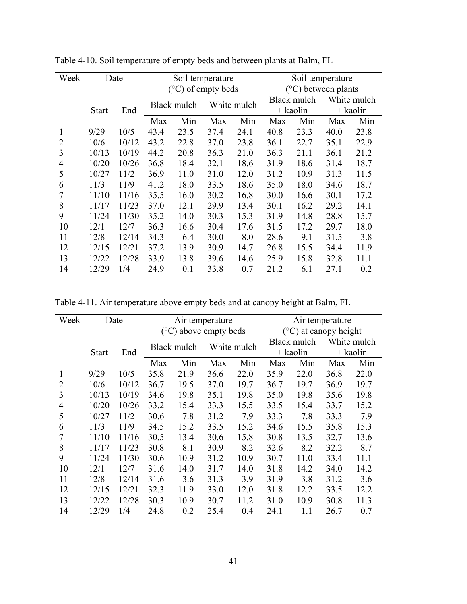| Week |              | Date  |      | Soil temperature            |      |             |             | Soil temperature |                           |             |  |
|------|--------------|-------|------|-----------------------------|------|-------------|-------------|------------------|---------------------------|-------------|--|
|      |              |       |      | $(^{\circ}C)$ of empty beds |      |             |             |                  | $\rm (°C)$ between plants |             |  |
|      |              |       |      | Black mulch                 |      | White mulch | Black mulch |                  |                           | White mulch |  |
|      | <b>Start</b> | End   |      |                             |      |             |             | $+$ kaolin       |                           | + kaolin    |  |
|      |              |       | Max  | Min                         | Max  | Min         | Max         | Min              | Max                       | Min         |  |
| 1    | 9/29         | 10/5  | 43.4 | 23.5                        | 37.4 | 24.1        | 40.8        | 23.3             | 40.0                      | 23.8        |  |
| 2    | 10/6         | 10/12 | 43.2 | 22.8                        | 37.0 | 23.8        | 36.1        | 22.7             | 35.1                      | 22.9        |  |
| 3    | 10/13        | 10/19 | 44.2 | 20.8                        | 36.3 | 21.0        | 36.3        | 21.1             | 36.1                      | 21.2        |  |
| 4    | 10/20        | 10/26 | 36.8 | 18.4                        | 32.1 | 18.6        | 31.9        | 18.6             | 31.4                      | 18.7        |  |
| 5    | 10/27        | 11/2  | 36.9 | 11.0                        | 31.0 | 12.0        | 31.2        | 10.9             | 31.3                      | 11.5        |  |
| 6    | 11/3         | 11/9  | 41.2 | 18.0                        | 33.5 | 18.6        | 35.0        | 18.0             | 34.6                      | 18.7        |  |
| 7    | 11/10        | 11/16 | 35.5 | 16.0                        | 30.2 | 16.8        | 30.0        | 16.6             | 30.1                      | 17.2        |  |
| 8    | 11/17        | 11/23 | 37.0 | 12.1                        | 29.9 | 13.4        | 30.1        | 16.2             | 29.2                      | 14.1        |  |
| 9    | 11/24        | 11/30 | 35.2 | 14.0                        | 30.3 | 15.3        | 31.9        | 14.8             | 28.8                      | 15.7        |  |
| 10   | 12/1         | 12/7  | 36.3 | 16.6                        | 30.4 | 17.6        | 31.5        | 17.2             | 29.7                      | 18.0        |  |
| 11   | 12/8         | 12/14 | 34.3 | 6.4                         | 30.0 | 8.0         | 28.6        | 9.1              | 31.5                      | 3.8         |  |
| 12   | 12/15        | 12/21 | 37.2 | 13.9                        | 30.9 | 14.7        | 26.8        | 15.5             | 34.4                      | 11.9        |  |
| 13   | 12/22        | 12/28 | 33.9 | 13.8                        | 39.6 | 14.6        | 25.9        | 15.8             | 32.8                      | 11.1        |  |
| 14   | 12/29        | 1/4   | 24.9 | 0.1                         | 33.8 | 0.7         | 21.2        | 6.1              | 27.1                      | 0.2         |  |

Table 4-10. Soil temperature of empty beds and between plants at Balm, FL

Table 4-11. Air temperature above empty beds and at canopy height at Balm, FL

| Week |              | Date  |      |                            | Air temperature  |      |                                   | Air temperature |             |      |  |
|------|--------------|-------|------|----------------------------|------------------|------|-----------------------------------|-----------------|-------------|------|--|
|      |              |       |      |                            | above empty beds |      | $^{\circ}$ C)<br>at canopy height |                 |             |      |  |
|      |              |       |      | White mulch<br>Black mulch |                  |      |                                   | Black mulch     | White mulch |      |  |
|      | <b>Start</b> | End   |      |                            |                  |      | $+$ kaolin                        |                 | $+$ kaolin  |      |  |
|      |              |       | Max  | Min                        | Max              | Min  | Max                               | Min             | Max         | Min  |  |
| 1    | 9/29         | 10/5  | 35.8 | 21.9                       | 36.6             | 22.0 | 35.9                              | 22.0            | 36.8        | 22.0 |  |
| 2    | 10/6         | 10/12 | 36.7 | 19.5                       | 37.0             | 19.7 | 36.7                              | 19.7            | 36.9        | 19.7 |  |
| 3    | 10/13        | 10/19 | 34.6 | 19.8                       | 35.1             | 19.8 | 35.0                              | 19.8            | 35.6        | 19.8 |  |
| 4    | 10/20        | 10/26 | 33.2 | 15.4                       | 33.3             | 15.5 | 33.5                              | 15.4            | 33.7        | 15.2 |  |
| 5    | 10/27        | 11/2  | 30.6 | 7.8                        | 31.2             | 7.9  | 33.3                              | 7.8             | 33.3        | 7.9  |  |
| 6    | 11/3         | 11/9  | 34.5 | 15.2                       | 33.5             | 15.2 | 34.6                              | 15.5            | 35.8        | 15.3 |  |
| 7    | 11/10        | 11/16 | 30.5 | 13.4                       | 30.6             | 15.8 | 30.8                              | 13.5            | 32.7        | 13.6 |  |
| 8    | 11/17        | 11/23 | 30.8 | 8.1                        | 30.9             | 8.2  | 32.6                              | 8.2             | 32.2        | 8.7  |  |
| 9    | 11/24        | 11/30 | 30.6 | 10.9                       | 31.2             | 10.9 | 30.7                              | 11.0            | 33.4        | 11.1 |  |
| 10   | 12/1         | 12/7  | 31.6 | 14.0                       | 31.7             | 14.0 | 31.8                              | 14.2            | 34.0        | 14.2 |  |
| 11   | 12/8         | 12/14 | 31.6 | 3.6                        | 31.3             | 3.9  | 31.9                              | 3.8             | 31.2        | 3.6  |  |
| 12   | 12/15        | 12/21 | 32.3 | 11.9                       | 33.0             | 12.0 | 31.8                              | 12.2            | 33.5        | 12.2 |  |
| 13   | 12/22        | 12/28 | 30.3 | 10.9                       | 30.7             | 11.2 | 31.0                              | 10.9            | 30.8        | 11.3 |  |
| 14   | 12/29        | 1/4   | 24.8 | 0.2                        | 25.4             | 0.4  | 24.1                              | 1.1             | 26.7        | 0.7  |  |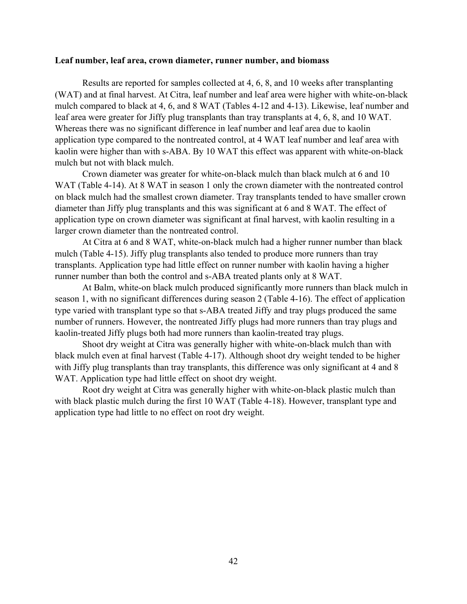### **Leaf number, leaf area, crown diameter, runner number, and biomass**

Results are reported for samples collected at 4, 6, 8, and 10 weeks after transplanting (WAT) and at final harvest. At Citra, leaf number and leaf area were higher with white-on-black mulch compared to black at 4, 6, and 8 WAT (Tables 4-12 and 4-13). Likewise, leaf number and leaf area were greater for Jiffy plug transplants than tray transplants at 4, 6, 8, and 10 WAT. Whereas there was no significant difference in leaf number and leaf area due to kaolin application type compared to the nontreated control, at 4 WAT leaf number and leaf area with kaolin were higher than with s-ABA. By 10 WAT this effect was apparent with white-on-black mulch but not with black mulch.

 Crown diameter was greater for white-on-black mulch than black mulch at 6 and 10 WAT (Table 4-14). At 8 WAT in season 1 only the crown diameter with the nontreated control on black mulch had the smallest crown diameter. Tray transplants tended to have smaller crown diameter than Jiffy plug transplants and this was significant at 6 and 8 WAT. The effect of application type on crown diameter was significant at final harvest, with kaolin resulting in a larger crown diameter than the nontreated control.

At Citra at 6 and 8 WAT, white-on-black mulch had a higher runner number than black mulch (Table 4-15). Jiffy plug transplants also tended to produce more runners than tray transplants. Application type had little effect on runner number with kaolin having a higher runner number than both the control and s-ABA treated plants only at 8 WAT.

At Balm, white-on black mulch produced significantly more runners than black mulch in season 1, with no significant differences during season 2 (Table 4-16). The effect of application type varied with transplant type so that s-ABA treated Jiffy and tray plugs produced the same number of runners. However, the nontreated Jiffy plugs had more runners than tray plugs and kaolin-treated Jiffy plugs both had more runners than kaolin-treated tray plugs.

Shoot dry weight at Citra was generally higher with white-on-black mulch than with black mulch even at final harvest (Table 4-17). Although shoot dry weight tended to be higher with Jiffy plug transplants than tray transplants, this difference was only significant at 4 and 8 WAT. Application type had little effect on shoot dry weight.

Root dry weight at Citra was generally higher with white-on-black plastic mulch than with black plastic mulch during the first 10 WAT (Table 4-18). However, transplant type and application type had little to no effect on root dry weight.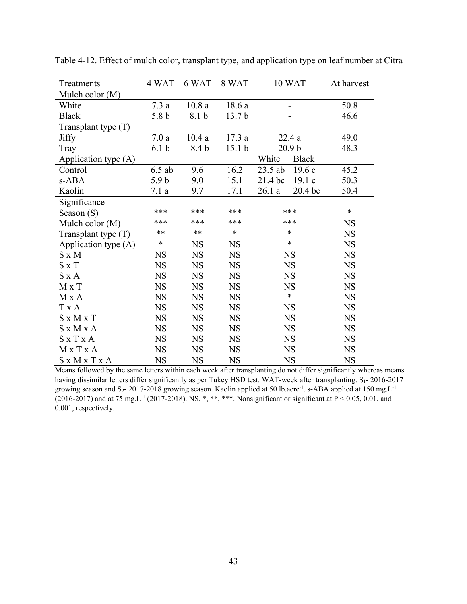| Treatments            | 4 WAT            | 6 WAT       | 8 WAT             | 10 WAT                | At harvest |
|-----------------------|------------------|-------------|-------------------|-----------------------|------------|
| Mulch color (M)       |                  |             |                   |                       |            |
| White                 | 7.3a             | 10.8a       | 18.6 a            |                       | 50.8       |
| <b>Black</b>          | 5.8 <sub>b</sub> | 8.1 b       | 13.7 <sub>b</sub> |                       | 46.6       |
| Transplant type (T)   |                  |             |                   |                       |            |
| <b>Jiffy</b>          | 7.0a             | 10.4a       | 17.3a             | 22.4a                 | 49.0       |
| Tray                  | 6.1 <sub>b</sub> | 8.4 b       | 15.1 <sub>b</sub> | 20.9 <sub>b</sub>     | 48.3       |
| Application type (A)  |                  |             |                   | White<br><b>Black</b> |            |
| Control               | $6.5$ ab         | 9.6         | 16.2              | 23.5 ab<br>19.6c      | 45.2       |
| s-ABA                 | 5.9 <sub>b</sub> | 9.0         | 15.1              | 21.4 bc<br>19.1c      | 50.3       |
| Kaolin                | 7.1a             | 9.7         | 17.1              | 26.1a<br>20.4 bc      | 50.4       |
| Significance          |                  |             |                   |                       |            |
| Season $(S)$          | ***              | ***         | ***               | ***                   | $\ast$     |
| Mulch color (M)       | ***              | ***         | ***               | ***                   | <b>NS</b>  |
| Transplant type (T)   | **               | $***$       | $\ast$            | $\ast$                | <b>NS</b>  |
| Application type (A)  | $\ast$           | <b>NS</b>   | <b>NS</b>         | *                     | <b>NS</b>  |
| $S \times M$          | <b>NS</b>        | <b>NS</b>   | <b>NS</b>         | <b>NS</b>             | <b>NS</b>  |
| $S \times T$          | <b>NS</b>        | <b>NS</b>   | <b>NS</b>         | <b>NS</b>             | <b>NS</b>  |
| $S \times A$          | <b>NS</b>        | $_{\rm NS}$ | <b>NS</b>         | <b>NS</b>             | <b>NS</b>  |
| $M \times T$          | <b>NS</b>        | <b>NS</b>   | <b>NS</b>         | <b>NS</b>             | <b>NS</b>  |
| M x A                 | <b>NS</b>        | <b>NS</b>   | <b>NS</b>         | $\ast$                | <b>NS</b>  |
| T x A                 | <b>NS</b>        | <b>NS</b>   | <b>NS</b>         | <b>NS</b>             | <b>NS</b>  |
| $S \times M \times T$ | <b>NS</b>        | <b>NS</b>   | <b>NS</b>         | <b>NS</b>             | <b>NS</b>  |
| S x M x A             | <b>NS</b>        | <b>NS</b>   | <b>NS</b>         | <b>NS</b>             | <b>NS</b>  |
| $S \times T \times A$ | <b>NS</b>        | <b>NS</b>   | <b>NS</b>         | <b>NS</b>             | <b>NS</b>  |
| MxTxA                 | <b>NS</b>        | <b>NS</b>   | <b>NS</b>         | <b>NS</b>             | <b>NS</b>  |
| S x M x T x A         | <b>NS</b>        | <b>NS</b>   | <b>NS</b>         | <b>NS</b>             | <b>NS</b>  |

Table 4-12. Effect of mulch color, transplant type, and application type on leaf number at Citra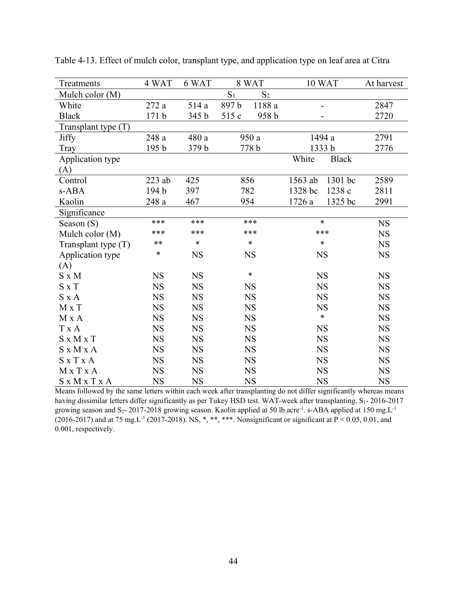| Treatments            | 4 WAT            | 6 WAT       |                | 8 WAT          |           | 10 WAT                       | At harvest  |
|-----------------------|------------------|-------------|----------------|----------------|-----------|------------------------------|-------------|
| Mulch color (M)       |                  |             | S <sub>1</sub> | S <sub>2</sub> |           |                              |             |
| White                 | 272a             | 514 a       | 897b           | 1188a          |           | $\qquad \qquad \blacksquare$ | 2847        |
| <b>Black</b>          | 171 <sub>b</sub> | 345 b       | 515 c          | 958 b          |           |                              | 2720        |
| Transplant type (T)   |                  |             |                |                |           |                              |             |
| <b>Jiffy</b>          | 248 a            | 480 a       | 950 a          |                |           | 1494 a                       | 2791        |
| Tray                  | 195 <sub>b</sub> | 379 b       |                | 778 b          |           | 1333 b                       | 2776        |
| Application type      |                  |             |                |                | White     | <b>Black</b>                 |             |
| (A)                   |                  |             |                |                |           |                              |             |
| Control               | $223$ ab         | 425         |                | 856            | 1563 ab   | 1301 bc                      | 2589        |
| s-ABA                 | 194 b            | 397         | 782            |                | 1328 bc   | 1238 c                       | 2811        |
| Kaolin                | 248a             | 467         | 954            |                | 1726 a    | 1325 bc                      | 2991        |
| Significance          |                  |             |                |                |           |                              |             |
| Season $(S)$          | ***              | ***         |                | ***            | $\ast$    |                              | $_{\rm NS}$ |
| Mulch color (M)       | ***              | ***         |                | ***            | ***       |                              | <b>NS</b>   |
| Transplant type (T)   | **               | *           |                | $\ast$         | $\ast$    |                              | <b>NS</b>   |
| Application type      | *                | NS          |                | <b>NS</b>      | <b>NS</b> |                              | NS          |
| (A)                   |                  |             |                |                |           |                              |             |
| $S \times M$          | NS               | <b>NS</b>   |                | $\ast$         |           | <b>NS</b>                    | <b>NS</b>   |
| $S \times T$          | <b>NS</b>        | <b>NS</b>   |                | <b>NS</b>      |           | <b>NS</b>                    | <b>NS</b>   |
| $S \times A$          | <b>NS</b>        | <b>NS</b>   |                | <b>NS</b>      |           | <b>NS</b>                    | <b>NS</b>   |
| M x T                 | <b>NS</b>        | <b>NS</b>   |                | <b>NS</b>      |           | <b>NS</b>                    | <b>NS</b>   |
| M x A                 | <b>NS</b>        | NS          |                | <b>NS</b>      |           | $\ast$                       | <b>NS</b>   |
| T x A                 | <b>NS</b>        | <b>NS</b>   |                | <b>NS</b>      |           | <b>NS</b>                    | <b>NS</b>   |
| $S \times M \times T$ | NS               | <b>NS</b>   | <b>NS</b>      |                |           | <b>NS</b>                    | <b>NS</b>   |
| S x M x A             | <b>NS</b>        | <b>NS</b>   | <b>NS</b>      |                |           | <b>NS</b>                    | <b>NS</b>   |
| $S \times T \times A$ | NS               | $_{\rm NS}$ | <b>NS</b>      |                | <b>NS</b> |                              | <b>NS</b>   |
| M x T x A             | <b>NS</b>        | <b>NS</b>   |                | <b>NS</b>      | <b>NS</b> |                              | <b>NS</b>   |
| S x M x T x A         | <b>NS</b>        | <b>NS</b>   |                | <b>NS</b>      |           | <b>NS</b>                    | <b>NS</b>   |

Table 4-13. Effect of mulch color, transplant type, and application type on leaf area at Citra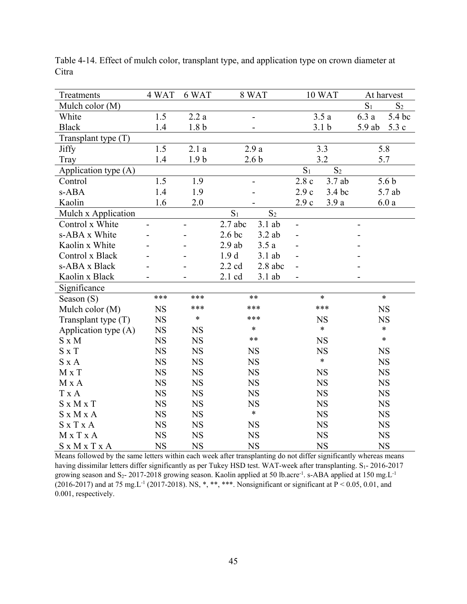| Treatments            | 4 WAT       | 6 WAT            |                   | 8 WAT            |                | 10 WAT           |          | At harvest       |
|-----------------------|-------------|------------------|-------------------|------------------|----------------|------------------|----------|------------------|
| Mulch color (M)       |             |                  |                   |                  |                |                  | $S_1$    | $S_2$            |
| White                 | 1.5         | 2.2a             |                   |                  |                | 3.5a             | 6.3a     | 5.4 bc           |
| <b>Black</b>          | 1.4         | 1.8 <sub>b</sub> |                   |                  |                | 3.1 <sub>b</sub> | $5.9$ ab | 5.3 c            |
| Transplant type $(T)$ |             |                  |                   |                  |                |                  |          |                  |
| <b>Jiffy</b>          | 1.5         | 2.1a             |                   | 2.9a             |                | 3.3              |          | 5.8              |
| Tray                  | 1.4         | 1.9 <sub>b</sub> |                   | 2.6 <sub>b</sub> |                | 3.2              | 5.7      |                  |
| Application type (A)  |             |                  |                   |                  | S <sub>1</sub> | S <sub>2</sub>   |          |                  |
| Control               | 1.5         | 1.9              |                   |                  | 2.8c           | 3.7 ab           |          | 5.6 <sub>b</sub> |
| s-ABA                 | 1.4         | 1.9              |                   |                  | 2.9c           | 3.4 bc           |          | 5.7 ab           |
| Kaolin                | 1.6         | 2.0              |                   |                  | 2.9c           | 3.9a             |          | 6.0a             |
| Mulch x Application   |             |                  | $S_1$             | $S_2$            |                |                  |          |                  |
| Control x White       |             |                  | $2.7$ abc         | $3.1$ ab         | $\blacksquare$ |                  |          |                  |
| s-ABA x White         |             |                  | 2.6 <sub>bc</sub> | $3.2$ ab         |                |                  |          |                  |
| Kaolin x White        |             |                  | $2.9$ ab          | 3.5a             |                |                  |          |                  |
| Control x Black       |             |                  | 1.9d              | $3.1$ ab         |                |                  |          |                  |
| s-ABA x Black         |             |                  | $2.2 \text{ cd}$  | $2.8$ abc        |                |                  |          |                  |
| Kaolin x Black        |             |                  | 2.1 cd            | $3.1$ ab         |                |                  |          |                  |
| Significance          |             |                  |                   |                  |                |                  |          |                  |
| Season (S)            | ***         | ***              |                   | $**$             |                | $\ast$           |          | $\ast$           |
| Mulch color (M)       | <b>NS</b>   | ***              |                   | ***              |                | ***              |          | <b>NS</b>        |
| Transplant type $(T)$ | <b>NS</b>   | $\ast$           |                   | ***              |                | <b>NS</b>        |          | <b>NS</b>        |
| Application type (A)  | $_{\rm NS}$ | <b>NS</b>        |                   | $\ast$           |                | $\ast$           |          | $\ast$           |
| $S \times M$          | NS          | <b>NS</b>        |                   | $***$            |                | $_{\rm NS}$      |          | $\ast$           |
| $S \times T$          | <b>NS</b>   | <b>NS</b>        |                   | <b>NS</b>        |                | <b>NS</b>        |          | <b>NS</b>        |
| $S \times A$          | <b>NS</b>   | <b>NS</b>        |                   | <b>NS</b>        |                | $\ast$           |          | <b>NS</b>        |
| $M \times T$          | <b>NS</b>   | $_{\rm NS}$      |                   | <b>NS</b>        |                | $_{\rm NS}$      |          | <b>NS</b>        |
| M x A                 | <b>NS</b>   | $_{\rm NS}$      |                   | NS               |                | <b>NS</b>        |          | $_{\rm NS}$      |
| T x A                 | <b>NS</b>   | <b>NS</b>        |                   | <b>NS</b>        |                | <b>NS</b>        |          | <b>NS</b>        |
| $S \times M \times T$ | <b>NS</b>   | <b>NS</b>        |                   | <b>NS</b>        |                | <b>NS</b>        |          | <b>NS</b>        |
| S x M x A             | <b>NS</b>   | <b>NS</b>        |                   | $\ast$           |                | <b>NS</b>        |          | <b>NS</b>        |
| $S \times T \times A$ | <b>NS</b>   | <b>NS</b>        |                   | <b>NS</b>        |                | <b>NS</b>        |          | <b>NS</b>        |
| MxTxA                 | <b>NS</b>   | <b>NS</b>        |                   | <b>NS</b>        |                | <b>NS</b>        |          | <b>NS</b>        |
| S x M x T x A         | <b>NS</b>   | <b>NS</b>        |                   | <b>NS</b>        |                | <b>NS</b>        |          | <b>NS</b>        |

Table 4-14. Effect of mulch color, transplant type, and application type on crown diameter at Citra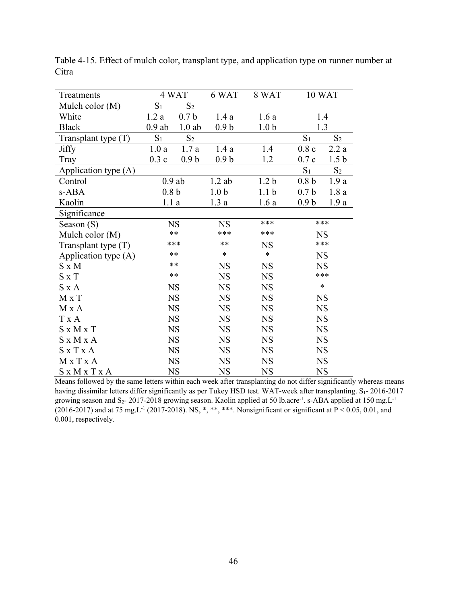| Treatments            | 4 WAT            |                  | 6 WAT            | 8 WAT            |                  | 10 WAT           |
|-----------------------|------------------|------------------|------------------|------------------|------------------|------------------|
| Mulch color (M)       | $S_1$            | $S_2$            |                  |                  |                  |                  |
| White                 | 1.2a             | 0.7 <sub>b</sub> | 1.4a             | 1.6a             |                  | 1.4              |
| <b>Black</b>          | $0.9$ ab         | $1.0$ ab         | 0.9 <sub>b</sub> | 1.0 <sub>b</sub> |                  | 1.3              |
| Transplant type $(T)$ | $S_1$            | S <sub>2</sub>   |                  |                  | $S_1$            | S <sub>2</sub>   |
| <b>Jiffy</b>          | 1.0a             | 1.7a             | 1.4a             | 1.4              | 0.8c             | 2.2a             |
| Tray                  | 0.3c             | 0.9 <sub>b</sub> | 0.9 <sub>b</sub> | 1.2              | 0.7c             | 1.5 <sub>b</sub> |
| Application type (A)  |                  |                  |                  |                  | $S_1$            | S <sub>2</sub>   |
| Control               |                  | $0.9$ ab         | $1.2$ ab         | 1.2 <sub>b</sub> | 0.8 <sub>b</sub> | 1.9a             |
| s-ABA                 | 0.8 <sub>b</sub> |                  | 1.0 <sub>b</sub> | 1.1 <sub>b</sub> | 0.7 <sub>b</sub> | 1.8a             |
| Kaolin                | 1.1a             |                  | 1.3a             | 1.6a             | 0.9 <sub>b</sub> | 1.9a             |
| Significance          |                  |                  |                  |                  |                  |                  |
| Season $(S)$          |                  | <b>NS</b>        | <b>NS</b>        | ***              |                  | ***              |
| Mulch color (M)       |                  | $**$             | ***              | ***              |                  | <b>NS</b>        |
| Transplant type $(T)$ |                  | ***              | $***$            | <b>NS</b>        |                  | ***              |
| Application type (A)  |                  | **               | *                | $\ast$           |                  | <b>NS</b>        |
| $S \times M$          |                  | **               | <b>NS</b>        | <b>NS</b>        | <b>NS</b>        |                  |
| $S \times T$          |                  | $**$             | <b>NS</b>        | <b>NS</b>        |                  | ***              |
| $S \times A$          |                  | <b>NS</b>        | <b>NS</b>        | <b>NS</b>        |                  | $\ast$           |
| $M \times T$          |                  | <b>NS</b>        | <b>NS</b>        | <b>NS</b>        |                  | <b>NS</b>        |
| M x A                 |                  | <b>NS</b>        | <b>NS</b>        | <b>NS</b>        |                  | <b>NS</b>        |
| T x A                 |                  | <b>NS</b>        | <b>NS</b>        | <b>NS</b>        |                  | <b>NS</b>        |
| $S \times M \times T$ |                  | <b>NS</b>        | <b>NS</b>        | <b>NS</b>        |                  | <b>NS</b>        |
| S x M x A             |                  | <b>NS</b>        | <b>NS</b>        | <b>NS</b>        |                  | <b>NS</b>        |
| $S \times T \times A$ |                  | <b>NS</b>        | <b>NS</b>        | <b>NS</b>        | <b>NS</b>        |                  |
| MxTxA                 |                  | <b>NS</b>        | <b>NS</b>        | <b>NS</b>        | <b>NS</b>        |                  |
| S x M x T x A         |                  | <b>NS</b>        | <b>NS</b>        | <b>NS</b>        |                  | <b>NS</b>        |

Table 4-15. Effect of mulch color, transplant type, and application type on runner number at Citra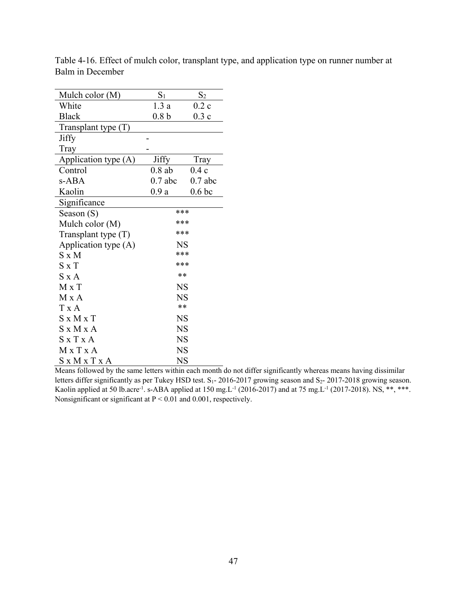| Mulch color (M)       | $S_1$     | $S_2$             |
|-----------------------|-----------|-------------------|
| White                 | 1.3a      | 0.2c              |
| <b>Black</b>          | 0.8 b     | 0.3c              |
| Transplant type $(T)$ |           |                   |
| Jiffy                 |           |                   |
| Tray                  |           |                   |
| Application type (A)  | Jiffy     | Tray              |
| Control               | $0.8$ ab  | 0.4c              |
| s-ABA                 | $0.7$ abc | $0.7$ abc         |
| Kaolin                | 0.9a      | 0.6 <sub>bc</sub> |
| Significance          |           |                   |
| Season (S)            | ***       |                   |
| Mulch color (M)       | ***       |                   |
| Transplant type $(T)$ | ***       |                   |
| Application type (A)  | NS        |                   |
| $S \times M$          | ***       |                   |
| $S \times T$          | ***       |                   |
| S x A                 | **        |                   |
| $M \times T$          | <b>NS</b> |                   |
| M x A                 | <b>NS</b> |                   |
| T x A                 | **        |                   |
| $S \times M \times T$ | <b>NS</b> |                   |
| $S \times M \times A$ | <b>NS</b> |                   |
| $S \times T \times A$ | <b>NS</b> |                   |
| M x T x A             | <b>NS</b> |                   |
| SxMxTxA               | NS        |                   |

Table 4-16. Effect of mulch color, transplant type, and application type on runner number at Balm in December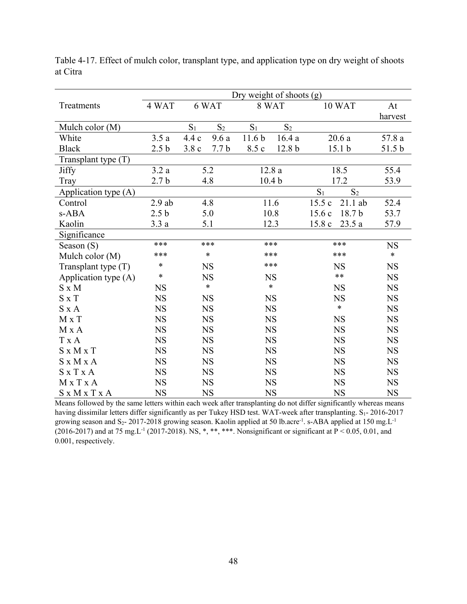|                       | Dry weight of shoots (g) |                          |                  |                   |                         |                    |           |  |  |  |
|-----------------------|--------------------------|--------------------------|------------------|-------------------|-------------------------|--------------------|-----------|--|--|--|
| Treatments            | 4 WAT                    |                          | 6 WAT            |                   | 8 WAT                   | 10 WAT             | At        |  |  |  |
|                       |                          |                          |                  |                   |                         |                    | harvest   |  |  |  |
| Mulch color (M)       |                          | $S_1$                    | $S_2$            | $S_1$             | $S_2$                   |                    |           |  |  |  |
| White                 | 3.5a                     | 4.4c                     | 9.6a             | 11.6 <sub>b</sub> | 16.4a                   | 20.6a              | 57.8 a    |  |  |  |
| <b>Black</b>          | 2.5 <sub>b</sub>         | 3.8c                     | 7.7 <sub>b</sub> | 8.5 c             | 12.8 b                  | 15.1 <sub>b</sub>  | 51.5 b    |  |  |  |
| Transplant type (T)   |                          |                          |                  |                   |                         |                    |           |  |  |  |
| Jiffy                 | 3.2a                     |                          | 5.2              |                   | 12.8a                   | 18.5               | 55.4      |  |  |  |
| Tray                  | 2.7 <sub>b</sub>         | 4.8<br>10.4 <sub>b</sub> |                  |                   | 17.2                    | 53.9               |           |  |  |  |
| Application type (A)  |                          |                          |                  |                   | $S_1$<br>S <sub>2</sub> |                    |           |  |  |  |
| Control               | $2.9$ ab                 |                          | 4.8              |                   | 11.6                    | 15.5c<br>$21.1$ ab | 52.4      |  |  |  |
| s-ABA                 | 2.5 <sub>b</sub>         |                          | 5.0              |                   | 10.8                    | 18.7 b<br>15.6c    | 53.7      |  |  |  |
| Kaolin                | 3.3a                     |                          | 5.1              |                   | 12.3                    | 15.8c<br>23.5 a    | 57.9      |  |  |  |
| Significance          |                          |                          |                  |                   |                         |                    |           |  |  |  |
| Season $(S)$          | ***                      |                          | ***              |                   | ***                     | ***                | <b>NS</b> |  |  |  |
| Mulch color (M)       | ***                      |                          | $\ast$           |                   | ***                     | ***                | $\ast$    |  |  |  |
| Transplant type $(T)$ | $\ast$                   |                          | <b>NS</b>        |                   | ***                     | <b>NS</b>          | <b>NS</b> |  |  |  |
| Application type (A)  | $\ast$                   |                          | <b>NS</b>        |                   | <b>NS</b>               | $**$               | <b>NS</b> |  |  |  |
| $S \times M$          | <b>NS</b>                |                          | $\ast$           |                   | $\ast$                  | <b>NS</b>          | <b>NS</b> |  |  |  |
| $S \times T$          | <b>NS</b>                |                          | <b>NS</b>        |                   | <b>NS</b>               | <b>NS</b>          | <b>NS</b> |  |  |  |
| $S \times A$          | <b>NS</b>                |                          | <b>NS</b>        |                   | <b>NS</b>               | $\ast$             | <b>NS</b> |  |  |  |
| M x T                 | <b>NS</b>                |                          | $_{\rm NS}$      |                   | <b>NS</b>               | <b>NS</b>          | <b>NS</b> |  |  |  |
| M x A                 | <b>NS</b>                |                          | <b>NS</b>        |                   | <b>NS</b>               | <b>NS</b>          | <b>NS</b> |  |  |  |
| T x A                 | <b>NS</b>                |                          | <b>NS</b>        |                   | <b>NS</b>               | <b>NS</b>          | <b>NS</b> |  |  |  |
| $S \times M \times T$ | <b>NS</b>                |                          | <b>NS</b>        |                   | <b>NS</b>               | <b>NS</b>          | <b>NS</b> |  |  |  |
| S x M x A             | <b>NS</b>                |                          | $_{\rm NS}$      |                   | <b>NS</b>               | <b>NS</b>          | <b>NS</b> |  |  |  |
| SxTxA                 | <b>NS</b>                |                          | <b>NS</b>        |                   | <b>NS</b>               | <b>NS</b>          | <b>NS</b> |  |  |  |
| M x T x A             | <b>NS</b>                |                          | <b>NS</b>        |                   | <b>NS</b>               | <b>NS</b>          | <b>NS</b> |  |  |  |
| S x M x T x A         | <b>NS</b>                |                          | <b>NS</b>        |                   | <b>NS</b>               | <b>NS</b>          | <b>NS</b> |  |  |  |

Table 4-17. Effect of mulch color, transplant type, and application type on dry weight of shoots at Citra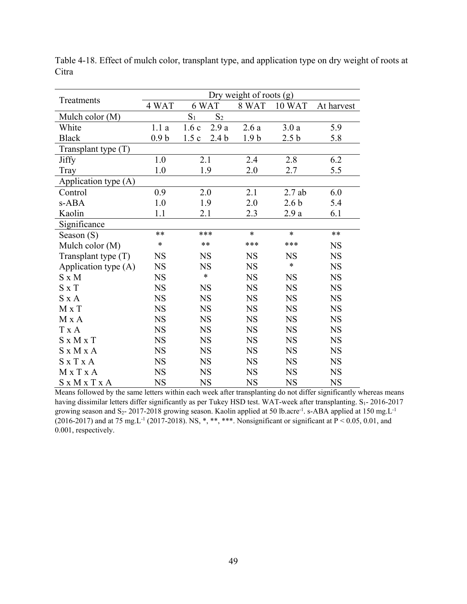|                       |                  |                          | Dry weight of roots $(g)$ |                  |            |
|-----------------------|------------------|--------------------------|---------------------------|------------------|------------|
| Treatments            | 4 WAT            | 6 WAT                    | 8 WAT                     | 10 WAT           | At harvest |
| Mulch color (M)       |                  | $S_1$<br>S <sub>2</sub>  |                           |                  |            |
| White                 | 1.1a             | 2.9a<br>$1.6c$           | 2.6a                      | 3.0a             | 5.9        |
| <b>Black</b>          | 0.9 <sub>b</sub> | 1.5c<br>2.4 <sub>b</sub> | 1.9 <sub>b</sub>          | 2.5 <sub>b</sub> | 5.8        |
| Transplant type (T)   |                  |                          |                           |                  |            |
| Jiffy                 | 1.0              | 2.1                      | 2.4                       | 2.8              | 6.2        |
| Tray                  | 1.0              | 1.9                      | 2.0                       | 2.7              | 5.5        |
| Application type (A)  |                  |                          |                           |                  |            |
| Control               | 0.9              | 2.0                      | 2.1                       | $2.7$ ab         | 6.0        |
| s-ABA                 | 1.0              | 1.9                      | 2.0                       | 2.6 <sub>b</sub> | 5.4        |
| Kaolin                | 1.1              | 2.1                      | 2.3                       | 2.9a             | 6.1        |
| Significance          |                  |                          |                           |                  |            |
| Season $(S)$          | **               | ***                      | $\ast$                    | $\ast$           | $**$       |
| Mulch color (M)       | $\ast$           | $***$                    | ***                       | ***              | <b>NS</b>  |
| Transplant type (T)   | <b>NS</b>        | <b>NS</b>                | <b>NS</b>                 | <b>NS</b>        | <b>NS</b>  |
| Application type (A)  | <b>NS</b>        | <b>NS</b>                | <b>NS</b>                 | $\ast$           | <b>NS</b>  |
| $S \times M$          | <b>NS</b>        | $\ast$                   | <b>NS</b>                 | <b>NS</b>        | <b>NS</b>  |
| $S \times T$          | <b>NS</b>        | <b>NS</b>                | <b>NS</b>                 | <b>NS</b>        | <b>NS</b>  |
| $S \times A$          | <b>NS</b>        | <b>NS</b>                | <b>NS</b>                 | <b>NS</b>        | <b>NS</b>  |
| M x T                 | <b>NS</b>        | <b>NS</b>                | <b>NS</b>                 | <b>NS</b>        | <b>NS</b>  |
| M x A                 | <b>NS</b>        | <b>NS</b>                | <b>NS</b>                 | <b>NS</b>        | <b>NS</b>  |
| <b>T</b> x A          | <b>NS</b>        | <b>NS</b>                | <b>NS</b>                 | <b>NS</b>        | <b>NS</b>  |
| $S \times M \times T$ | <b>NS</b>        | <b>NS</b>                | <b>NS</b>                 | <b>NS</b>        | <b>NS</b>  |
| S x M x A             | <b>NS</b>        | <b>NS</b>                | <b>NS</b>                 | <b>NS</b>        | <b>NS</b>  |
| $S \times T \times A$ | <b>NS</b>        | <b>NS</b>                | <b>NS</b>                 | <b>NS</b>        | <b>NS</b>  |
| MxTxA                 | <b>NS</b>        | <b>NS</b>                | <b>NS</b>                 | <b>NS</b>        | <b>NS</b>  |
| S x M x T x A         | <b>NS</b>        | <b>NS</b>                | <b>NS</b>                 | <b>NS</b>        | <b>NS</b>  |

Table 4-18. Effect of mulch color, transplant type, and application type on dry weight of roots at Citra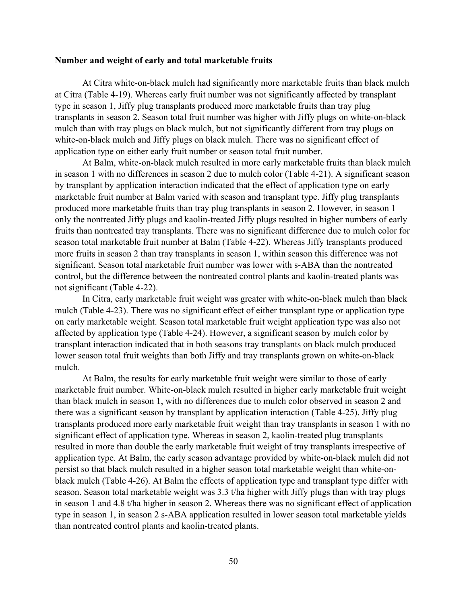### **Number and weight of early and total marketable fruits**

At Citra white-on-black mulch had significantly more marketable fruits than black mulch at Citra (Table 4-19). Whereas early fruit number was not significantly affected by transplant type in season 1, Jiffy plug transplants produced more marketable fruits than tray plug transplants in season 2. Season total fruit number was higher with Jiffy plugs on white-on-black mulch than with tray plugs on black mulch, but not significantly different from tray plugs on white-on-black mulch and Jiffy plugs on black mulch. There was no significant effect of application type on either early fruit number or season total fruit number.

At Balm, white-on-black mulch resulted in more early marketable fruits than black mulch in season 1 with no differences in season 2 due to mulch color (Table 4-21). A significant season by transplant by application interaction indicated that the effect of application type on early marketable fruit number at Balm varied with season and transplant type. Jiffy plug transplants produced more marketable fruits than tray plug transplants in season 2. However, in season 1 only the nontreated Jiffy plugs and kaolin-treated Jiffy plugs resulted in higher numbers of early fruits than nontreated tray transplants. There was no significant difference due to mulch color for season total marketable fruit number at Balm (Table 4-22). Whereas Jiffy transplants produced more fruits in season 2 than tray transplants in season 1, within season this difference was not significant. Season total marketable fruit number was lower with s-ABA than the nontreated control, but the difference between the nontreated control plants and kaolin-treated plants was not significant (Table 4-22).

In Citra, early marketable fruit weight was greater with white-on-black mulch than black mulch (Table 4-23). There was no significant effect of either transplant type or application type on early marketable weight. Season total marketable fruit weight application type was also not affected by application type (Table 4-24). However, a significant season by mulch color by transplant interaction indicated that in both seasons tray transplants on black mulch produced lower season total fruit weights than both Jiffy and tray transplants grown on white-on-black mulch.

At Balm, the results for early marketable fruit weight were similar to those of early marketable fruit number. White-on-black mulch resulted in higher early marketable fruit weight than black mulch in season 1, with no differences due to mulch color observed in season 2 and there was a significant season by transplant by application interaction (Table 4-25). Jiffy plug transplants produced more early marketable fruit weight than tray transplants in season 1 with no significant effect of application type. Whereas in season 2, kaolin-treated plug transplants resulted in more than double the early marketable fruit weight of tray transplants irrespective of application type. At Balm, the early season advantage provided by white-on-black mulch did not persist so that black mulch resulted in a higher season total marketable weight than white-onblack mulch (Table 4-26). At Balm the effects of application type and transplant type differ with season. Season total marketable weight was 3.3 t/ha higher with Jiffy plugs than with tray plugs in season 1 and 4.8 t/ha higher in season 2. Whereas there was no significant effect of application type in season 1, in season 2 s-ABA application resulted in lower season total marketable yields than nontreated control plants and kaolin-treated plants.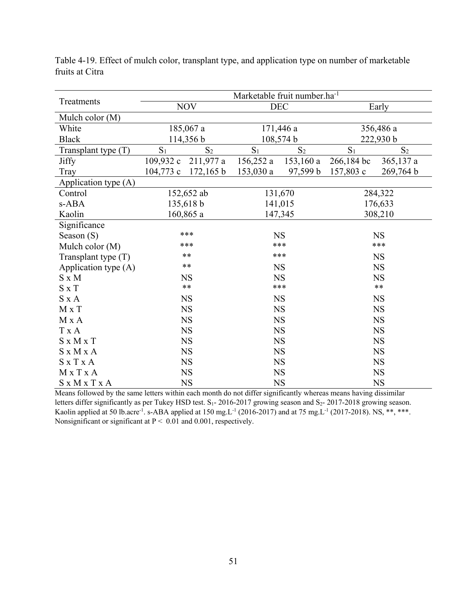|                       |                |                |                | Marketable fruit number.ha <sup>-1</sup> |            |                |  |
|-----------------------|----------------|----------------|----------------|------------------------------------------|------------|----------------|--|
| Treatments            |                | <b>NOV</b>     |                | <b>DEC</b>                               |            | Early          |  |
| Mulch color (M)       |                |                |                |                                          |            |                |  |
| White                 |                | 185,067 a      |                | 171,446 a                                | 356,486 a  |                |  |
| <b>Black</b>          |                | 114,356 b      |                | 108,574 b                                |            | 222,930 b      |  |
| Transplant type $(T)$ | S <sub>1</sub> | S <sub>2</sub> | S <sub>1</sub> | S <sub>2</sub>                           | $S_1$      | S <sub>2</sub> |  |
| Jiffy                 | 109,932c       | 211,977 a      | 156,252a       | $153,160$ a                              | 266,184 bc | $365,137$ a    |  |
| Tray                  | $104,773$ c    | 172,165 b      | 153,030a       | 97,599 b                                 | 157,803 c  | 269,764 b      |  |
| Application type (A)  |                |                |                |                                          |            |                |  |
| Control               |                | 152,652 ab     |                | 131,670                                  |            | 284,322        |  |
| s-ABA                 |                | 135,618 b      |                | 141,015                                  |            | 176,633        |  |
| Kaolin                |                | 160,865 a      | 147,345        |                                          | 308,210    |                |  |
| Significance          |                |                |                |                                          |            |                |  |
| Season $(S)$          |                | ***            |                | <b>NS</b>                                |            | <b>NS</b>      |  |
| Mulch color (M)       |                | ***            | ***            |                                          | ***        |                |  |
| Transplant type $(T)$ |                | $***$          | ***            |                                          | <b>NS</b>  |                |  |
| Application type (A)  |                | $**$           | <b>NS</b>      |                                          | <b>NS</b>  |                |  |
| $S \times M$          |                | <b>NS</b>      | <b>NS</b>      |                                          | <b>NS</b>  |                |  |
| $S \times T$          |                | $\ast\ast$     |                | ***                                      |            | $***$          |  |
| $S \times A$          |                | <b>NS</b>      |                | <b>NS</b>                                |            | <b>NS</b>      |  |
| M x T                 |                | <b>NS</b>      |                | <b>NS</b>                                |            | <b>NS</b>      |  |
| M x A                 |                | <b>NS</b>      |                | <b>NS</b>                                |            | <b>NS</b>      |  |
| T x A                 |                | <b>NS</b>      |                | <b>NS</b>                                |            | <b>NS</b>      |  |
| $S \times M \times T$ |                | <b>NS</b>      |                | <b>NS</b>                                |            | <b>NS</b>      |  |
| S x M x A             |                | NS             |                | $_{\rm NS}$                              |            | $_{\rm NS}$    |  |
| $S \times T \times A$ |                | <b>NS</b>      |                | <b>NS</b>                                |            | <b>NS</b>      |  |
| MxTxA                 |                | <b>NS</b>      |                | <b>NS</b>                                |            | <b>NS</b>      |  |
| S x M x T x A         |                | <b>NS</b>      | <b>NS</b>      |                                          | <b>NS</b>  |                |  |

Table 4-19. Effect of mulch color, transplant type, and application type on number of marketable fruits at Citra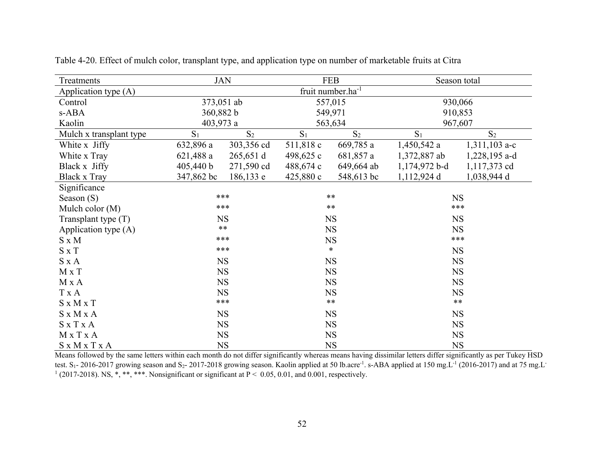| Treatments              |                | <b>JAN</b>     |                | <b>FEB</b>                    |                 | Season total    |  |
|-------------------------|----------------|----------------|----------------|-------------------------------|-----------------|-----------------|--|
| Application type (A)    |                |                |                | fruit number.ha <sup>-1</sup> |                 |                 |  |
| Control                 | 373,051 ab     |                |                | 557,015                       |                 | 930,066         |  |
| s-ABA                   |                | 360,882 b      |                | 549,971                       |                 | 910,853         |  |
| Kaolin                  | 403,973 a      |                |                | 563,634                       |                 | 967,607         |  |
| Mulch x transplant type | S <sub>1</sub> | S <sub>2</sub> | S <sub>1</sub> | S <sub>2</sub>                | S <sub>1</sub>  | S <sub>2</sub>  |  |
| White x Jiffy           | 632,896 a      | 303,356 cd     | 511,818 c      | 669,785 a                     | $1,450,542$ a   | $1,311,103$ a-c |  |
| White x Tray            | $621,488$ a    | $265,651$ d    | 498,625 c      | 681,857 a                     | 1,372,887 ab    | 1,228,195 a-d   |  |
| Black x Jiffy           | 405,440 b      | 271,590 cd     | 488,674 c      | 649,664 ab                    | $1,174,972$ b-d | 1,117,373 cd    |  |
| Black x Tray            | 347,862 bc     | 186,133 e      | 425,880c       | 548,613 bc                    | 1,112,924 d     | 1,038,944 d     |  |
| Significance            |                |                |                |                               |                 |                 |  |
| Season $(S)$            |                | ***            |                | $**$                          |                 | <b>NS</b>       |  |
| Mulch color $(M)$       |                | ***            |                | $***$                         |                 | ***             |  |
| Transplant type $(T)$   |                | <b>NS</b>      |                | <b>NS</b>                     |                 | <b>NS</b>       |  |
| Application type (A)    |                | $**$           | <b>NS</b>      |                               | <b>NS</b>       |                 |  |
| $S \times M$            |                | ***            | <b>NS</b>      |                               | $***$           |                 |  |
| $S \times T$            |                | ***            | $\ast$         |                               | <b>NS</b>       |                 |  |
| $S \times A$            |                | <b>NS</b>      |                | <b>NS</b>                     |                 | <b>NS</b>       |  |
| $M \times T$            | $_{\rm NS}$    |                |                | <b>NS</b>                     |                 | <b>NS</b>       |  |
| M x A                   |                | <b>NS</b>      |                | <b>NS</b>                     |                 | <b>NS</b>       |  |
| T x A                   |                | <b>NS</b>      |                | <b>NS</b>                     |                 | <b>NS</b>       |  |
| $S \times M \times T$   |                | $***$          |                | $***$                         |                 | $***$           |  |
| $S \times M \times A$   |                | <b>NS</b>      |                | <b>NS</b>                     |                 | <b>NS</b>       |  |
| S x T x A               |                | <b>NS</b>      |                | <b>NS</b>                     |                 | <b>NS</b>       |  |
| M x T x A               |                | $_{\rm NS}$    |                | <b>NS</b>                     |                 | <b>NS</b>       |  |
| S x M x T x A           |                | $_{\rm NS}$    |                | <b>NS</b>                     | <b>NS</b>       |                 |  |

Table 4-20. Effect of mulch color, transplant type, and application type on number of marketable fruits at Citra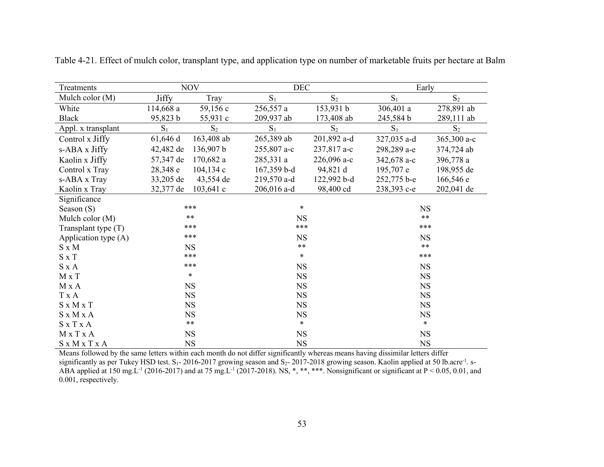| Treatments            |              | <b>NOV</b>  | <b>DEC</b>    |                | Early       |             |  |
|-----------------------|--------------|-------------|---------------|----------------|-------------|-------------|--|
| Mulch color (M)       | <b>Jiffy</b> | Tray        | $S_1$         | $\mathbf{S}_2$ | $S_1$       | $S_2$       |  |
| White                 | 114,668a     | 59,156 c    | 256,557 a     | 153,931 b      | 306,401 a   | 278,891 ab  |  |
| Black                 | 95,823 b     | 55,931 c    | 209,937 ab    | 173,408 ab     | 245,584 b   | 289,111 ab  |  |
| Appl. x transplant    | $S_1$        | $S_2$       | $S_1$         | $S_2$          | $S_1$       | $S_2$       |  |
| Control x Jiffy       | 61,646 d     | 163,408 ab  | 265,389 ab    | 201,892 a-d    | 327,035 a-d | 365,300 a-c |  |
| s-ABA x Jiffy         | 42,482 de    | 136,907 b   | 255,807 a-c   | 237,817 a-c    | 298,289 a-e | 374,724 ab  |  |
| Kaolin x Jiffy        | 57,347 de    | 170,682 a   | 285,331 a     | 226,096 a-c    | 342,678 a-c | 396,778 a   |  |
| Control x Tray        | 28,348 e     | 104,134c    | $167,359$ b-d | 94,821 d       | 195,707 e   | 198,955 de  |  |
| s-ABA x Tray          | 33,205 de    | 43,554 de   | 219,570 a-d   | 122,992 b-d    | 252,775 b-e | 166,546 e   |  |
| Kaolin x Tray         | 32,377 de    | $103,641$ c | 206,016 a-d   | 98,400 cd      | 238,393 с-е | 202,041 de  |  |
| Significance          |              |             |               |                |             |             |  |
| Season $(S)$          |              | ***         | $\ast$        |                | <b>NS</b>   |             |  |
| Mulch color (M)       |              | $***$       |               | <b>NS</b>      |             | $***$       |  |
| Transplant type $(T)$ |              | ***         |               | ***            |             | $***$       |  |
| Application type (A)  |              | ***         | <b>NS</b>     |                | <b>NS</b>   |             |  |
| $S \times M$          |              | <b>NS</b>   |               | $***$          |             | $***$       |  |
| $S \times T$          |              | ***         | $\ast$        |                | $***$       |             |  |
| $S \times A$          |              | ***         | <b>NS</b>     |                | <b>NS</b>   |             |  |
| M x T                 |              | $\ast$      | <b>NS</b>     |                | <b>NS</b>   |             |  |
| M x A                 |              | <b>NS</b>   | <b>NS</b>     |                | <b>NS</b>   |             |  |
| T x A                 |              | <b>NS</b>   | <b>NS</b>     |                | <b>NS</b>   |             |  |
| $S \times M \times T$ |              | <b>NS</b>   | <b>NS</b>     |                | <b>NS</b>   |             |  |
| $S \times M \times A$ |              | <b>NS</b>   | <b>NS</b>     |                | NS          |             |  |
| S x T x A             |              | $***$       | $\ast$        |                | $\ast$      |             |  |
| M x T x A             |              | <b>NS</b>   | <b>NS</b>     |                | NS          |             |  |
| S x M x T x A         |              | <b>NS</b>   | <b>NS</b>     |                | NS          |             |  |

Table 4-21. Effect of mulch color, transplant type, and application type on number of marketable fruits per hectare at Balm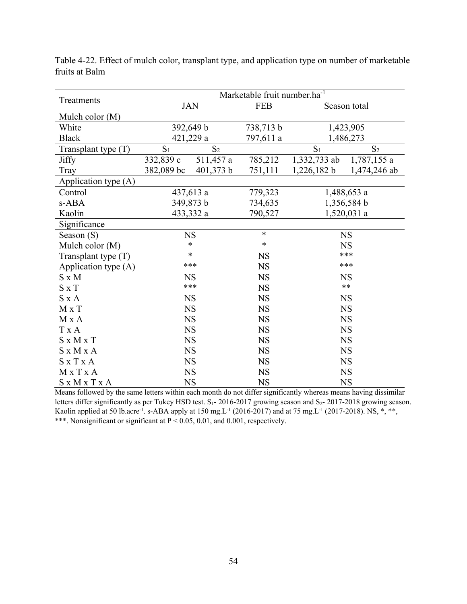|                       |                |                | Marketable fruit number.ha <sup>-1</sup> |              |                |
|-----------------------|----------------|----------------|------------------------------------------|--------------|----------------|
| Treatments            |                | <b>JAN</b>     | <b>FEB</b>                               |              | Season total   |
| Mulch color (M)       |                |                |                                          |              |                |
| White                 |                | 392,649 b      | 738,713 b                                |              | 1,423,905      |
| <b>Black</b>          |                | 421,229 a      | 797,611 a                                |              | 1,486,273      |
| Transplant type (T)   | S <sub>1</sub> | S <sub>2</sub> |                                          | $S_1$        | S <sub>2</sub> |
| <b>Jiffy</b>          | 332,839 c      | 511,457 a      | 785,212                                  | 1,332,733 ab | 1,787,155 a    |
| Tray                  | 382,089 bc     | 401,373 b      | 751,111                                  | 1,226,182 b  | 1,474,246 ab   |
| Application type (A)  |                |                |                                          |              |                |
| Control               | 437,613 a      |                | 779,323                                  |              | 1,488,653 a    |
| s-ABA                 |                | 349,873 b      | 734,635                                  |              | 1,356,584 b    |
| Kaolin                |                | 433,332 a      |                                          | 1,520,031 a  |                |
| Significance          |                |                |                                          |              |                |
| Season $(S)$          |                | <b>NS</b>      | $\ast$                                   |              | <b>NS</b>      |
| Mulch color (M)       |                | *              | $\ast$                                   | <b>NS</b>    |                |
| Transplant type (T)   |                | $\ast$         | <b>NS</b>                                | ***          |                |
| Application type (A)  |                | ***            | <b>NS</b>                                |              | ***            |
| $S \times M$          |                | <b>NS</b>      | <b>NS</b>                                |              | <b>NS</b>      |
| $S \times T$          |                | ***            | <b>NS</b>                                |              | $**$           |
| $S \times A$          |                | <b>NS</b>      | <b>NS</b>                                |              | <b>NS</b>      |
| M x T                 |                | <b>NS</b>      | <b>NS</b>                                |              | <b>NS</b>      |
| M X A                 |                | <b>NS</b>      | <b>NS</b>                                |              | <b>NS</b>      |
| T x A                 |                | <b>NS</b>      | <b>NS</b>                                |              | <b>NS</b>      |
| $S \times M \times T$ |                | <b>NS</b>      | <b>NS</b>                                |              | <b>NS</b>      |
| S x M x A             |                | <b>NS</b>      | <b>NS</b>                                |              | <b>NS</b>      |
| $S \times T \times A$ |                | <b>NS</b>      | <b>NS</b>                                |              | <b>NS</b>      |
| MxTxA                 |                | <b>NS</b>      | <b>NS</b>                                |              | <b>NS</b>      |
| S x M x T x A         |                | <b>NS</b>      | <b>NS</b>                                | <b>NS</b>    |                |

Table 4-22. Effect of mulch color, transplant type, and application type on number of marketable fruits at Balm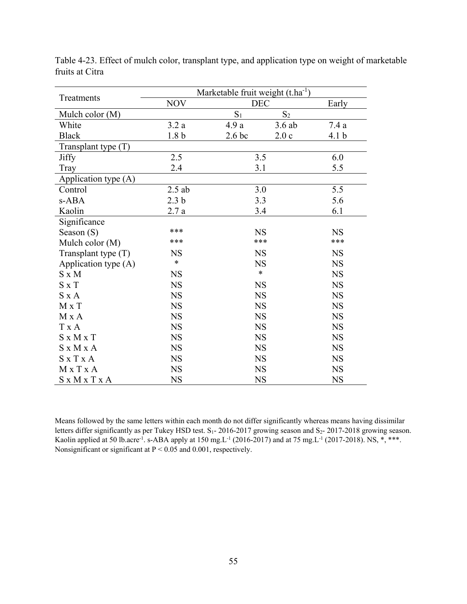|                       |                  | Marketable fruit weight $(t.ha^{-1})$ |           |                  |  |  |
|-----------------------|------------------|---------------------------------------|-----------|------------------|--|--|
| Treatments            | <b>NOV</b>       | <b>DEC</b>                            |           | Early            |  |  |
| Mulch color (M)       |                  | $S_1$                                 | $S_2$     |                  |  |  |
| White                 | 3.2a             | 4.9a                                  | 3.6ab     | 7.4a             |  |  |
| <b>Black</b>          | 1.8 <sub>b</sub> | 2.6 <sub>bc</sub>                     | 2.0c      | 4.1 <sub>b</sub> |  |  |
| Transplant type $(T)$ |                  |                                       |           |                  |  |  |
| <b>Jiffy</b>          | 2.5              | 3.5                                   |           | 6.0              |  |  |
| Tray                  | 2.4              | 3.1                                   |           | 5.5              |  |  |
| Application type (A)  |                  |                                       |           |                  |  |  |
| Control               | $2.5$ ab         | 3.0                                   |           | 5.5              |  |  |
| s-ABA                 | 2.3 <sub>b</sub> | 3.3                                   |           | 5.6              |  |  |
| Kaolin                | 2.7a             | 3.4                                   |           | 6.1              |  |  |
| Significance          |                  |                                       |           |                  |  |  |
| Season $(S)$          | ***              | <b>NS</b>                             |           | <b>NS</b>        |  |  |
| Mulch color (M)       | ***              | ***                                   |           | ***              |  |  |
| Transplant type $(T)$ | <b>NS</b>        |                                       | <b>NS</b> |                  |  |  |
| Application type (A)  | $\ast$           | <b>NS</b>                             |           | <b>NS</b>        |  |  |
| $S \times M$          | <b>NS</b>        | $\ast$                                |           | <b>NS</b>        |  |  |
| $S \times T$          | <b>NS</b>        | <b>NS</b>                             |           | <b>NS</b>        |  |  |
| $S \times A$          | <b>NS</b>        | <b>NS</b>                             |           | <b>NS</b>        |  |  |
| M x T                 | <b>NS</b>        | <b>NS</b>                             |           | <b>NS</b>        |  |  |
| M x A                 | <b>NS</b>        | <b>NS</b>                             |           | <b>NS</b>        |  |  |
| T x A                 | <b>NS</b>        | <b>NS</b>                             |           | <b>NS</b>        |  |  |
| $S \times M \times T$ | <b>NS</b>        | <b>NS</b>                             |           | <b>NS</b>        |  |  |
| S x M x A             | <b>NS</b>        | <b>NS</b>                             |           | <b>NS</b>        |  |  |
| $S \times T \times A$ | <b>NS</b>        | <b>NS</b>                             |           | <b>NS</b>        |  |  |
| $M \times T \times A$ | <b>NS</b>        | <b>NS</b>                             |           | <b>NS</b>        |  |  |
| S x M x T x A         | <b>NS</b>        | <b>NS</b>                             |           | <b>NS</b>        |  |  |

Table 4-23. Effect of mulch color, transplant type, and application type on weight of marketable fruits at Citra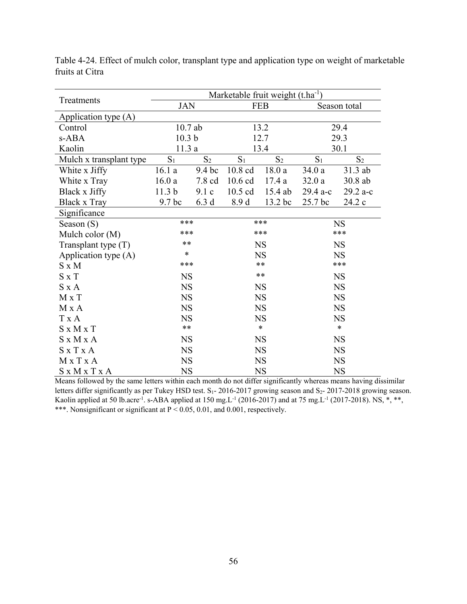|                         | Marketable fruit weight (t.ha <sup>-1</sup> ) |        |            |           |              |           |
|-------------------------|-----------------------------------------------|--------|------------|-----------|--------------|-----------|
| Treatments              | <b>JAN</b>                                    |        | <b>FEB</b> |           | Season total |           |
| Application type (A)    |                                               |        |            |           |              |           |
| Control                 | $10.7$ ab                                     |        |            | 13.2      |              | 29.4      |
| s-ABA                   | 10.3 <sub>b</sub>                             |        |            | 12.7      |              | 29.3      |
| Kaolin                  | 11.3a                                         |        |            | 13.4      |              | 30.1      |
| Mulch x transplant type | $S_2$<br>$S_1$                                |        | $S_1$      | $S_2$     | $S_1$        | $S_2$     |
| White x Jiffy           | 16.1a                                         | 9.4 bc | 10.8 cd    | 18.0a     | 34.0a        | 31.3 ab   |
| White x Tray            | 16.0a                                         | 7.8 cd | 10.6 cd    | 17.4a     | 32.0a        | 30.8 ab   |
| Black x Jiffy           | 11.3 <sub>b</sub>                             | 9.1c   | $10.5$ cd  | 15.4 ab   | 29.4 a-c     | 29.2 a-c  |
| <b>Black x Tray</b>     | 9.7 bc                                        | 6.3d   | 8.9 d      | 13.2 bc   | 25.7 bc      | 24.2 c    |
| Significance            |                                               |        |            |           |              |           |
| Season $(S)$            | ***                                           |        |            | ***       |              | <b>NS</b> |
| Mulch color (M)         | ***                                           |        | ***        |           | ***          |           |
| Transplant type $(T)$   | $***$                                         |        | <b>NS</b>  |           | <b>NS</b>    |           |
| Application type (A)    | $\ast$                                        |        | <b>NS</b>  |           | <b>NS</b>    |           |
| $S \times M$            | ***                                           |        | $**$       |           | ***          |           |
| $S \times T$            | <b>NS</b>                                     |        | $***$      |           |              | <b>NS</b> |
| $S \times A$            | <b>NS</b>                                     |        |            | <b>NS</b> |              | <b>NS</b> |
| M x T                   | <b>NS</b>                                     |        |            | <b>NS</b> |              | <b>NS</b> |
| M x A                   | <b>NS</b>                                     |        |            | <b>NS</b> |              | <b>NS</b> |
| T x A                   | <b>NS</b>                                     |        |            | <b>NS</b> |              | <b>NS</b> |
| $S \times M \times T$   | $***$                                         |        |            | $\ast$    |              | $\ast$    |
| $S \times M \times A$   | <b>NS</b>                                     |        |            | <b>NS</b> |              | <b>NS</b> |
| $S \times T \times A$   | <b>NS</b>                                     |        |            | <b>NS</b> |              | <b>NS</b> |
| MxTxA                   | <b>NS</b>                                     |        |            | <b>NS</b> |              | <b>NS</b> |
| S x M x T x A           | <b>NS</b>                                     |        | <b>NS</b>  |           | <b>NS</b>    |           |

Table 4-24. Effect of mulch color, transplant type and application type on weight of marketable fruits at Citra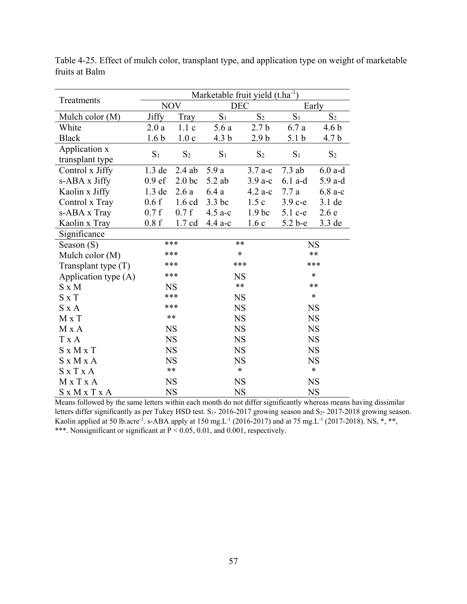|                       | Marketable fruit yield $(t.ha^{-1})$ |                   |                  |                   |                  |                  |  |  |
|-----------------------|--------------------------------------|-------------------|------------------|-------------------|------------------|------------------|--|--|
| Treatments            | <b>NOV</b>                           |                   |                  | <b>DEC</b>        |                  | Early            |  |  |
| Mulch color $(M)$     | Jiffy                                | Tray              | $S_1$            | S <sub>2</sub>    | $S_1$            | S <sub>2</sub>   |  |  |
| White                 | 2.0a                                 | 1.1c              | 5.6a             | 2.7 <sub>b</sub>  | 6.7a             | 4.6 <sub>b</sub> |  |  |
| <b>Black</b>          | 1.6 <sub>b</sub>                     | 1.0c              | 4.3 <sub>b</sub> | 2.9 <sub>b</sub>  | 5.1 <sub>b</sub> | 4.7 <sub>b</sub> |  |  |
| Application x         |                                      |                   |                  |                   |                  |                  |  |  |
| transplant type       | S <sub>1</sub>                       | S <sub>2</sub>    | S <sub>1</sub>   | S <sub>2</sub>    | S <sub>1</sub>   | S <sub>2</sub>   |  |  |
| Control x Jiffy       | 1.3 de                               | $2.4$ ab          | 5.9a             | $3.7 a-c$         | $7.3$ ab         | $6.0$ a-d        |  |  |
| s-ABA x Jiffy         | 0.9 <sub>ef</sub>                    | 2.0 <sub>bc</sub> | $5.2$ ab         | $3.9a-c$          | $6.1$ a-d        | 5.9 a-d          |  |  |
| Kaolin x Jiffy        | $1.3$ de                             | 2.6a              | 6.4a             | $4.2a-c$          | 7.7a             | $6.8a-c$         |  |  |
| Control x Tray        | 0.6f                                 | $1.6$ cd          | 3.3 bc           | 1.5c              | $3.9c-e$         | $3.1$ de         |  |  |
| s-ABA x Tray          | 0.7 f                                | 0.7 f             | $4.5$ a-c        | 1.9 <sub>bc</sub> | $5.1$ c-e        | 2.6e             |  |  |
| Kaolin x Tray         | 0.8f                                 | $1.7 \text{ cd}$  | $4.4$ a-c        | 1.6c              | $5.2b-e$         | $3.3$ de         |  |  |
| Significance          |                                      |                   |                  |                   |                  |                  |  |  |
| Season $(S)$          |                                      | ***               |                  | $**$              |                  | <b>NS</b>        |  |  |
| Mulch color (M)       |                                      | ***               | $\ast$           |                   |                  | $***$            |  |  |
| Transplant type $(T)$ |                                      | ***               | ***              |                   | ***              |                  |  |  |
| Application type (A)  |                                      | ***               | <b>NS</b>        |                   | $\ast$           |                  |  |  |
| $S \times M$          |                                      | <b>NS</b>         |                  | $***$             | $**$             |                  |  |  |
| $S \times T$          |                                      | ***               |                  | <b>NS</b>         |                  | $\ast$           |  |  |
| $S \times A$          |                                      | ***               |                  | <b>NS</b>         |                  | <b>NS</b>        |  |  |
| $M \times T$          |                                      | $**$              |                  | <b>NS</b>         |                  | <b>NS</b>        |  |  |
| M x A                 |                                      | <b>NS</b>         |                  | <b>NS</b>         |                  | <b>NS</b>        |  |  |
| T x A                 |                                      | <b>NS</b>         |                  | <b>NS</b>         |                  | <b>NS</b>        |  |  |
| $S \times M \times T$ |                                      | <b>NS</b>         |                  | <b>NS</b>         |                  | <b>NS</b>        |  |  |
| S x M x A             |                                      | <b>NS</b>         |                  | <b>NS</b>         |                  | <b>NS</b>        |  |  |
| $S \times T \times A$ |                                      | $**$              |                  | $\ast$            |                  | $\ast$           |  |  |
| MxTxA                 |                                      | <b>NS</b>         |                  | <b>NS</b>         |                  | <b>NS</b>        |  |  |
| S x M x T x A         |                                      | <b>NS</b>         |                  | <b>NS</b>         |                  | <b>NS</b>        |  |  |

Table 4-25. Effect of mulch color, transplant type, and application type on weight of marketable fruits at Balm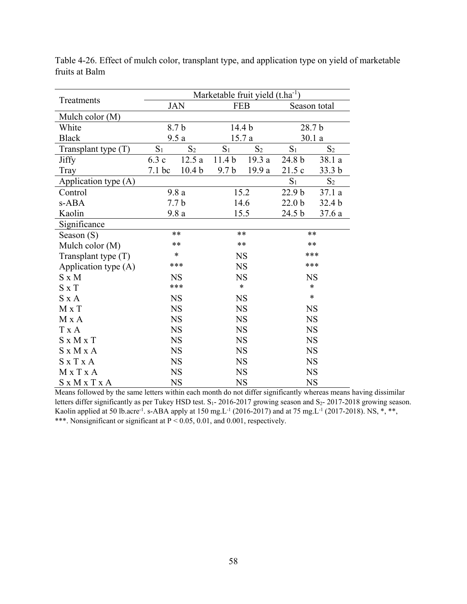|                       | Marketable fruit yield $(t.ha^{-1})$ |                   |                   |                   |                   |                   |
|-----------------------|--------------------------------------|-------------------|-------------------|-------------------|-------------------|-------------------|
| Treatments            | <b>JAN</b>                           |                   | <b>FEB</b>        |                   | Season total      |                   |
| Mulch color $(M)$     |                                      |                   |                   |                   |                   |                   |
| White                 |                                      | 8.7b              |                   | 14.4 <sub>b</sub> |                   | 28.7 b            |
| <b>Black</b>          |                                      | 9.5a              |                   | 15.7a             |                   | 30.1a             |
| Transplant type $(T)$ | S <sub>1</sub>                       | S <sub>2</sub>    | S <sub>1</sub>    | S <sub>2</sub>    | S <sub>1</sub>    | S <sub>2</sub>    |
| <b>Jiffy</b>          | 6.3c                                 | 12.5a             | 11.4 <sub>b</sub> | 19.3a             | 24.8 b            | 38.1 a            |
| Tray                  | 7.1 bc                               | 10.4 <sub>b</sub> | 9.7 <sub>b</sub>  | 19.9 a            | 21.5c             | 33.3 <sub>b</sub> |
| Application type (A)  |                                      |                   |                   |                   | S <sub>1</sub>    | S <sub>2</sub>    |
| Control               |                                      | 9.8a              |                   | 15.2              | 22.9 b            | 37.1a             |
| s-ABA                 |                                      | 7.7 <sub>b</sub>  |                   | 14.6              | 22.0 <sub>b</sub> | 32.4 <sub>b</sub> |
| Kaolin                | 9.8a                                 |                   | 15.5              |                   | 24.5 b            | 37.6a             |
| Significance          |                                      |                   |                   |                   |                   |                   |
| Season (S)            |                                      | $**$              |                   | $**$              |                   | **                |
| Mulch color (M)       |                                      | $**$              | $**$              |                   | **                |                   |
| Transplant type $(T)$ |                                      | *                 | <b>NS</b>         |                   | ***               |                   |
| Application type (A)  |                                      | ***               | <b>NS</b>         |                   | ***               |                   |
| $S \times M$          |                                      | <b>NS</b>         | <b>NS</b>         |                   | <b>NS</b>         |                   |
| $S \times T$          |                                      | ***               |                   | $\ast$            |                   | $\ast$            |
| $S \times A$          |                                      | <b>NS</b>         | <b>NS</b>         |                   |                   | $\ast$            |
| M x T                 |                                      | <b>NS</b>         |                   | <b>NS</b>         |                   | <b>NS</b>         |
| M X A                 |                                      | <b>NS</b>         | <b>NS</b>         |                   |                   | <b>NS</b>         |
| T x A                 |                                      | <b>NS</b>         | <b>NS</b>         |                   |                   | <b>NS</b>         |
| $S \times M \times T$ |                                      | <b>NS</b>         |                   | <b>NS</b>         |                   | <b>NS</b>         |
| S x M x A             |                                      | <b>NS</b>         |                   | <b>NS</b>         |                   | <b>NS</b>         |
| $S \times T \times A$ |                                      | <b>NS</b>         | <b>NS</b>         |                   |                   | <b>NS</b>         |
| MxTxA                 |                                      | <b>NS</b>         | <b>NS</b>         |                   |                   | <b>NS</b>         |
| S x M x T x A         |                                      | <b>NS</b>         | <b>NS</b>         |                   | <b>NS</b>         |                   |

Table 4-26. Effect of mulch color, transplant type, and application type on yield of marketable fruits at Balm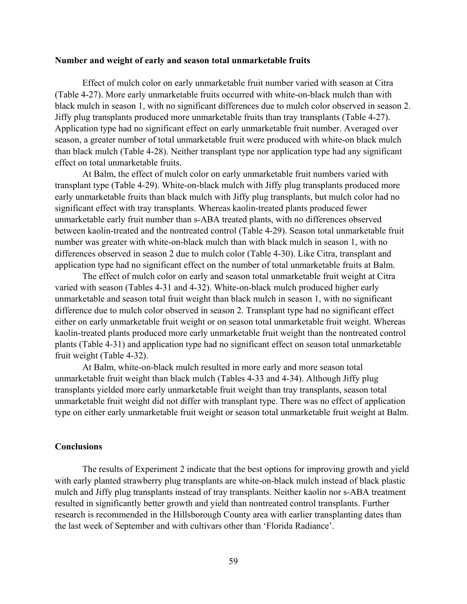### **Number and weight of early and season total unmarketable fruits**

Effect of mulch color on early unmarketable fruit number varied with season at Citra (Table 4-27). More early unmarketable fruits occurred with white-on-black mulch than with black mulch in season 1, with no significant differences due to mulch color observed in season 2. Jiffy plug transplants produced more unmarketable fruits than tray transplants (Table 4-27). Application type had no significant effect on early unmarketable fruit number. Averaged over season, a greater number of total unmarketable fruit were produced with white-on black mulch than black mulch (Table 4-28). Neither transplant type nor application type had any significant effect on total unmarketable fruits.

At Balm, the effect of mulch color on early unmarketable fruit numbers varied with transplant type (Table 4-29). White-on-black mulch with Jiffy plug transplants produced more early unmarketable fruits than black mulch with Jiffy plug transplants, but mulch color had no significant effect with tray transplants. Whereas kaolin-treated plants produced fewer unmarketable early fruit number than s-ABA treated plants, with no differences observed between kaolin-treated and the nontreated control (Table 4-29). Season total unmarketable fruit number was greater with white-on-black mulch than with black mulch in season 1, with no differences observed in season 2 due to mulch color (Table 4-30). Like Citra, transplant and application type had no significant effect on the number of total unmarketable fruits at Balm.

The effect of mulch color on early and season total unmarketable fruit weight at Citra varied with season (Tables 4-31 and 4-32). White-on-black mulch produced higher early unmarketable and season total fruit weight than black mulch in season 1, with no significant difference due to mulch color observed in season 2. Transplant type had no significant effect either on early unmarketable fruit weight or on season total unmarketable fruit weight. Whereas kaolin-treated plants produced more early unmarketable fruit weight than the nontreated control plants (Table 4-31) and application type had no significant effect on season total unmarketable fruit weight (Table 4-32).

At Balm, white-on-black mulch resulted in more early and more season total unmarketable fruit weight than black mulch (Tables 4-33 and 4-34). Although Jiffy plug transplants yielded more early unmarketable fruit weight than tray transplants, season total unmarketable fruit weight did not differ with transplant type. There was no effect of application type on either early unmarketable fruit weight or season total unmarketable fruit weight at Balm.

# **Conclusions**

The results of Experiment 2 indicate that the best options for improving growth and yield with early planted strawberry plug transplants are white-on-black mulch instead of black plastic mulch and Jiffy plug transplants instead of tray transplants. Neither kaolin nor s-ABA treatment resulted in significantly better growth and yield than nontreated control transplants. Further research is recommended in the Hillsborough County area with earlier transplanting dates than the last week of September and with cultivars other than 'Florida Radiance'.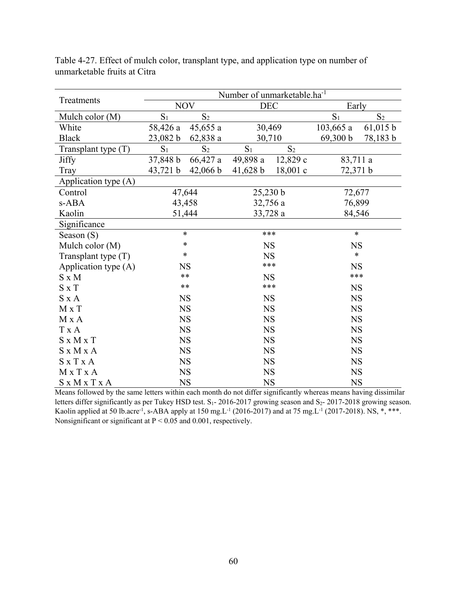|                       | Number of unmarketable.ha <sup>-1</sup> |                |            |                |                |                |  |
|-----------------------|-----------------------------------------|----------------|------------|----------------|----------------|----------------|--|
| Treatments            |                                         | <b>NOV</b>     | <b>DEC</b> |                | Early          |                |  |
| Mulch color (M)       | S <sub>1</sub>                          | S <sub>2</sub> |            |                | S <sub>1</sub> | S <sub>2</sub> |  |
| White                 | 58,426 a                                | 45,655 a       | 30,469     |                | $103,665$ a    | 61,015 b       |  |
| <b>Black</b>          | 23,082 b                                | 62,838a        | 30,710     |                | 69,300 b       | 78,183 b       |  |
| Transplant type (T)   | S <sub>1</sub>                          | S <sub>2</sub> | $S_1$      | S <sub>2</sub> |                |                |  |
| Jiffy                 | 37,848 b                                | $66,427$ a     | 49,898 a   | 12,829 c       | 83,711 a       |                |  |
| Tray                  | 43,721 b                                | 42,066 b       | 41,628 b   | $18,001$ c     | 72,371 b       |                |  |
| Application type (A)  |                                         |                |            |                |                |                |  |
| Control               |                                         | 47,644         | 25,230 b   |                | 72,677         |                |  |
| s-ABA                 |                                         | 43,458         | 32,756 a   |                | 76,899         |                |  |
| Kaolin                |                                         | 51,444         | 33,728 a   |                | 84,546         |                |  |
| Significance          |                                         |                |            |                |                |                |  |
| Season (S)            |                                         | $\ast$         | ***        |                | $\ast$         |                |  |
| Mulch color (M)       |                                         | *              | <b>NS</b>  |                | <b>NS</b>      |                |  |
| Transplant type $(T)$ |                                         | *              | <b>NS</b>  |                | $\ast$         |                |  |
| Application type (A)  |                                         | <b>NS</b>      | ***        |                | <b>NS</b>      |                |  |
| $S \times M$          |                                         | $**$           | <b>NS</b>  |                | ***            |                |  |
| $S \times T$          |                                         | $**$           | ***        |                | <b>NS</b>      |                |  |
| $S \times A$          |                                         | <b>NS</b>      | <b>NS</b>  |                | <b>NS</b>      |                |  |
| $M \times T$          |                                         | <b>NS</b>      | <b>NS</b>  |                | <b>NS</b>      |                |  |
| M x A                 |                                         | <b>NS</b>      | NS         |                | <b>NS</b>      |                |  |
| T x A                 |                                         | <b>NS</b>      | <b>NS</b>  |                | <b>NS</b>      |                |  |
| $S \times M \times T$ |                                         | <b>NS</b>      | <b>NS</b>  |                | <b>NS</b>      |                |  |
| S x M x A             |                                         | <b>NS</b>      | <b>NS</b>  |                | <b>NS</b>      |                |  |
| <b>SxTxA</b>          |                                         | <b>NS</b>      | <b>NS</b>  |                | <b>NS</b>      |                |  |
| MxTxA                 |                                         | <b>NS</b>      | <b>NS</b>  |                | <b>NS</b>      |                |  |
| S x M x T x A         |                                         | <b>NS</b>      | <b>NS</b>  |                |                | <b>NS</b>      |  |

Table 4-27. Effect of mulch color, transplant type, and application type on number of unmarketable fruits at Citra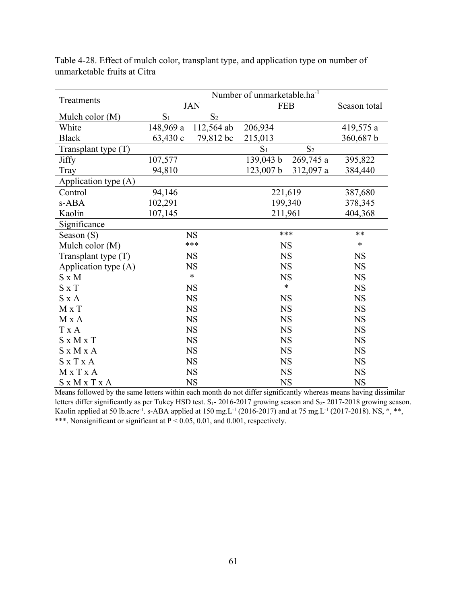| Treatments            |                |                | Number of unmarketable.ha <sup>-1</sup> |                |              |  |  |
|-----------------------|----------------|----------------|-----------------------------------------|----------------|--------------|--|--|
|                       |                | <b>JAN</b>     | <b>FEB</b>                              |                | Season total |  |  |
| Mulch color (M)       | S <sub>1</sub> | S <sub>2</sub> |                                         |                |              |  |  |
| White                 | 148,969 a      | 112,564 ab     | 206,934                                 |                | 419,575 a    |  |  |
| <b>Black</b>          | 63,430 c       | 79,812 bc      | 215,013                                 |                | 360,687 b    |  |  |
| Transplant type (T)   |                |                | $S_1$                                   | S <sub>2</sub> |              |  |  |
| <b>Jiffy</b>          | 107,577        |                | 139,043 b                               | $269,745$ a    | 395,822      |  |  |
| Tray                  | 94,810         |                | 123,007 b                               | 312,097 a      | 384,440      |  |  |
| Application type (A)  |                |                |                                         |                |              |  |  |
| Control               | 94,146         |                | 221,619                                 |                | 387,680      |  |  |
| s-ABA                 | 102,291        |                | 199,340                                 |                | 378,345      |  |  |
| Kaolin                | 107,145        |                | 211,961                                 |                | 404,368      |  |  |
| Significance          |                |                |                                         |                |              |  |  |
| Season $(S)$          |                | <b>NS</b>      | ***                                     |                | $**$         |  |  |
| Mulch color (M)       |                | ***            | <b>NS</b>                               |                | $\ast$       |  |  |
| Transplant type $(T)$ |                | <b>NS</b>      | <b>NS</b>                               |                | <b>NS</b>    |  |  |
| Application type (A)  |                | <b>NS</b>      | <b>NS</b>                               |                | <b>NS</b>    |  |  |
| $S \times M$          |                | $\ast$         | <b>NS</b>                               |                | <b>NS</b>    |  |  |
| $S \times T$          |                | <b>NS</b>      | $\ast$                                  |                | <b>NS</b>    |  |  |
| $S \times A$          |                | <b>NS</b>      | <b>NS</b>                               |                | <b>NS</b>    |  |  |
| $M \times T$          |                | <b>NS</b>      | <b>NS</b>                               |                | <b>NS</b>    |  |  |
| M x A                 |                | <b>NS</b>      | <b>NS</b>                               |                | <b>NS</b>    |  |  |
| T x A                 |                | <b>NS</b>      | <b>NS</b>                               |                | <b>NS</b>    |  |  |
| $S \times M \times T$ |                | <b>NS</b>      | <b>NS</b>                               |                | <b>NS</b>    |  |  |
| $S \times M \times A$ |                | <b>NS</b>      | <b>NS</b>                               |                | <b>NS</b>    |  |  |
| $S \times T \times A$ |                | <b>NS</b>      | <b>NS</b>                               |                | <b>NS</b>    |  |  |
| M x T x A             |                | <b>NS</b>      | <b>NS</b>                               |                | <b>NS</b>    |  |  |
| S x M x T x A         |                | <b>NS</b>      | <b>NS</b>                               |                | <b>NS</b>    |  |  |

Table 4-28. Effect of mulch color, transplant type, and application type on number of unmarketable fruits at Citra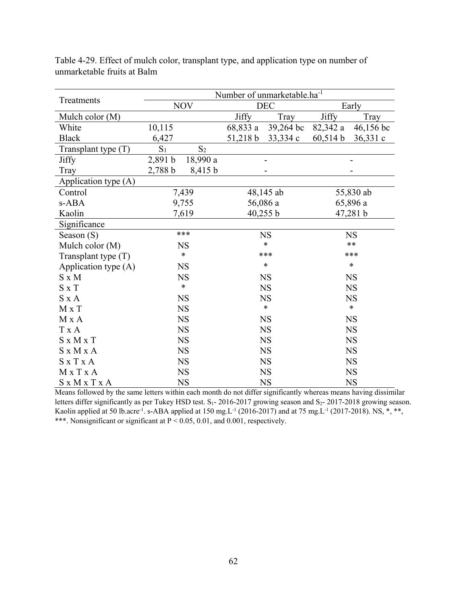|                       | Number of unmarketable.ha <sup>-1</sup> |                |              |            |           |           |  |
|-----------------------|-----------------------------------------|----------------|--------------|------------|-----------|-----------|--|
| Treatments            |                                         | <b>NOV</b>     |              | <b>DEC</b> |           | Early     |  |
| Mulch color $(M)$     |                                         |                | <b>Jiffy</b> | Tray       | Jiffy     | Tray      |  |
| White                 | 10,115                                  |                | 68,833 a     | 39,264 bc  | 82,342 a  | 46,156 bc |  |
| <b>Black</b>          | 6,427                                   |                | 51,218 b     | 33,334 c   | 60,514 b  | 36,331 c  |  |
| Transplant type $(T)$ | S <sub>1</sub>                          | S <sub>2</sub> |              |            |           |           |  |
| Jiffy                 | 2,891 b                                 | 18,990 a       |              |            |           |           |  |
| Tray                  | 2,788 b                                 | 8,415 b        |              |            |           |           |  |
| Application type (A)  |                                         |                |              |            |           |           |  |
| Control               |                                         | 7,439          |              | 48,145 ab  |           | 55,830 ab |  |
| s-ABA                 |                                         | 9,755          |              | 56,086 a   |           | 65,896 a  |  |
| Kaolin                |                                         | 7,619          |              | 40,255 b   | 47,281 b  |           |  |
| Significance          |                                         |                |              |            |           |           |  |
| Season (S)            |                                         | $***$          |              | <b>NS</b>  | <b>NS</b> |           |  |
| Mulch color (M)       |                                         | <b>NS</b>      | $\ast$       |            | $**$      |           |  |
| Transplant type (T)   |                                         | $\ast$         |              | ***        | ***       |           |  |
| Application type (A)  |                                         | <b>NS</b>      |              | $\ast$     |           | $\ast$    |  |
| $S \times M$          |                                         | <b>NS</b>      |              | <b>NS</b>  |           | <b>NS</b> |  |
| $S \times T$          |                                         | $\ast$         |              | <b>NS</b>  |           | <b>NS</b> |  |
| $S \times A$          |                                         | <b>NS</b>      |              | <b>NS</b>  |           | <b>NS</b> |  |
| $M \times T$          |                                         | <b>NS</b>      |              | $\ast$     |           | $\ast$    |  |
| M x A                 |                                         | <b>NS</b>      |              | <b>NS</b>  |           | <b>NS</b> |  |
| T x A                 |                                         | <b>NS</b>      |              | <b>NS</b>  |           | <b>NS</b> |  |
| $S \times M \times T$ |                                         | <b>NS</b>      |              | <b>NS</b>  |           | <b>NS</b> |  |
| S x M x A             |                                         | <b>NS</b>      |              | <b>NS</b>  |           | <b>NS</b> |  |
| $S \times T \times A$ |                                         | <b>NS</b>      |              | <b>NS</b>  |           | <b>NS</b> |  |
| MxTxA                 |                                         | <b>NS</b>      |              | <b>NS</b>  |           | <b>NS</b> |  |
| S x M x T x A         |                                         | <b>NS</b>      |              | <b>NS</b>  |           | <b>NS</b> |  |

Table 4-29. Effect of mulch color, transplant type, and application type on number of unmarketable fruits at Balm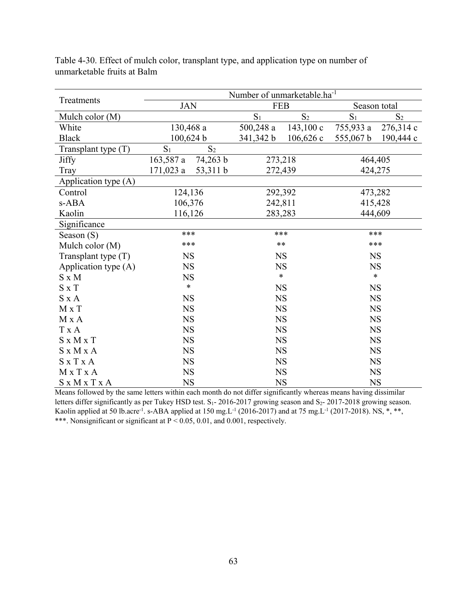|                       | Number of unmarketable.ha <sup>-1</sup> |                |             |             |              |                |
|-----------------------|-----------------------------------------|----------------|-------------|-------------|--------------|----------------|
| Treatments            | <b>JAN</b>                              |                | <b>FEB</b>  |             | Season total |                |
| Mulch color (M)       |                                         |                | $S_1$       | $S_2$       | $S_1$        | S <sub>2</sub> |
| White                 | 130,468 a                               |                | $500,248$ a | 143,100c    | 755,933 a    | 276,314 c      |
| <b>Black</b>          | 100,624 b                               |                | 341,342 b   | $106,626$ c | 555,067 b    | 190,444 c      |
| Transplant type (T)   | S <sub>1</sub>                          | S <sub>2</sub> |             |             |              |                |
| <b>Jiffy</b>          | 74,263 b<br>163,587 a                   |                | 273,218     |             | 464,405      |                |
| Tray                  | 171,023 a                               | 53,311 b       |             | 272,439     |              | 424,275        |
| Application type (A)  |                                         |                |             |             |              |                |
| Control               | 124,136                                 |                | 292,392     |             | 473,282      |                |
| s-ABA                 | 106,376                                 |                | 242,811     |             | 415,428      |                |
| Kaolin                | 116,126                                 |                | 283,283     |             | 444,609      |                |
| Significance          |                                         |                |             |             |              |                |
| Season (S)            | ***                                     |                | ***         |             | ***          |                |
| Mulch color (M)       | ***                                     |                | $**$        |             | ***          |                |
| Transplant type $(T)$ | <b>NS</b>                               |                | <b>NS</b>   |             | <b>NS</b>    |                |
| Application type (A)  | <b>NS</b>                               |                | <b>NS</b>   |             | <b>NS</b>    |                |
| $S \times M$          | <b>NS</b>                               |                | $\ast$      |             | $\ast$       |                |
| $S \times T$          | $\ast$                                  |                | <b>NS</b>   |             | <b>NS</b>    |                |
| $S \times A$          | <b>NS</b>                               |                | NS          |             | <b>NS</b>    |                |
| M x T                 | <b>NS</b>                               |                | <b>NS</b>   |             | <b>NS</b>    |                |
| M x A                 | <b>NS</b>                               |                | NS          |             | <b>NS</b>    |                |
| T x A                 | <b>NS</b>                               |                | <b>NS</b>   |             | <b>NS</b>    |                |
| $S \times M \times T$ | <b>NS</b>                               |                | <b>NS</b>   |             | <b>NS</b>    |                |
| S x M x A             | NS                                      |                | <b>NS</b>   |             | <b>NS</b>    |                |
| $S \times T \times A$ | <b>NS</b>                               |                | <b>NS</b>   |             | <b>NS</b>    |                |
| MxTxA                 | <b>NS</b>                               |                | <b>NS</b>   |             | <b>NS</b>    |                |
| S x M x T x A         | <b>NS</b>                               |                | <b>NS</b>   |             | <b>NS</b>    |                |

Table 4-30. Effect of mulch color, transplant type, and application type on number of unmarketable fruits at Balm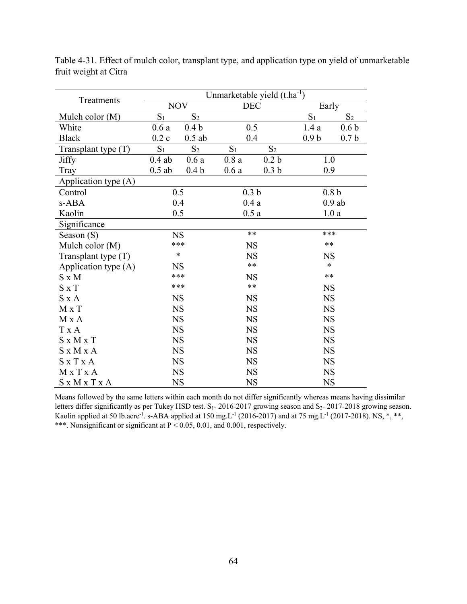|                       | Unmarketable yield $(t.ha^{-1})$ |                  |                  |                  |                  |                  |  |
|-----------------------|----------------------------------|------------------|------------------|------------------|------------------|------------------|--|
| Treatments            | <b>NOV</b>                       |                  | <b>DEC</b>       |                  | Early            |                  |  |
| Mulch color (M)       | $S_1$                            | S <sub>2</sub>   |                  |                  | $S_1$            | $S_2$            |  |
| White                 | 0.6a                             | 0.4 <sub>b</sub> | 0.5              |                  | 1.4a             | 0.6 <sub>b</sub> |  |
| <b>Black</b>          | 0.2c                             | $0.5$ ab         | 0.4              |                  | 0.9 <sub>b</sub> | 0.7 <sub>b</sub> |  |
| Transplant type (T)   | S <sub>1</sub>                   | S <sub>2</sub>   | S <sub>1</sub>   | S <sub>2</sub>   |                  |                  |  |
| <b>Jiffy</b>          | $0.4$ ab                         | 0.6a             | 0.8a             | 0.2 <sub>b</sub> | 1.0              |                  |  |
| Tray                  | $0.5$ ab                         | 0.4 <sub>b</sub> | 0.6a             | 0.3 <sub>b</sub> | 0.9              |                  |  |
| Application type (A)  |                                  |                  |                  |                  |                  |                  |  |
| Control               |                                  | 0.5              | 0.3 <sub>b</sub> |                  |                  | 0.8 <sub>b</sub> |  |
| s-ABA                 |                                  | 0.4              | 0.4a             |                  | $0.9$ ab         |                  |  |
| Kaolin                |                                  | 0.5              | 0.5a             |                  | 1.0a             |                  |  |
| Significance          |                                  |                  |                  |                  |                  |                  |  |
| Season (S)            | <b>NS</b>                        |                  | $***$            |                  | ***              |                  |  |
| Mulch color (M)       | ***                              |                  | <b>NS</b>        |                  | $**$             |                  |  |
| Transplant type $(T)$ | $\ast$                           |                  | <b>NS</b>        |                  | <b>NS</b>        |                  |  |
| Application type (A)  | <b>NS</b>                        |                  | $***$            |                  | $\ast$           |                  |  |
| $S \times M$          | ***                              |                  | <b>NS</b>        |                  | $**$             |                  |  |
| $S \times T$          |                                  | ***              | $***$            |                  | <b>NS</b>        |                  |  |
| $S \times A$          |                                  | <b>NS</b>        | <b>NS</b>        |                  | <b>NS</b>        |                  |  |
| M x T                 |                                  | <b>NS</b>        | <b>NS</b>        |                  | <b>NS</b>        |                  |  |
| M x A                 |                                  | <b>NS</b>        | <b>NS</b>        |                  | <b>NS</b>        |                  |  |
| T x A                 |                                  | <b>NS</b>        | <b>NS</b>        |                  | <b>NS</b>        |                  |  |
| $S \times M \times T$ |                                  | <b>NS</b>        | <b>NS</b>        |                  | <b>NS</b>        |                  |  |
| S x M x A             |                                  | <b>NS</b>        | <b>NS</b>        |                  | <b>NS</b>        |                  |  |
| $S \times T \times A$ |                                  | <b>NS</b>        | <b>NS</b>        |                  | <b>NS</b>        |                  |  |
| MxTxA                 |                                  | <b>NS</b>        | <b>NS</b>        |                  | <b>NS</b>        |                  |  |
| S x M x T x A         | <b>NS</b>                        |                  | <b>NS</b>        |                  | <b>NS</b>        |                  |  |

Table 4-31. Effect of mulch color, transplant type, and application type on yield of unmarketable fruit weight at Citra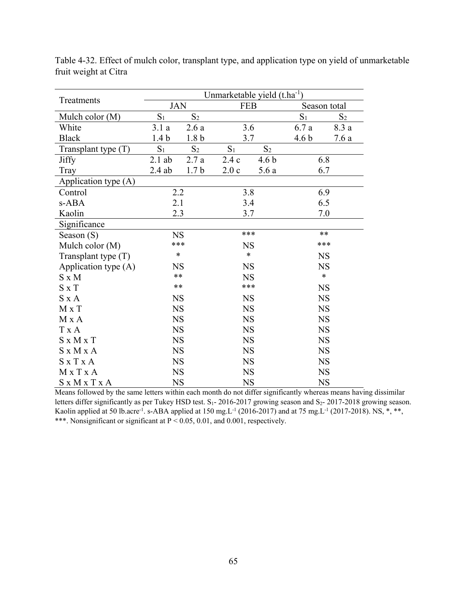|                       | Unmarketable yield $(t.ha^{-1})$ |                   |                |                  |                  |                |  |
|-----------------------|----------------------------------|-------------------|----------------|------------------|------------------|----------------|--|
| Treatments            | <b>JAN</b>                       |                   | <b>FEB</b>     |                  | Season total     |                |  |
| Mulch color (M)       | $S_1$                            | $\mathrm{S}_2$    |                |                  | $\mathbf{S}_1$   | S <sub>2</sub> |  |
| White                 | 3.1a                             | $2.6\ \mathrm{a}$ |                | 3.6              | 6.7a             | 8.3 a          |  |
| <b>Black</b>          | 1.4 <sub>b</sub>                 | 1.8 <sub>b</sub>  | 3.7            |                  | 4.6 <sub>b</sub> | 7.6a           |  |
| Transplant type $(T)$ | S <sub>1</sub>                   | S <sub>2</sub>    | S <sub>1</sub> | S <sub>2</sub>   |                  |                |  |
| <b>Jiffy</b>          | $2.1$ ab                         | 2.7a              | 2.4c           | 4.6 <sub>b</sub> |                  | 6.8            |  |
| Tray                  | $2.4$ ab                         | 1.7 <sub>b</sub>  | 2.0c           | 5.6a             |                  | 6.7            |  |
| Application type (A)  |                                  |                   |                |                  |                  |                |  |
| Control               | 2.2                              |                   | 3.8            |                  |                  | 6.9            |  |
| s-ABA                 | 2.1                              |                   | 3.4            |                  | 6.5              |                |  |
| Kaolin                | 2.3                              |                   | 3.7            |                  | 7.0              |                |  |
| Significance          |                                  |                   |                |                  |                  |                |  |
| Season (S)            | <b>NS</b>                        |                   | ***            |                  | $**$             |                |  |
| Mulch color (M)       | ***                              |                   | <b>NS</b>      |                  | ***              |                |  |
| Transplant type $(T)$ | $\ast$                           |                   | $\ast$         |                  |                  | <b>NS</b>      |  |
| Application type (A)  | <b>NS</b>                        |                   | <b>NS</b>      |                  |                  | <b>NS</b>      |  |
| $S \times M$          | $**$                             |                   | <b>NS</b>      |                  | $\ast$           |                |  |
| $S \times T$          | $**$                             |                   | ***            |                  | <b>NS</b>        |                |  |
| $S \times A$          | <b>NS</b>                        |                   | <b>NS</b>      |                  | <b>NS</b>        |                |  |
| M x T                 | <b>NS</b>                        |                   | <b>NS</b>      |                  | <b>NS</b>        |                |  |
| M x A                 | <b>NS</b>                        |                   | <b>NS</b>      |                  | <b>NS</b>        |                |  |
| T x A                 | <b>NS</b>                        |                   | <b>NS</b>      |                  | <b>NS</b>        |                |  |
| $S \times M \times T$ | <b>NS</b>                        |                   | <b>NS</b>      |                  | <b>NS</b>        |                |  |
| S x M x A             | <b>NS</b>                        |                   | <b>NS</b>      |                  |                  | <b>NS</b>      |  |
| $S \times T \times A$ | <b>NS</b>                        |                   | <b>NS</b>      |                  | <b>NS</b>        |                |  |
| MxTxA                 | <b>NS</b>                        |                   | <b>NS</b>      |                  | <b>NS</b>        |                |  |
| S x M x T x A         | <b>NS</b>                        |                   | <b>NS</b>      |                  | <b>NS</b>        |                |  |

Table 4-32. Effect of mulch color, transplant type, and application type on yield of unmarketable fruit weight at Citra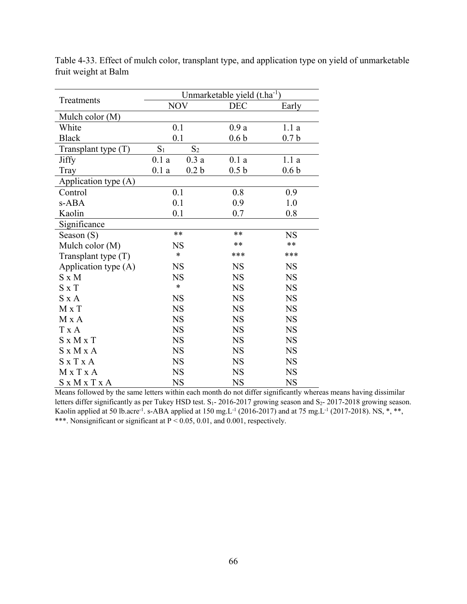|                       | Unmarketable yield $(t.ha^{-1})$ |                  |                  |                  |  |  |
|-----------------------|----------------------------------|------------------|------------------|------------------|--|--|
| Treatments            | <b>NOV</b>                       |                  | <b>DEC</b>       | Early            |  |  |
| Mulch color (M)       |                                  |                  |                  |                  |  |  |
| White                 |                                  | 0.1              | 0.9a             | 1.1a             |  |  |
| <b>Black</b>          |                                  | 0.1              | 0.6 <sub>b</sub> | 0.7 <sub>b</sub> |  |  |
| Transplant type (T)   | S <sub>1</sub><br>S <sub>2</sub> |                  |                  |                  |  |  |
| <b>Jiffy</b>          | 0.1a<br>0.3a                     |                  | 0.1a             | 1.1a             |  |  |
| Tray                  | 0.1a                             | 0.2 <sub>b</sub> | 0.5 <sub>b</sub> | 0.6 <sub>b</sub> |  |  |
| Application type (A)  |                                  |                  |                  |                  |  |  |
| Control               |                                  | 0.1              | 0.8              | 0.9              |  |  |
| s-ABA                 |                                  | 0.1              | 0.9              | 1.0              |  |  |
| Kaolin                | 0.1                              |                  | 0.7              | 0.8              |  |  |
| Significance          |                                  |                  |                  |                  |  |  |
| Season $(S)$          | $**$                             |                  | **               | <b>NS</b>        |  |  |
| Mulch color (M)       |                                  | <b>NS</b>        | **               | $***$            |  |  |
| Transplant type $(T)$ |                                  | $\ast$           | ***              | ***              |  |  |
| Application type (A)  |                                  | <b>NS</b>        | <b>NS</b>        | <b>NS</b>        |  |  |
| $S \times M$          |                                  | <b>NS</b>        | <b>NS</b>        | <b>NS</b>        |  |  |
| $S \times T$          |                                  | $\ast$           | <b>NS</b>        | <b>NS</b>        |  |  |
| $S \times A$          |                                  | <b>NS</b>        | <b>NS</b>        | <b>NS</b>        |  |  |
| $M \times T$          |                                  | <b>NS</b>        | <b>NS</b>        | <b>NS</b>        |  |  |
| M x A                 |                                  | <b>NS</b>        | <b>NS</b>        | <b>NS</b>        |  |  |
| T x A                 |                                  | <b>NS</b>        | <b>NS</b>        | <b>NS</b>        |  |  |
| $S \times M \times T$ |                                  | <b>NS</b>        | <b>NS</b>        | <b>NS</b>        |  |  |
| S x M x A             |                                  | <b>NS</b>        | <b>NS</b>        | <b>NS</b>        |  |  |
| $S \times T \times A$ |                                  | <b>NS</b>        | <b>NS</b>        | <b>NS</b>        |  |  |
| $M \times T \times A$ |                                  | <b>NS</b>        | <b>NS</b>        | <b>NS</b>        |  |  |
| S x M x T x A         | <b>NS</b>                        |                  | <b>NS</b>        | <b>NS</b>        |  |  |

Table 4-33. Effect of mulch color, transplant type, and application type on yield of unmarketable fruit weight at Balm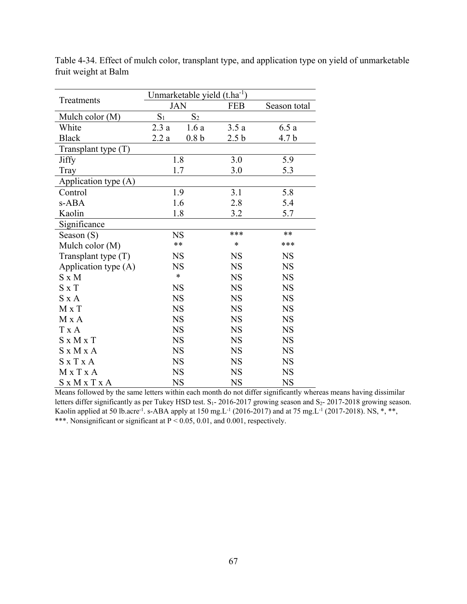|                       |            | Unmarketable yield (t.ha <sup>-1</sup> ) |                  |                  |
|-----------------------|------------|------------------------------------------|------------------|------------------|
| Treatments            | <b>JAN</b> |                                          | <b>FEB</b>       | Season total     |
| Mulch color (M)       | $S_1$      | S <sub>2</sub>                           |                  |                  |
| White                 | 2.3a       | 1.6a                                     | 3.5a             | 6.5a             |
| <b>Black</b>          | 2.2a       | 0.8 <sub>b</sub>                         | 2.5 <sub>b</sub> | 4.7 <sub>b</sub> |
| Transplant type (T)   |            |                                          |                  |                  |
| <b>Jiffy</b>          |            | 1.8                                      | 3.0              | 5.9              |
| Tray                  |            | 1.7                                      | 3.0              | 5.3              |
| Application type (A)  |            |                                          |                  |                  |
| Control               |            | 1.9                                      | 3.1              | 5.8              |
| s-ABA                 |            | 1.6                                      | 2.8              | 5.4              |
| Kaolin                | 1.8        |                                          | 3.2              | 5.7              |
| Significance          |            |                                          |                  |                  |
| Season $(S)$          |            | <b>NS</b>                                | ***              | **               |
| Mulch color (M)       |            | $**$                                     | $\ast$           | ***              |
| Transplant type (T)   |            | <b>NS</b>                                | <b>NS</b>        | <b>NS</b>        |
| Application type (A)  |            | <b>NS</b>                                | <b>NS</b>        | <b>NS</b>        |
| $S \times M$          |            | $\ast$                                   | <b>NS</b>        | <b>NS</b>        |
| $S \times T$          |            | <b>NS</b>                                | <b>NS</b>        | <b>NS</b>        |
| $S \times A$          |            | <b>NS</b>                                | <b>NS</b>        | <b>NS</b>        |
| $M \times T$          |            | <b>NS</b>                                | <b>NS</b>        | <b>NS</b>        |
| M x A                 |            | <b>NS</b>                                | <b>NS</b>        | <b>NS</b>        |
| T x A                 |            | <b>NS</b>                                | <b>NS</b>        | <b>NS</b>        |
| $S \times M \times T$ |            | <b>NS</b>                                | <b>NS</b>        | <b>NS</b>        |
| S x M x A             |            | <b>NS</b>                                | <b>NS</b>        | <b>NS</b>        |
| $S \times T \times A$ |            | <b>NS</b>                                | <b>NS</b>        | <b>NS</b>        |
| $M \times T \times A$ |            | <b>NS</b>                                | <b>NS</b>        | <b>NS</b>        |
| S x M x T x A         |            | <b>NS</b>                                | <b>NS</b>        | <b>NS</b>        |

Table 4-34. Effect of mulch color, transplant type, and application type on yield of unmarketable fruit weight at Balm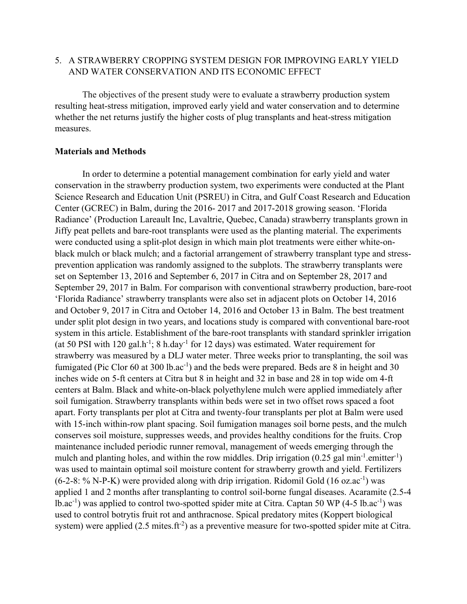# 5. A STRAWBERRY CROPPING SYSTEM DESIGN FOR IMPROVING EARLY YIELD AND WATER CONSERVATION AND ITS ECONOMIC EFFECT

The objectives of the present study were to evaluate a strawberry production system resulting heat-stress mitigation, improved early yield and water conservation and to determine whether the net returns justify the higher costs of plug transplants and heat-stress mitigation measures.

# **Materials and Methods**

In order to determine a potential management combination for early yield and water conservation in the strawberry production system, two experiments were conducted at the Plant Science Research and Education Unit (PSREU) in Citra, and Gulf Coast Research and Education Center (GCREC) in Balm, during the 2016- 2017 and 2017-2018 growing season. 'Florida Radiance' (Production Lareault Inc, Lavaltrie, Quebec, Canada) strawberry transplants grown in Jiffy peat pellets and bare-root transplants were used as the planting material. The experiments were conducted using a split-plot design in which main plot treatments were either white-onblack mulch or black mulch; and a factorial arrangement of strawberry transplant type and stressprevention application was randomly assigned to the subplots. The strawberry transplants were set on September 13, 2016 and September 6, 2017 in Citra and on September 28, 2017 and September 29, 2017 in Balm. For comparison with conventional strawberry production, bare-root 'Florida Radiance' strawberry transplants were also set in adjacent plots on October 14, 2016 and October 9, 2017 in Citra and October 14, 2016 and October 13 in Balm. The best treatment under split plot design in two years, and locations study is compared with conventional bare-root system in this article. Establishment of the bare-root transplants with standard sprinkler irrigation (at 50 PSI with 120 gal.h<sup>-1</sup>; 8 h.day<sup>-1</sup> for 12 days) was estimated. Water requirement for strawberry was measured by a DLJ water meter. Three weeks prior to transplanting, the soil was fumigated (Pic Clor 60 at 300 lb.ac<sup>-1</sup>) and the beds were prepared. Beds are 8 in height and 30 inches wide on 5-ft centers at Citra but 8 in height and 32 in base and 28 in top wide om 4-ft centers at Balm. Black and white-on-black polyethylene mulch were applied immediately after soil fumigation. Strawberry transplants within beds were set in two offset rows spaced a foot apart. Forty transplants per plot at Citra and twenty-four transplants per plot at Balm were used with 15-inch within-row plant spacing. Soil fumigation manages soil borne pests, and the mulch conserves soil moisture, suppresses weeds, and provides healthy conditions for the fruits. Crop maintenance included periodic runner removal, management of weeds emerging through the mulch and planting holes, and within the row middles. Drip irrigation  $(0.25 \text{ gal min}^{-1}$  emitter<sup>-1</sup>) was used to maintain optimal soil moisture content for strawberry growth and yield. Fertilizers  $(6-2-8: %$  N-P-K) were provided along with drip irrigation. Ridomil Gold  $(16 \text{ oz.} ac^{-1})$  was applied 1 and 2 months after transplanting to control soil-borne fungal diseases. Acaramite (2.5-4 lb.ac<sup>-1</sup>) was applied to control two-spotted spider mite at Citra. Captan 50 WP (4-5 lb.ac<sup>-1</sup>) was used to control botrytis fruit rot and anthracnose. Spical predatory mites (Koppert biological system) were applied (2.5 mites.ft<sup>-2</sup>) as a preventive measure for two-spotted spider mite at Citra.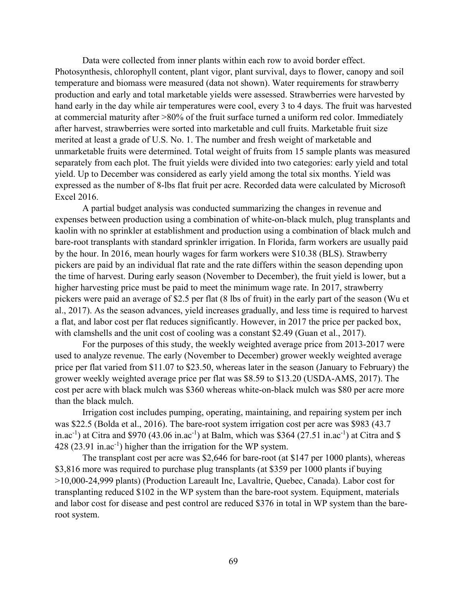Data were collected from inner plants within each row to avoid border effect. Photosynthesis, chlorophyll content, plant vigor, plant survival, days to flower, canopy and soil temperature and biomass were measured (data not shown). Water requirements for strawberry production and early and total marketable yields were assessed. Strawberries were harvested by hand early in the day while air temperatures were cool, every 3 to 4 days. The fruit was harvested at commercial maturity after >80% of the fruit surface turned a uniform red color. Immediately after harvest, strawberries were sorted into marketable and cull fruits. Marketable fruit size merited at least a grade of U.S. No. 1. The number and fresh weight of marketable and unmarketable fruits were determined. Total weight of fruits from 15 sample plants was measured separately from each plot. The fruit yields were divided into two categories: early yield and total yield. Up to December was considered as early yield among the total six months. Yield was expressed as the number of 8-lbs flat fruit per acre. Recorded data were calculated by Microsoft Excel 2016.

A partial budget analysis was conducted summarizing the changes in revenue and expenses between production using a combination of white-on-black mulch, plug transplants and kaolin with no sprinkler at establishment and production using a combination of black mulch and bare-root transplants with standard sprinkler irrigation. In Florida, farm workers are usually paid by the hour. In 2016, mean hourly wages for farm workers were \$10.38 (BLS). Strawberry pickers are paid by an individual flat rate and the rate differs within the season depending upon the time of harvest. During early season (November to December), the fruit yield is lower, but a higher harvesting price must be paid to meet the minimum wage rate. In 2017, strawberry pickers were paid an average of \$2.5 per flat (8 lbs of fruit) in the early part of the season (Wu et al., 2017). As the season advances, yield increases gradually, and less time is required to harvest a flat, and labor cost per flat reduces significantly. However, in 2017 the price per packed box, with clamshells and the unit cost of cooling was a constant \$2.49 (Guan et al., 2017).

For the purposes of this study, the weekly weighted average price from 2013-2017 were used to analyze revenue. The early (November to December) grower weekly weighted average price per flat varied from \$11.07 to \$23.50, whereas later in the season (January to February) the grower weekly weighted average price per flat was \$8.59 to \$13.20 (USDA-AMS, 2017). The cost per acre with black mulch was \$360 whereas white-on-black mulch was \$80 per acre more than the black mulch.

Irrigation cost includes pumping, operating, maintaining, and repairing system per inch was \$22.5 (Bolda et al., 2016). The bare-root system irrigation cost per acre was \$983 (43.7 in.ac<sup>-1</sup>) at Citra and \$970 (43.06 in.ac<sup>-1</sup>) at Balm, which was \$364 (27.51 in.ac<sup>-1</sup>) at Citra and \$ 428 (23.91 in.ac<sup>-1</sup>) higher than the irrigation for the WP system.

The transplant cost per acre was \$2,646 for bare-root (at \$147 per 1000 plants), whereas \$3,816 more was required to purchase plug transplants (at \$359 per 1000 plants if buying >10,000-24,999 plants) (Production Lareault Inc, Lavaltrie, Quebec, Canada). Labor cost for transplanting reduced \$102 in the WP system than the bare-root system. Equipment, materials and labor cost for disease and pest control are reduced \$376 in total in WP system than the bareroot system.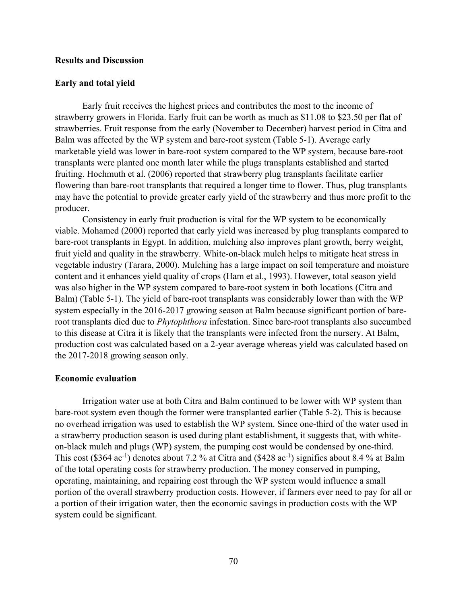# **Results and Discussion**

### **Early and total yield**

Early fruit receives the highest prices and contributes the most to the income of strawberry growers in Florida. Early fruit can be worth as much as \$11.08 to \$23.50 per flat of strawberries. Fruit response from the early (November to December) harvest period in Citra and Balm was affected by the WP system and bare-root system (Table 5-1). Average early marketable yield was lower in bare-root system compared to the WP system, because bare-root transplants were planted one month later while the plugs transplants established and started fruiting. Hochmuth et al. (2006) reported that strawberry plug transplants facilitate earlier flowering than bare-root transplants that required a longer time to flower. Thus, plug transplants may have the potential to provide greater early yield of the strawberry and thus more profit to the producer.

Consistency in early fruit production is vital for the WP system to be economically viable. Mohamed (2000) reported that early yield was increased by plug transplants compared to bare-root transplants in Egypt. In addition, mulching also improves plant growth, berry weight, fruit yield and quality in the strawberry. White-on-black mulch helps to mitigate heat stress in vegetable industry (Tarara, 2000). Mulching has a large impact on soil temperature and moisture content and it enhances yield quality of crops (Ham et al., 1993). However, total season yield was also higher in the WP system compared to bare-root system in both locations (Citra and Balm) (Table 5-1). The yield of bare-root transplants was considerably lower than with the WP system especially in the 2016-2017 growing season at Balm because significant portion of bareroot transplants died due to *Phytophthora* infestation. Since bare-root transplants also succumbed to this disease at Citra it is likely that the transplants were infected from the nursery. At Balm, production cost was calculated based on a 2-year average whereas yield was calculated based on the 2017-2018 growing season only.

### **Economic evaluation**

Irrigation water use at both Citra and Balm continued to be lower with WP system than bare-root system even though the former were transplanted earlier (Table 5-2). This is because no overhead irrigation was used to establish the WP system. Since one-third of the water used in a strawberry production season is used during plant establishment, it suggests that, with whiteon-black mulch and plugs (WP) system, the pumping cost would be condensed by one-third. This cost (\$364 ac<sup>-1</sup>) denotes about 7.2 % at Citra and (\$428 ac<sup>-1</sup>) signifies about 8.4 % at Balm of the total operating costs for strawberry production. The money conserved in pumping, operating, maintaining, and repairing cost through the WP system would influence a small portion of the overall strawberry production costs. However, if farmers ever need to pay for all or a portion of their irrigation water, then the economic savings in production costs with the WP system could be significant.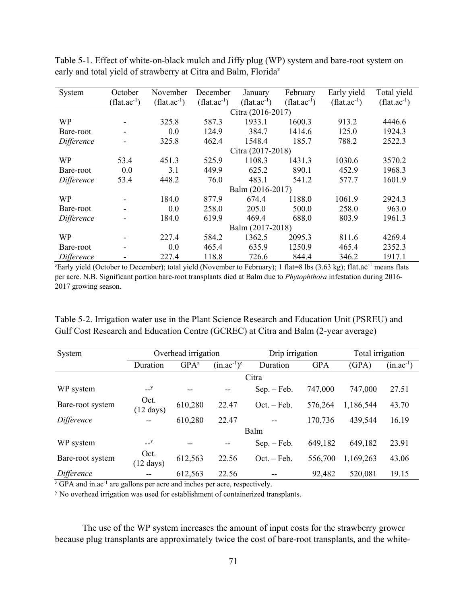| System     | October                                                                                                                                       | November         | December         | January           | February         | Early yield      | Total yield      |  |  |
|------------|-----------------------------------------------------------------------------------------------------------------------------------------------|------------------|------------------|-------------------|------------------|------------------|------------------|--|--|
|            | $(flat.ac^{-1})$                                                                                                                              | $(flat.ac^{-1})$ | $(flat.ac^{-1})$ | $(flat.ac^{-1})$  | $(flat.ac^{-1})$ | $(flat.ac^{-1})$ | $(flat.ac^{-1})$ |  |  |
|            | Citra (2016-2017)                                                                                                                             |                  |                  |                   |                  |                  |                  |  |  |
| WP         |                                                                                                                                               | 325.8            | 587.3            | 1933.1            | 1600.3           | 913.2            | 4446.6           |  |  |
| Bare-root  |                                                                                                                                               | 0.0              | 124.9            | 384.7             | 1414.6           | 125.0            | 1924.3           |  |  |
| Difference |                                                                                                                                               | 325.8            | 462.4            | 1548.4            | 185.7            | 788.2            | 2522.3           |  |  |
|            |                                                                                                                                               |                  |                  | Citra (2017-2018) |                  |                  |                  |  |  |
| WP         | 53.4                                                                                                                                          | 451.3            | 525.9            | 1108.3            | 1431.3           | 1030.6           | 3570.2           |  |  |
| Bare-root  | 0.0                                                                                                                                           | 3.1              | 449.9            | 625.2             | 890.1            | 452.9            | 1968.3           |  |  |
| Difference | 53.4                                                                                                                                          | 448.2            | 76.0             | 483.1             | 541.2            | 577.7            | 1601.9           |  |  |
|            |                                                                                                                                               |                  |                  | Balm (2016-2017)  |                  |                  |                  |  |  |
| <b>WP</b>  |                                                                                                                                               | 184.0            | 877.9            | 674.4             | 1188.0           | 1061.9           | 2924.3           |  |  |
| Bare-root  |                                                                                                                                               | 0.0              | 258.0            | 205.0             | 500.0            | 258.0            | 963.0            |  |  |
| Difference |                                                                                                                                               | 184.0            | 619.9            | 469.4             | 688.0            | 803.9            | 1961.3           |  |  |
|            |                                                                                                                                               |                  |                  | Balm (2017-2018)  |                  |                  |                  |  |  |
| WP         |                                                                                                                                               | 227.4            | 584.2            | 1362.5            | 2095.3           | 811.6            | 4269.4           |  |  |
| Bare-root  |                                                                                                                                               | 0.0              | 465.4            | 635.9             | 1250.9           | 465.4            | 2352.3           |  |  |
| Difference |                                                                                                                                               | 227.4            | 118.8            | 726.6             | 844.4            | 346.2            | 1917.1           |  |  |
|            | <sup>z</sup> Early yield (October to December); total yield (November to February); 1 flat=8 lbs (3.63 kg); flat.ac <sup>-1</sup> means flats |                  |                  |                   |                  |                  |                  |  |  |

Table 5-1. Effect of white-on-black mulch and Jiffy plug (WP) system and bare-root system on early and total yield of strawberry at Citra and Balm, Florida<sup>z</sup>

per acre. N.B. Significant portion bare-root transplants died at Balm due to *Phytophthora* infestation during 2016- 2017 growing season.

Table 5-2. Irrigation water use in the Plant Science Research and Education Unit (PSREU) and Gulf Cost Research and Education Centre (GCREC) at Citra and Balm (2-year average)

| System                                                                                           |                             | Overhead irrigation |              | Drip irrigation |            | Total irrigation |                |  |  |
|--------------------------------------------------------------------------------------------------|-----------------------------|---------------------|--------------|-----------------|------------|------------------|----------------|--|--|
|                                                                                                  | Duration                    | $GPA^{z}$           | $(in.ac-1)z$ | Duration        | <b>GPA</b> | (GPA)            | $(in.ac^{-1})$ |  |  |
|                                                                                                  |                             |                     |              | Citra           |            |                  |                |  |  |
| WP system                                                                                        | $-$ y                       |                     |              | $Sep. - Feb.$   | 747,000    | 747,000          | 27.51          |  |  |
| Bare-root system                                                                                 | Oct.<br>$(12 \text{ days})$ | 610,280             | 22.47        | $Oct. - Feb.$   | 576,264    | 1,186,544        | 43.70          |  |  |
| Difference                                                                                       |                             | 610,280             | 22.47        |                 | 170,736    | 439,544          | 16.19          |  |  |
|                                                                                                  | Balm                        |                     |              |                 |            |                  |                |  |  |
| WP system                                                                                        | $-$ y                       |                     |              | $Sep. - Feb.$   | 649,182    | 649,182          | 23.91          |  |  |
| Bare-root system                                                                                 | Oct.<br>$(12 \text{ days})$ | 612,563             | 22.56        | $Oct. - Feb.$   | 556,700    | 1,169,263        | 43.06          |  |  |
| Difference                                                                                       |                             | 612,563             | 22.56        | --              | 92,482     | 520,081          | 19.15          |  |  |
| <sup>z</sup> GPA and in.ac <sup>-1</sup> are gallons per acre and inches per acre, respectively. |                             |                     |              |                 |            |                  |                |  |  |

<sup>y</sup> No overhead irrigation was used for establishment of containerized transplants.

The use of the WP system increases the amount of input costs for the strawberry grower because plug transplants are approximately twice the cost of bare-root transplants, and the white-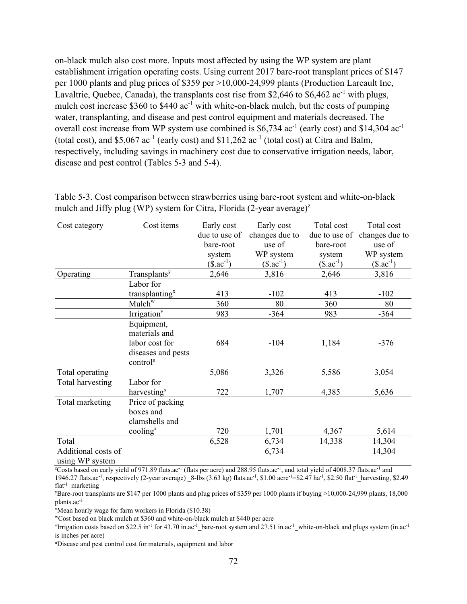on-black mulch also cost more. Inputs most affected by using the WP system are plant establishment irrigation operating costs. Using current 2017 bare-root transplant prices of \$147 per 1000 plants and plug prices of \$359 per >10,000-24,999 plants (Production Lareault Inc, Lavaltrie, Quebec, Canada), the transplants cost rise from \$2,646 to \$6,462 ac<sup>-1</sup> with plugs, mulch cost increase  $$360$  to  $$440$  ac<sup>-1</sup> with white-on-black mulch, but the costs of pumping water, transplanting, and disease and pest control equipment and materials decreased. The overall cost increase from WP system use combined is  $$6,734$  ac<sup>-1</sup> (early cost) and \$14,304 ac<sup>-1</sup> (total cost), and \$5,067  $ac^{-1}$  (early cost) and \$11,262  $ac^{-1}$  (total cost) at Citra and Balm, respectively, including savings in machinery cost due to conservative irrigation needs, labor, disease and pest control (Tables 5-3 and 5-4).

| Cost category       | Cost items                  | Early cost    | Early cost     | Total cost    | Total cost     |
|---------------------|-----------------------------|---------------|----------------|---------------|----------------|
|                     |                             | due to use of | changes due to | due to use of | changes due to |
|                     |                             | bare-root     | use of         | bare-root     | use of         |
|                     |                             | system        | WP system      | system        | WP system      |
|                     |                             | $($.ac^{-1})$ | $($.ac^{-1})$  | $($.ac^{-1})$ | $($.ac^{-1})$  |
| Operating           | Transplants <sup>y</sup>    | 2,646         | 3,816          | 2,646         | 3,816          |
|                     | Labor for                   |               |                |               |                |
|                     | transplanting <sup>x</sup>  | 413           | $-102$         | 413           | $-102$         |
|                     | Mulch <sup>w</sup>          | 360           | 80             | 360           | 80             |
|                     | Irrigation <sup>v</sup>     | 983           | $-364$         | 983           | $-364$         |
|                     | Equipment,                  |               |                |               |                |
|                     | materials and               |               |                |               |                |
|                     | labor cost for              | 684           | $-104$         | 1,184         | $-376$         |
|                     | diseases and pests          |               |                |               |                |
|                     | control <sup>u</sup>        |               |                |               |                |
| Total operating     |                             | 5,086         | 3,326          | 5,586         | 3,054          |
| Total harvesting    | Labor for                   |               |                |               |                |
|                     | harvesting <sup>x</sup>     | 722           | 1,707          | 4,385         | 5,636          |
| Total marketing     | Price of packing            |               |                |               |                |
|                     | boxes and                   |               |                |               |                |
|                     | clamshells and              |               |                |               |                |
|                     | $\text{cooling}^{\text{x}}$ | 720           | 1,701          | 4,367         | 5,614          |
| Total               |                             | 6,528         | 6,734          | 14,338        | 14,304         |
| Additional costs of |                             |               | 6,734          |               | 14,304         |
| using WP system     |                             |               |                |               |                |

Table 5-3. Cost comparison between strawberries using bare-root system and white-on-black mulch and Jiffy plug (WP) system for Citra, Florida (2-year average)<sup> $z$ </sup>

z Costs based on early yield of 971.89 flats.ac-1 (flats per acre) and 288.95 flats.ac-1, and total yield of 4008.37 flats.ac-1 and 1946.27 flats.ac<sup>-1</sup>, respectively (2-year average)  $8$ -lbs (3.63 kg) flats.ac<sup>-1</sup>, \$1.00 acre<sup>-1</sup>=\$2.47 ha<sup>-1</sup>, \$2.50 flat<sup>-1</sup> harvesting, \$2.49  $flat^{-1}$  marketing

Bare-root transplants are \$147 per 1000 plants and plug prices of \$359 per 1000 plants if buying >10,000-24,999 plants, 18,000 plants.ac-1

<sup>x</sup>Mean hourly wage for farm workers in Florida (\$10.38)<br>
"Cost based on black mulch at \$360 and white-on-black mulch at \$440 per acre<br>
<sup>Y</sup>Irrigation costs based on \$22.5 in<sup>-1</sup> for 43.70 in.ac<sup>-1</sup> bare-root system and 27. is inches per acre)

uDisease and pest control cost for materials, equipment and labor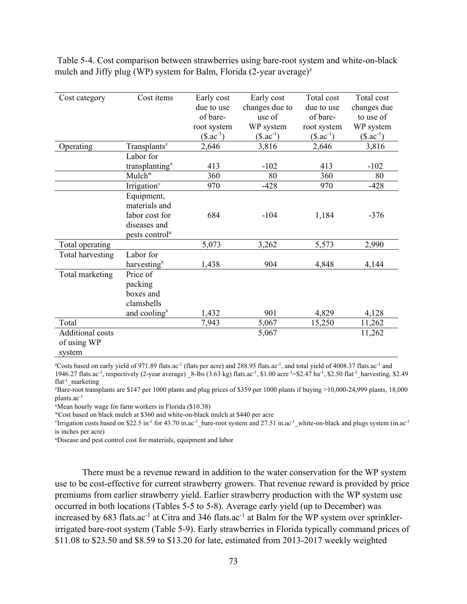| Cost category           | Cost items                 | Early cost     | Early cost     | Total cost    | Total cost    |
|-------------------------|----------------------------|----------------|----------------|---------------|---------------|
|                         |                            | due to use     | changes due to | due to use    | changes due   |
|                         |                            | of bare-       | use of         | of bare-      | to use of     |
|                         |                            | root system    | WP system      | root system   | WP system     |
|                         |                            | $(\$.ac^{-1})$ | $($.ac^{-1})$  | $($.ac^{-1})$ | $($.ac^{-1})$ |
| Operating               | Transplants <sup>y</sup>   | 2,646          | 3,816          | 2,646         | 3,816         |
|                         | Labor for                  |                |                |               |               |
|                         | transplanting <sup>x</sup> | 413            | $-102$         | 413           | $-102$        |
|                         | Mulch <sup>w</sup>         | 360            | 80             | 360           | 80            |
|                         | Irrigation <sup>v</sup>    | 970            | $-428$         | 970           | $-428$        |
|                         | Equipment,                 |                |                |               |               |
|                         | materials and              |                |                |               |               |
|                         | labor cost for             | 684            | $-104$         | 1,184         | $-376$        |
|                         | diseases and               |                |                |               |               |
|                         | pests control <sup>u</sup> |                |                |               |               |
| Total operating         |                            | 5,073          | 3,262          | 5,573         | 2,990         |
| Total harvesting        | Labor for                  |                |                |               |               |
|                         | harvesting <sup>x</sup>    | 1,438          | 904            | 4,848         | 4,144         |
| Total marketing         | Price of                   |                |                |               |               |
|                         | packing                    |                |                |               |               |
|                         | boxes and                  |                |                |               |               |
|                         | clamshells                 |                |                |               |               |
|                         | and cooling <sup>x</sup>   | 1,432          | 901            | 4,829         | 4,128         |
| Total                   |                            | 7,943          | 5,067          | 15,250        | 11,262        |
| <b>Additional costs</b> |                            |                | 5,067          |               | 11,262        |
| of using WP             |                            |                |                |               |               |
| system                  |                            |                |                |               |               |

 Table 5-4. Cost comparison between strawberries using bare-root system and white-on-black mulch and Jiffy plug (WP) system for Balm, Florida  $(2$ -year average)<sup> $z$ </sup>

z Costs based on early yield of 971.89 flats.ac-1 (flats per acre) and 288.95 flats.ac-1, and total yield of 4008.37 flats.ac-1 and 1946.27 flats.ac-1, respectively (2-year average) \_8-lbs (3.63 kg) flats.ac-1, \$1.00 acre-1=\$2.47 ha-1, \$2.50 flat-1\_harvesting, \$2.49 flat<sup>-1</sup> marketing

Bare-root transplants are \$147 per 1000 plants and plug prices of \$359 per 1000 plants if buying >10,000-24,999 plants, 18,000 plants.ac-1

<sup>x</sup>Mean hourly wage for farm workers in Florida (\$10.38)<br>
"Cost based on black mulch at \$360 and white-on-black mulch at \$440 per acre<br>
<sup>v</sup>Irrigation costs based on \$22.5 in<sup>-1</sup> for 43.70 in.ac<sup>-1</sup> bare-root system and 27. is inches per acre)

uDisease and pest control cost for materials, equipment and labor

There must be a revenue reward in addition to the water conservation for the WP system use to be cost-effective for current strawberry growers. That revenue reward is provided by price premiums from earlier strawberry yield. Earlier strawberry production with the WP system use occurred in both locations (Tables 5-5 to 5-8). Average early yield (up to December) was increased by 683 flats.ac<sup>-1</sup> at Citra and 346 flats.ac<sup>-1</sup> at Balm for the WP system over sprinklerirrigated bare-root system (Table 5-9). Early strawberries in Florida typically command prices of \$11.08 to \$23.50 and \$8.59 to \$13.20 for late, estimated from 2013-2017 weekly weighted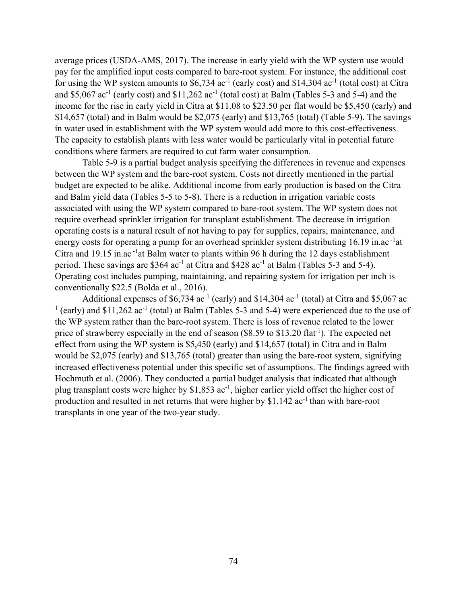average prices (USDA-AMS, 2017). The increase in early yield with the WP system use would pay for the amplified input costs compared to bare-root system. For instance, the additional cost for using the WP system amounts to  $$6,734$  ac<sup>-1</sup> (early cost) and  $$14,304$  ac<sup>-1</sup> (total cost) at Citra and \$5,067 ac<sup>-1</sup> (early cost) and  $$11,262$  ac<sup>-1</sup> (total cost) at Balm (Tables 5-3 and 5-4) and the income for the rise in early yield in Citra at \$11.08 to \$23.50 per flat would be \$5,450 (early) and \$14,657 (total) and in Balm would be \$2,075 (early) and \$13,765 (total) (Table 5-9). The savings in water used in establishment with the WP system would add more to this cost-effectiveness. The capacity to establish plants with less water would be particularly vital in potential future conditions where farmers are required to cut farm water consumption.

Table 5-9 is a partial budget analysis specifying the differences in revenue and expenses between the WP system and the bare-root system. Costs not directly mentioned in the partial budget are expected to be alike. Additional income from early production is based on the Citra and Balm yield data (Tables 5-5 to 5-8). There is a reduction in irrigation variable costs associated with using the WP system compared to bare-root system. The WP system does not require overhead sprinkler irrigation for transplant establishment. The decrease in irrigation operating costs is a natural result of not having to pay for supplies, repairs, maintenance, and energy costs for operating a pump for an overhead sprinkler system distributing 16.19 in.ac<sup>-1</sup>at Citra and 19.15 in.ac  $^{-1}$ at Balm water to plants within 96 h during the 12 days establishment period. These savings are \$364  $ac^{-1}$  at Citra and \$428  $ac^{-1}$  at Balm (Tables 5-3 and 5-4). Operating cost includes pumping, maintaining, and repairing system for irrigation per inch is conventionally \$22.5 (Bolda et al., 2016).

Additional expenses of \$6,734  $ac^{-1}$  (early) and \$14,304  $ac^{-1}$  (total) at Citra and \$5,067  $ac^{-}$  $1$  (early) and \$11,262 ac<sup>-1</sup> (total) at Balm (Tables 5-3 and 5-4) were experienced due to the use of the WP system rather than the bare-root system. There is loss of revenue related to the lower price of strawberry especially in the end of season  $(\$8.59$  to  $\$13.20$  flat<sup>-1</sup>). The expected net effect from using the WP system is \$5,450 (early) and \$14,657 (total) in Citra and in Balm would be \$2,075 (early) and \$13,765 (total) greater than using the bare-root system, signifying increased effectiveness potential under this specific set of assumptions. The findings agreed with Hochmuth et al. (2006). They conducted a partial budget analysis that indicated that although plug transplant costs were higher by  $$1,853$  ac<sup>-1</sup>, higher earlier yield offset the higher cost of production and resulted in net returns that were higher by  $$1,142$  ac<sup>-1</sup> than with bare-root transplants in one year of the two-year study.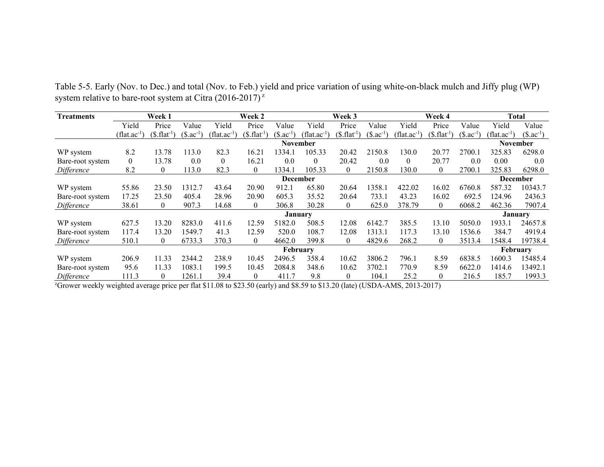| <b>Treatments</b> | <b>Week 1</b>    |                          |               | Week 2                         |                          |                 | Week 3                         |                          |                | Week 4                   |                          |                         | Total                          |               |
|-------------------|------------------|--------------------------|---------------|--------------------------------|--------------------------|-----------------|--------------------------------|--------------------------|----------------|--------------------------|--------------------------|-------------------------|--------------------------------|---------------|
|                   | Yield            | Price                    | Value         | Yield                          | Price                    | Value           | Yield                          | Price                    | Value          | Yield                    | Price                    | Value                   | Yield                          | Value         |
|                   | $(flat.ac^{-1})$ | (\$. flat <sup>1</sup> ) | $($.ac^{-1}]$ | $(\text{flat}.\text{ac}^{-1})$ | (\$. flat <sup>1</sup> ] | $($.ac^{-1}]$   | $(\text{flat}.\text{ac}^{-1})$ | (\$. flat <sup>1</sup> ) | $($. ac^{-1})$ | (flat.ac <sup>-1</sup> ) | (\$. flat <sup>1</sup> ] | $(\$.\mathrm{ac}^{-1})$ | $(\text{flat}.\text{ac}^{-1})$ | $($.ac^{-1})$ |
|                   |                  |                          |               |                                |                          | <b>November</b> |                                |                          |                |                          |                          |                         | <b>November</b>                |               |
| WP system         | 8.2              | 13.78                    | 113.0         | 82.3                           | 16.21                    | 1334.1          | 105.33                         | 20.42                    | 2150.8         | 130.0                    | 20.77                    | 2700.1                  | 325.83                         | 6298.0        |
| Bare-root system  | $\overline{0}$   | 13.78                    | 0.0           | $\theta$                       | 16.21                    | 0.0             | $\theta$                       | 20.42                    | 0.0            | $\theta$                 | 20.77                    | 0.0                     | 0.00                           | 0.0           |
| Difference        | 8.2              | $\theta$                 | 113.0         | 82.3                           | $\theta$                 | 1334.1          | 105.33                         | $\theta$                 | 2150.8         | 130.0                    | $\theta$                 | 2700.1                  | 325.83                         | 6298.0        |
|                   | <b>December</b>  |                          |               |                                |                          |                 |                                |                          |                |                          |                          | <b>December</b>         |                                |               |
| WP system         | 55.86            | 23.50                    | 1312.7        | 43.64                          | 20.90                    | 912.1           | 65.80                          | 20.64                    | 1358.1         | 422.02                   | 16.02                    | 6760.8                  | 587.32                         | 10343.7       |
| Bare-root system  | 17.25            | 23.50                    | 405.4         | 28.96                          | 20.90                    | 605.3           | 35.52                          | 20.64                    | 733.1          | 43.23                    | 16.02                    | 692.5                   | 124.96                         | 2436.3        |
| Difference        | 38.61            | $\overline{0}$           | 907.3         | 14.68                          | $\overline{0}$           | 306.8           | 30.28                          | $\overline{0}$           | 625.0          | 378.79                   | $\overline{0}$           | 6068.2                  | 462.36                         | 7907.4        |
|                   |                  |                          |               |                                |                          | January         |                                |                          |                |                          |                          |                         | <b>January</b>                 |               |
| WP system         | 627.5            | 13.20                    | 8283.0        | 411.6                          | 12.59                    | 5182.0          | 508.5                          | 12.08                    | 6142.7         | 385.5                    | 13.10                    | 5050.0                  | 1933.1                         | 24657.8       |
| Bare-root system  | 117.4            | 13.20                    | 1549.7        | 41.3                           | 12.59                    | 520.0           | 108.7                          | 12.08                    | 1313.1         | 117.3                    | 13.10                    | 1536.6                  | 384.7                          | 4919.4        |
| Difference        | 510.1            | $\overline{0}$           | 6733.3        | 370.3                          | $\theta$                 | 4662.0          | 399.8                          | $\overline{0}$           | 4829.6         | 268.2                    | $\overline{0}$           | 3513.4                  | 1548.4                         | 19738.4       |
| February          |                  |                          |               |                                |                          |                 |                                |                          |                |                          | February                 |                         |                                |               |
| WP system         | 206.9            | 11.33                    | 2344.2        | 238.9                          | 10.45                    | 2496.5          | 358.4                          | 10.62                    | 3806.2         | 796.1                    | 8.59                     | 6838.5                  | 1600.3                         | 15485.4       |
| Bare-root system  | 95.6             | 11.33                    | 1083.1        | 199.5                          | 10.45                    | 2084.8          | 348.6                          | 10.62                    | 3702.1         | 770.9                    | 8.59                     | 6622.0                  | 1414.6                         | 13492.1       |
| Difference        | 111.3            | $\theta$                 | 1261.1        | 39.4                           | $\overline{0}$           | 411.7           | 9.8                            | $\overline{0}$           | 104.1          | 25.2                     | $\mathbf{0}$             | 216.5                   | 185.7                          | 1993.3        |

Table 5-5. Early (Nov. to Dec.) and total (Nov. to Feb.) yield and price variation of using white-on-black mulch and Jiffy plug (WP) system relative to bare-root system at Citra  $(2016-2017)^{z}$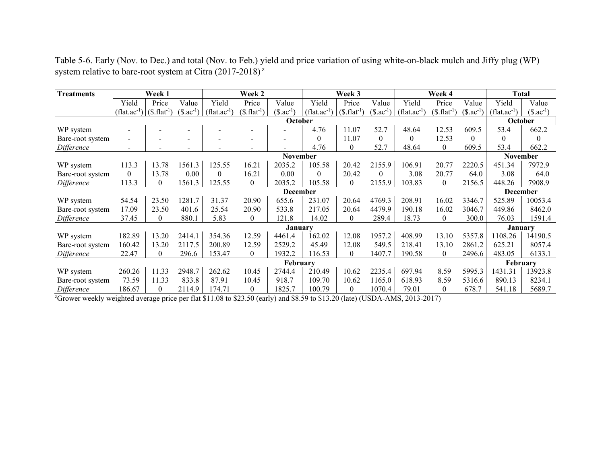Table 5-6. Early (Nov. to Dec.) and total (Nov. to Feb.) yield and price variation of using white-on-black mulch and Jiffy plug (WP) system relative to bare-root system at Citra  $(2017-2018)^{2}$ 

| <b>Treatments</b> | Week 1                         |          |               | Week 2           | Week 3         |                          |                                |                |                | Week 4                         | <b>Total</b>     |               |                  |               |
|-------------------|--------------------------------|----------|---------------|------------------|----------------|--------------------------|--------------------------------|----------------|----------------|--------------------------------|------------------|---------------|------------------|---------------|
|                   | Yield                          | Price    | Value         | Yield            | Price          | Value                    | Yield                          | Price          | Value          | Yield                          | Price            | Value         | Yield            | Value         |
|                   | $(flat.ac^{-1}) (S.flat^{-1})$ |          | $($.ac^{-1})$ | $(flat.ac^{-1})$ | $($. flat-1)$  | $($. ac^{-1})$           | $(\text{flat}.\text{ac}^{-1})$ | $($. flat-1)$  | $(\$.ac^{-1})$ | $(\text{flat}.\text{ac}^{-1})$ | $($. flat^{-1})$ | $($.ac^{-1}]$ | $(flat.ac^{-1})$ | $($.ac^{-1})$ |
|                   | October                        |          |               |                  |                |                          |                                |                |                |                                |                  |               | October          |               |
| WP system         |                                |          |               |                  |                |                          | 4.76                           | 11.07          | 52.7           | 48.64                          | 12.53            | 609.5         | 53.4             | 662.2         |
| Bare-root system  | $\overline{\phantom{0}}$       |          |               |                  | $\blacksquare$ | $\overline{\phantom{0}}$ | $\Omega$                       | 11.07          | $\Omega$       | $\theta$                       | 12.53            | $\Omega$      | $\Omega$         | $\Omega$      |
| Difference        |                                |          |               |                  |                |                          | 4.76                           | $\theta$       | 52.7           | 48.64                          | $\boldsymbol{0}$ | 609.5         | 53.4             | 662.2         |
|                   | <b>November</b>                |          |               |                  |                |                          |                                |                |                |                                |                  |               | <b>November</b>  |               |
| WP system         | 113.3                          | 13.78    | 1561.3        | 125.55           | 16.21          | 2035.2                   | 105.58                         | 20.42          | 2155.9         | 106.91                         | 20.77            | 2220.5        | 451.34           | 7972.9        |
| Bare-root system  | 0                              | 13.78    | $0.00\,$      | $\theta$         | 16.21          | 0.00                     | $\Omega$                       | 20.42          | $\Omega$       | 3.08                           | 20.77            | 64.0          | 3.08             | 64.0          |
| Difference        | 113.3                          | $\theta$ | 1561.3        | 125.55           | $\theta$       | 2035.2                   | 105.58                         | $\theta$       | 2155.9         | 103.83                         | $\theta$         | 2156.5        | 448.26           | 7908.9        |
|                   | <b>December</b>                |          |               |                  |                |                          |                                |                |                |                                |                  |               | <b>December</b>  |               |
| WP system         | 54.54                          | 23.50    | 1281.7        | 31.37            | 20.90          | 655.6                    | 231.07                         | 20.64          | 4769.3         | 208.91                         | 16.02            | 3346.7        | 525.89           | 10053.4       |
| Bare-root system  | 17.09                          | 23.50    | 401.6         | 25.54            | 20.90          | 533.8                    | 217.05                         | 20.64          | 4479.9         | 190.18                         | 16.02            | 3046.7        | 449.86           | 8462.0        |
| Difference        | 37.45                          | $\theta$ | 880.1         | 5.83             | $\theta$       | 121.8                    | 14.02                          | $\theta$       | 289.4          | 18.73                          | $\overline{0}$   | 300.0         | 76.03            | 1591.4        |
|                   |                                |          |               |                  |                | <b>January</b>           |                                |                |                |                                |                  |               | <b>January</b>   |               |
| WP system         | 182.89                         | 13.20    | 2414.1        | 354.36           | 12.59          | 4461.4                   | 162.02                         | 12.08          | 1957.2         | 408.99                         | 13.10            | 5357.8        | 1108.26          | 14190.5       |
| Bare-root system  | 160.42                         | 13.20    | 2117.5        | 200.89           | 12.59          | 2529.2                   | 45.49                          | 12.08          | 549.5          | 218.41                         | 13.10            | 2861.2        | 625.21           | 8057.4        |
| Difference        | 22.47                          | $\theta$ | 296.6         | 153.47           | $\theta$       | 1932.2                   | 116.53                         | $\theta$       | 1407.7         | 190.58                         | $\theta$         | 2496.6        | 483.05           | 6133.1        |
|                   |                                |          |               |                  |                | February                 |                                |                |                |                                |                  |               | February         |               |
| WP system         | 260.26                         | 11.33    | 2948.7        | 262.62           | 10.45          | 2744.4                   | 210.49                         | 10.62          | 2235.4         | 697.94                         | 8.59             | 5995.3        | 1431.31          | 13923.8       |
| Bare-root system  | 73.59                          | 11.33    | 833.8         | 87.91            | 10.45          | 918.7                    | 109.70                         | 10.62          | 1165.0         | 618.93                         | 8.59             | 5316.6        | 890.13           | 8234.1        |
| Difference        | 186.67                         | 0        | 2114.9        | 174.71           | $\Omega$       | 1825.7                   | 100.79                         | $\overline{0}$ | 1070.4         | 79.01                          | $\overline{0}$   | 678.7         | 541.18           | 5689.7        |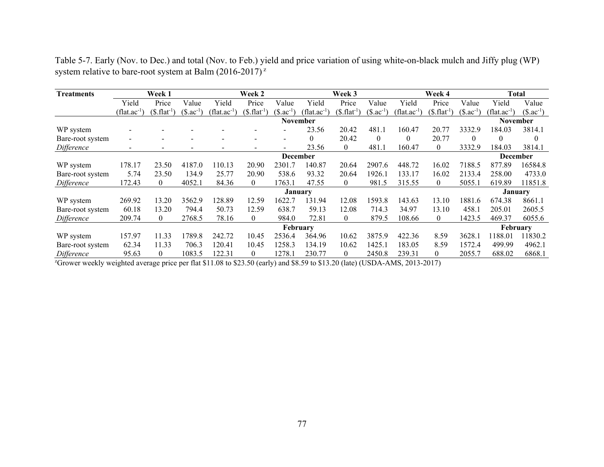Table 5-7. Early (Nov. to Dec.) and total (Nov. to Feb.) yield and price variation of using white-on-black mulch and Jiffy plug (WP) system relative to bare-root system at Balm (2016-2017)<sup> $z$ </sup>

| <b>Treatments</b> | Week 1                   |                          |                          | Week 2                       |                          |                                     | Week 3                |               |             |                         | Week 4        | <b>Total</b>            |                       |               |
|-------------------|--------------------------|--------------------------|--------------------------|------------------------------|--------------------------|-------------------------------------|-----------------------|---------------|-------------|-------------------------|---------------|-------------------------|-----------------------|---------------|
|                   | Yield                    | Price                    | Value                    | Yield                        | Price                    | Value                               | Yield                 | Price         | Value       | Yield                   | Price         | Value                   | Yield                 | Value         |
|                   | $(flat.ac^{-1})$         | (\$. flat <sup>1</sup> ] | $$.ac^{-1}$              | $\int$ flat.ac <sup>-1</sup> | $($. flat-1]$            | $\text{\degree}3$ .ac <sup>-1</sup> | flat.ac <sup>-1</sup> | $($. flat-1]$ | $$.ac^{-1}$ | (flat.ac <sup>-1)</sup> | $($. flat-1]$ | $\Im$ .ac <sup>-1</sup> | flat.ac <sup>-1</sup> | $($.ac^{-1})$ |
|                   |                          |                          |                          |                              |                          | November                            |                       |               |             |                         |               |                         | November              |               |
| WP system         |                          |                          |                          |                              |                          |                                     | 23.56                 | 20.42         | 481.1       | 160.47                  | 20.77         | 3332.9                  | 184.03                | 3814.1        |
| Bare-root system  |                          |                          |                          | $\overline{\phantom{0}}$     |                          | $\overline{\phantom{0}}$            | $\theta$              | 20.42         | $\Omega$    | 0                       | 20.77         | $\Omega$                | $\theta$              |               |
| Difference        | $\overline{\phantom{a}}$ | $\overline{\phantom{a}}$ | $\overline{\phantom{0}}$ | $\overline{\phantom{a}}$     | $\overline{\phantom{a}}$ | $\blacksquare$                      | 23.56                 | 0             | 481.1       | 160.47                  | 0             | 3332.9                  | 184.03                | 3814.1        |
|                   | <b>December</b>          |                          |                          |                              |                          |                                     |                       |               |             |                         |               | <b>December</b>         |                       |               |
| WP system         | 178.17                   | 23.50                    | 4187.0                   | 110.13                       | 20.90                    | 2301.7                              | 140.87                | 20.64         | 2907.6      | 448.72                  | 16.02         | 7188.5                  | 877.89                | 16584.8       |
| Bare-root system  | 5.74                     | 23.50                    | 134.9                    | 25.77                        | 20.90                    | 538.6                               | 93.32                 | 20.64         | 1926.1      | 133.17                  | 16.02         | 2133.4                  | 258.00                | 4733.0        |
| Difference        | 172.43                   | $\bf{0}$                 | 4052.1                   | 84.36                        | $\theta$                 | 1763.1                              | 47.55                 | 0             | 981.5       | 315.55                  | 0             | 5055.1                  | 619.89                | 11851.8       |
|                   |                          |                          |                          |                              |                          | <b>January</b>                      |                       |               |             |                         |               |                         | <b>January</b>        |               |
| WP system         | 269.92                   | 13.20                    | 3562.9                   | 128.89                       | 12.59                    | 1622.7                              | 131.94                | 12.08         | 1593.8      | 143.63                  | 13.10         | 1881.6                  | 674.38                | 8661.1        |
| Bare-root system  | 60.18                    | 13.20                    | 794.4                    | 50.73                        | 12.59                    | 638.7                               | 59.13                 | 12.08         | 714.3       | 34.97                   | 13.10         | 458.1                   | 205.01                | 2605.5        |
| Difference        | 209.74                   | $\theta$                 | 2768.5                   | 78.16                        | $\Omega$                 | 984.0                               | 72.81                 | 0             | 879.5       | 108.66                  | 0             | 1423.5                  | 469.37                | 6055.6        |
|                   |                          |                          |                          |                              |                          | February                            |                       |               |             |                         |               |                         | February              |               |
| WP system         | 157.97                   | 11.33                    | 789.8                    | 242.72                       | 10.45                    | 2536.4                              | 364.96                | 10.62         | 3875.9      | 422.36                  | 8.59          | 3628.1                  | 188.01                | 11830.2       |
| Bare-root system  | 62.34                    | 11.33                    | 706.3                    | 120.41                       | 10.45                    | 1258.3                              | 134.19                | 10.62         | 1425.1      | 183.05                  | 8.59          | 1572.4                  | 499.99                | 4962.1        |
| Difference        | 95.63                    | 0                        | 1083.5                   | 122.31                       | 0                        | 1278.1                              | 230.77                | 0             | 2450.8      | 239.31                  | 0             | 2055.7                  | 688.02                | 6868.1        |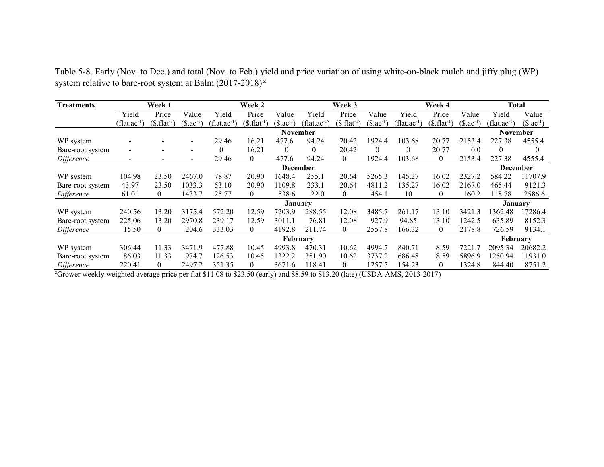Table 5-8. Early (Nov. to Dec.) and total (Nov. to Feb.) yield and price variation of using white-on-black mulch and jiffy plug (WP) system relative to bare-root system at Balm (2017-2018)<sup>2</sup>

| <b>Treatments</b> | Week 1                   |                         |                          | Week 2                   |                    |                         | Week 3                  |               |               | Week 4                  |                  |               | Total                    |               |
|-------------------|--------------------------|-------------------------|--------------------------|--------------------------|--------------------|-------------------------|-------------------------|---------------|---------------|-------------------------|------------------|---------------|--------------------------|---------------|
|                   | Yield                    | Price                   | Value                    | Yield                    | Price              | Value                   | Yield                   | Price         | Value         | Yield                   | Price            | Value         | Yield                    | Value         |
|                   | $(flat.ac^{-1})$         | $(\$.\text{flat}^{-1})$ | $($.ac^{-1}]$            | (flat.ac <sup>-1</sup> ) | $(\$, flat^1)$     | $(\$.\mathrm{ac}^{-1}]$ | $(\text{flat.ac}^{-1})$ | $($. flat-1]$ | $($.ac^{-1}]$ | $(\text{flat.ac}^{-1})$ | $($. flat^{-1})$ | $($.ac^{-1})$ | (flat.ac <sup>-1</sup> ) | $($.ac^{-1})$ |
|                   |                          |                         |                          |                          |                    | <b>November</b>         |                         |               |               |                         |                  |               | November                 |               |
| WP system         |                          |                         | $\overline{\phantom{0}}$ | 29.46                    | 16.21              | 477.6                   | 94.24                   | 20.42         | 1924.4        | 103.68                  | 20.77            | 2153.4        | 227.38                   | 4555.4        |
| Bare-root system  | $\overline{\phantom{a}}$ |                         | $\overline{\phantom{a}}$ | $\theta$                 | 16.21              | 0                       | $\theta$                | 20.42         | $\theta$      | 0                       | 20.77            | 0.0           | $\theta$                 | $\theta$      |
| Difference        | $\overline{\phantom{a}}$ |                         | $\overline{\phantom{0}}$ | 29.46                    | $\theta$           | 477.6                   | 94.24                   | $\theta$      | 1924.4        | 103.68                  | $\mathbf{0}$     | 2153.4        | 227.38                   | 4555.4        |
|                   |                          | <b>December</b>         |                          |                          |                    |                         |                         |               |               |                         | <b>December</b>  |               |                          |               |
| WP system         | 104.98                   | 23.50                   | 2467.0                   | 78.87                    | 20.90              | 1648.4                  | 255.1                   | 20.64         | 5265.3        | 145.27                  | 16.02            | 2327.2        | 584.22                   | 11707.9       |
| Bare-root system  | 43.97                    | 23.50                   | 1033.3                   | 53.10                    | 20.90              | 1109.8                  | 233.1                   | 20.64         | 4811.2        | 135.27                  | 16.02            | 2167.0        | 465.44                   | 9121.3        |
| Difference        | 61.01                    | $\bf{0}$                | 1433.7                   | 25.77                    | $\left( 0 \right)$ | 538.6                   | 22.0                    | 0             | 454.1         | 10                      | $\bf{0}$         | 160.2         | 118.78                   | 2586.6        |
|                   |                          |                         |                          |                          |                    | <b>January</b>          |                         |               |               |                         |                  |               | January                  |               |
| WP system         | 240.56                   | 13.20                   | 3175.4                   | 572.20                   | 12.59              | 7203.9                  | 288.55                  | 12.08         | 3485.7        | 261.17                  | 13.10            | 3421.3        | 1362.48                  | 17286.4       |
| Bare-root system  | 225.06                   | 13.20                   | 2970.8                   | 239.17                   | 12.59              | 3011.1                  | 76.81                   | 12.08         | 927.9         | 94.85                   | 13.10            | 1242.5        | 635.89                   | 8152.3        |
| Difference        | 15.50                    | $\overline{0}$          | 204.6                    | 333.03                   | $\theta$           | 4192.8                  | 211.74                  | $\theta$      | 2557.8        | 166.32                  | $\overline{0}$   | 2178.8        | 726.59                   | 9134.1        |
|                   | February                 |                         |                          |                          |                    |                         |                         |               |               |                         | February         |               |                          |               |
| WP system         | 306.44                   | 11.33                   | 3471.9                   | 477.88                   | 10.45              | 4993.8                  | 470.31                  | 10.62         | 4994.7        | 840.71                  | 8.59             | 7221          | 2095.34                  | 20682.2       |
| Bare-root system  | 86.03                    | 11.33                   | 974.7                    | 126.53                   | 10.45              | 1322.2                  | 351.90                  | 10.62         | 3737.2        | 686.48                  | 8.59             | 5896.9        | 1250.94                  | 11931.0       |
| Difference        | 220.41                   | $\Omega$                | 2497.2                   | 351.35                   | $\theta$           | 3671.6                  | 118.41                  | $\Omega$      | 1257.5        | 154.23                  | $\theta$         | 324.8         | 844.40                   | 8751.2        |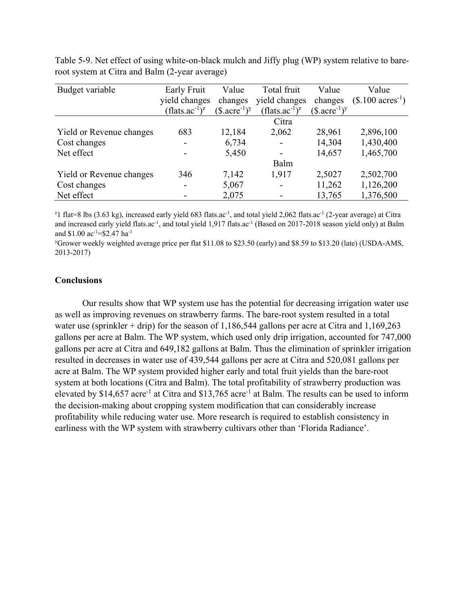| Budget variable          | Early Fruit                            | Value                                    | Total fruit                | Value                       | Value                        |
|--------------------------|----------------------------------------|------------------------------------------|----------------------------|-----------------------------|------------------------------|
|                          | yield changes                          | changes                                  | yield changes              | changes                     | $($.100 \text{ acres}^{-1})$ |
|                          | (flats.ac <sup>-1</sup> ) <sup>z</sup> | $(\$$ .acre <sup>-1</sup> ) <sup>y</sup> | $(\text{flats.ac}^{-1})^z$ | $(\$.\mathrm{acre}^{-1})^y$ |                              |
|                          |                                        |                                          | Citra                      |                             |                              |
| Yield or Revenue changes | 683                                    | 12,184                                   | 2,062                      | 28,961                      | 2,896,100                    |
| Cost changes             |                                        | 6,734                                    |                            | 14,304                      | 1,430,400                    |
| Net effect               |                                        | 5,450                                    |                            | 14,657                      | 1,465,700                    |
|                          |                                        |                                          | Balm                       |                             |                              |
| Yield or Revenue changes | 346                                    | 7,142                                    | 1,917                      | 2,5027                      | 2,502,700                    |
| Cost changes             | $\overline{\phantom{0}}$               | 5,067                                    |                            | 11,262                      | 1,126,200                    |
| Net effect               |                                        | 2,075                                    |                            | 13,765                      | 1,376,500                    |

Table 5-9. Net effect of using white-on-black mulch and Jiffy plug (WP) system relative to bareroot system at Citra and Balm (2-year average)

<sup>2</sup>l flat=8 lbs (3.63 kg), increased early yield 683 flats.ac<sup>-1</sup>, and total yield 2,062 flats.ac<sup>-1</sup> (2-year average) at Citra and increased early yield flats.ac<sup>-1</sup>, and total yield 1,917 flats.ac<sup>-1</sup> (Based on 2017-2018 season yield only) at Balm and \$1.00  $ac^{-1}$ =\$2.47 ha<sup>-1</sup>

y Grower weekly weighted average price per flat \$11.08 to \$23.50 (early) and \$8.59 to \$13.20 (late) (USDA-AMS, 2013-2017)

## **Conclusions**

Our results show that WP system use has the potential for decreasing irrigation water use as well as improving revenues on strawberry farms. The bare-root system resulted in a total water use (sprinkler + drip) for the season of 1,186,544 gallons per acre at Citra and  $1,169,263$ gallons per acre at Balm. The WP system, which used only drip irrigation, accounted for 747,000 gallons per acre at Citra and 649,182 gallons at Balm. Thus the elimination of sprinkler irrigation resulted in decreases in water use of 439,544 gallons per acre at Citra and 520,081 gallons per acre at Balm. The WP system provided higher early and total fruit yields than the bare-root system at both locations (Citra and Balm). The total profitability of strawberry production was elevated by \$14,657 acre<sup>-1</sup> at Citra and \$13,765 acre<sup>-1</sup> at Balm. The results can be used to inform the decision-making about cropping system modification that can considerably increase profitability while reducing water use. More research is required to establish consistency in earliness with the WP system with strawberry cultivars other than 'Florida Radiance'.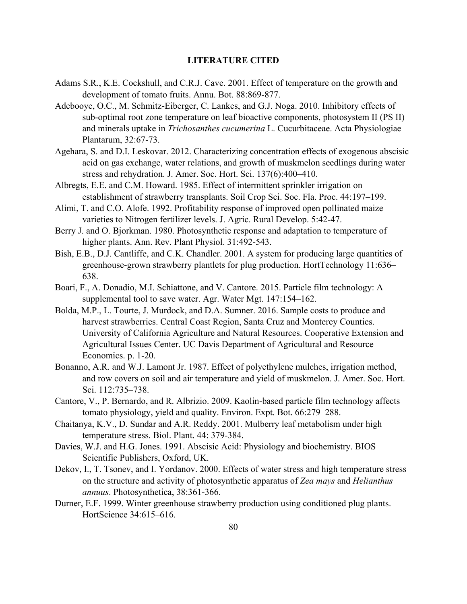## **LITERATURE CITED**

- Adams S.R., K.E. Cockshull, and C.R.J. Cave. 2001. Effect of temperature on the growth and development of tomato fruits. Annu. Bot. 88:869-877.
- Adebooye, O.C., M. Schmitz-Eiberger, C. Lankes, and G.J. Noga. 2010. Inhibitory effects of sub-optimal root zone temperature on leaf bioactive components, photosystem II (PS II) and minerals uptake in *Trichosanthes cucumerina* L. Cucurbitaceae. Acta Physiologiae Plantarum, 32:67-73.
- Agehara, S. and D.I. Leskovar. 2012. Characterizing concentration effects of exogenous abscisic acid on gas exchange, water relations, and growth of muskmelon seedlings during water stress and rehydration. J. Amer. Soc. Hort. Sci. 137(6):400–410.
- Albregts, E.E. and C.M. Howard. 1985. Effect of intermittent sprinkler irrigation on establishment of strawberry transplants. Soil Crop Sci. Soc. Fla. Proc. 44:197–199.
- Alimi, T. and C.O. Alofe. 1992. Profitability response of improved open pollinated maize varieties to Nitrogen fertilizer levels. J. Agric. Rural Develop. 5:42-47.
- Berry J. and O. Bjorkman. 1980. Photosynthetic response and adaptation to temperature of higher plants. Ann. Rev. Plant Physiol. 31:492-543.
- Bish, E.B., D.J. Cantliffe, and C.K. Chandler. 2001. A system for producing large quantities of greenhouse-grown strawberry plantlets for plug production. HortTechnology 11:636– 638.
- Boari, F., A. Donadio, M.I. Schiattone, and V. Cantore. 2015. Particle film technology: A supplemental tool to save water. Agr. Water Mgt. 147:154–162.
- Bolda, M.P., L. Tourte, J. Murdock, and D.A. Sumner. 2016. Sample costs to produce and harvest strawberries. Central Coast Region, Santa Cruz and Monterey Counties. University of California Agriculture and Natural Resources. Cooperative Extension and Agricultural Issues Center. UC Davis Department of Agricultural and Resource Economics. p. 1-20.
- Bonanno, A.R. and W.J. Lamont Jr. 1987. Effect of polyethylene mulches, irrigation method, and row covers on soil and air temperature and yield of muskmelon. J. Amer. Soc. Hort. Sci. 112:735–738.
- Cantore, V., P. Bernardo, and R. Albrizio. 2009. Kaolin-based particle film technology affects tomato physiology, yield and quality. Environ. Expt. Bot. 66:279–288.
- Chaitanya, K.V., D. Sundar and A.R. Reddy. 2001. Mulberry leaf metabolism under high temperature stress. Biol. Plant. 44: 379-384.
- Davies, W.J. and H.G. Jones. 1991. Abscisic Acid: Physiology and biochemistry. BIOS Scientific Publishers, Oxford, UK.
- Dekov, I., T. Tsonev, and I. Yordanov. 2000. Effects of water stress and high temperature stress on the structure and activity of photosynthetic apparatus of *Zea mays* and *Helianthus annuus*. Photosynthetica, 38:361-366.
- Durner, E.F. 1999. Winter greenhouse strawberry production using conditioned plug plants. HortScience 34:615–616.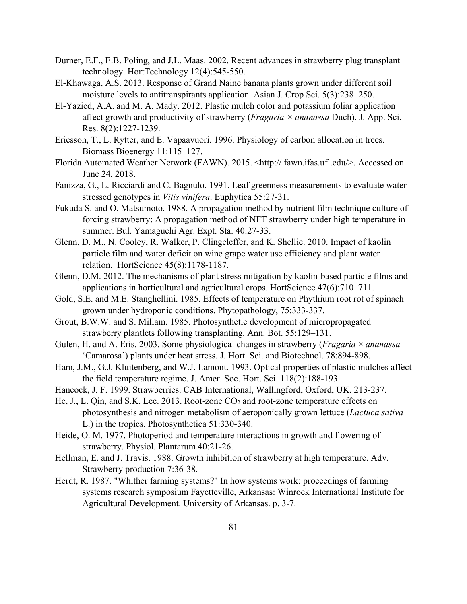- Durner, E.F., E.B. Poling, and J.L. Maas. 2002. Recent advances in strawberry plug transplant technology. HortTechnology 12(4):545-550.
- El-Khawaga, A.S. 2013. Response of Grand Naine banana plants grown under different soil moisture levels to antitranspirants application. Asian J. Crop Sci. 5(3):238–250.
- El-Yazied, A.A. and M. A. Mady. 2012. Plastic mulch color and potassium foliar application affect growth and productivity of strawberry (*Fragaria × ananassa* Duch). J. App. Sci. Res. 8(2):1227-1239.
- Ericsson, T., L. Rytter, and E. Vapaavuori. 1996. Physiology of carbon allocation in trees. Biomass Bioenergy 11:115–127.
- Florida Automated Weather Network (FAWN). 2015. <http:// fawn.ifas.ufl.edu/>. Accessed on June 24, 2018.
- Fanizza, G., L. Ricciardi and C. Bagnulo. 1991. Leaf greenness measurements to evaluate water stressed genotypes in *Vitis vinifera*. Euphytica 55:27-31.
- Fukuda S. and O. Matsumoto. 1988. A propagation method by nutrient film technique culture of forcing strawberry: A propagation method of NFT strawberry under high temperature in summer. Bul. Yamaguchi Agr. Expt. Sta. 40:27-33.
- Glenn, D. M., N. Cooley, R. Walker, P. Clingeleffer, and K. Shellie. 2010. Impact of kaolin particle film and water deficit on wine grape water use efficiency and plant water relation. HortScience 45(8):1178-1187.
- Glenn, D.M. 2012. The mechanisms of plant stress mitigation by kaolin-based particle films and applications in horticultural and agricultural crops. HortScience 47(6):710–711.
- Gold, S.E. and M.E. Stanghellini. 1985. Effects of temperature on Phythium root rot of spinach grown under hydroponic conditions. Phytopathology, 75:333-337.
- Grout, B.W.W. and S. Millam. 1985. Photosynthetic development of micropropagated strawberry plantlets following transplanting. Ann. Bot. 55:129–131.
- Gulen, H. and A. Eris. 2003. Some physiological changes in strawberry (*Fragaria* × *ananassa* 'Camarosa') plants under heat stress. J. Hort. Sci. and Biotechnol. 78:894-898.
- Ham, J.M., G.J. Kluitenberg, and W.J. Lamont. 1993. Optical properties of plastic mulches affect the field temperature regime. J. Amer. Soc. Hort. Sci. 118(2):188-193.
- Hancock, J. F. 1999. Strawberries. CAB International, Wallingford, Oxford, UK. 213-237.
- He, J., L. Qin, and S.K. Lee. 2013. Root-zone CO<sub>2</sub> and root-zone temperature effects on photosynthesis and nitrogen metabolism of aeroponically grown lettuce (*Lactuca sativa* L.) in the tropics. Photosynthetica 51:330-340.
- Heide, O. M. 1977. Photoperiod and temperature interactions in growth and flowering of strawberry. Physiol. Plantarum 40:21-26.
- Hellman, E. and J. Travis. 1988. Growth inhibition of strawberry at high temperature. Adv. Strawberry production 7:36-38.
- Herdt, R. 1987. "Whither farming systems?" In how systems work: proceedings of farming systems research symposium Fayetteville, Arkansas: Winrock International Institute for Agricultural Development. University of Arkansas. p. 3-7.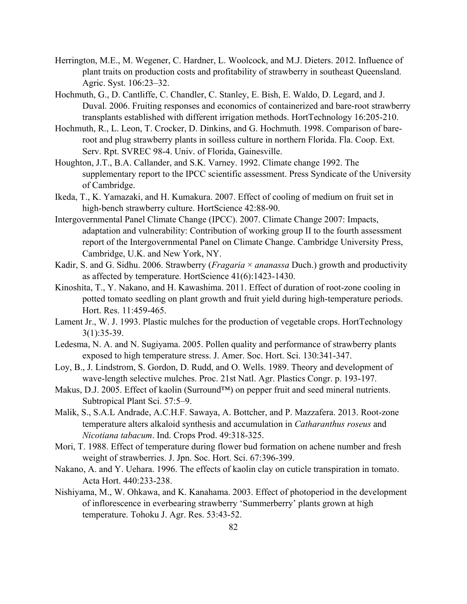- Herrington, M.E., M. Wegener, C. Hardner, L. Woolcock, and M.J. Dieters. 2012. Influence of plant traits on production costs and profitability of strawberry in southeast Queensland. Agric. Syst. 106:23–32.
- Hochmuth, G., D. Cantliffe, C. Chandler, C. Stanley, E. Bish, E. Waldo, D. Legard, and J. Duval. 2006. Fruiting responses and economics of containerized and bare-root strawberry transplants established with different irrigation methods. HortTechnology 16:205-210.
- Hochmuth, R., L. Leon, T. Crocker, D. Dinkins, and G. Hochmuth. 1998. Comparison of bareroot and plug strawberry plants in soilless culture in northern Florida. Fla. Coop. Ext. Serv. Rpt. SVREC 98-4. Univ. of Florida, Gainesville.
- Houghton, J.T., B.A. Callander, and S.K. Varney. 1992. Climate change 1992. The supplementary report to the IPCC scientific assessment. Press Syndicate of the University of Cambridge.
- Ikeda, T., K. Yamazaki, and H. Kumakura. 2007. Effect of cooling of medium on fruit set in high-bench strawberry culture. HortScience 42:88-90.
- Intergovernmental Panel Climate Change (IPCC). 2007. Climate Change 2007: Impacts, adaptation and vulnerability: Contribution of working group II to the fourth assessment report of the Intergovernmental Panel on Climate Change. Cambridge University Press, Cambridge, U.K. and New York, NY.
- Kadir, S. and G. Sidhu. 2006. Strawberry (*Fragaria* × *ananassa* Duch.) growth and productivity as affected by temperature. HortScience 41(6):1423-1430.
- Kinoshita, T., Y. Nakano, and H. Kawashima. 2011. Effect of duration of root-zone cooling in potted tomato seedling on plant growth and fruit yield during high-temperature periods. Hort. Res. 11:459-465.
- Lament Jr., W. J. 1993. Plastic mulches for the production of vegetable crops. HortTechnology 3(1):35-39.
- Ledesma, N. A. and N. Sugiyama. 2005. Pollen quality and performance of strawberry plants exposed to high temperature stress. J. Amer. Soc. Hort. Sci. 130:341-347.
- Loy, B., J. Lindstrom, S. Gordon, D. Rudd, and O. Wells. 1989. Theory and development of wave-length selective mulches. Proc. 21st Natl. Agr. Plastics Congr. p. 193-197.
- Makus, D.J. 2005. Effect of kaolin (Surround™) on pepper fruit and seed mineral nutrients. Subtropical Plant Sci. 57:5–9.
- Malik, S., S.A.L Andrade, A.C.H.F. Sawaya, A. Bottcher, and P. Mazzafera. 2013. Root-zone temperature alters alkaloid synthesis and accumulation in *Catharanthus roseus* and *Nicotiana tabacum*. Ind. Crops Prod. 49:318-325.
- Mori, T. 1988. Effect of temperature during flower bud formation on achene number and fresh weight of strawberries. J. Jpn. Soc. Hort. Sci. 67:396-399.
- Nakano, A. and Y. Uehara. 1996. The effects of kaolin clay on cuticle transpiration in tomato. Acta Hort. 440:233-238.
- Nishiyama, M., W. Ohkawa, and K. Kanahama. 2003. Effect of photoperiod in the development of inflorescence in everbearing strawberry 'Summerberry' plants grown at high temperature. Tohoku J. Agr. Res. 53:43-52.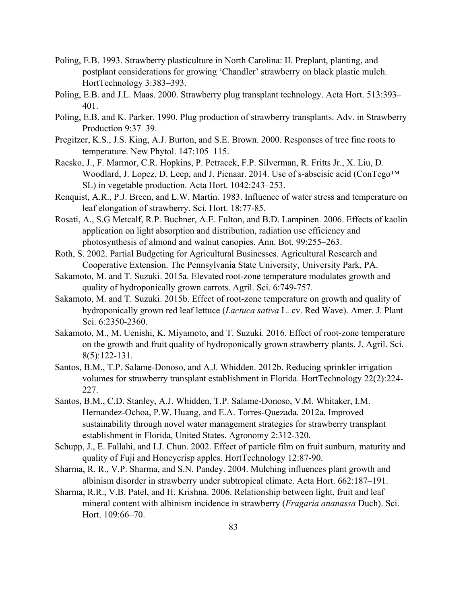- Poling, E.B. 1993. Strawberry plasticulture in North Carolina: II. Preplant, planting, and postplant considerations for growing 'Chandler' strawberry on black plastic mulch. HortTechnology 3:383–393.
- Poling, E.B. and J.L. Maas. 2000. Strawberry plug transplant technology. Acta Hort. 513:393– 401.
- Poling, E.B. and K. Parker. 1990. Plug production of strawberry transplants. Adv. in Strawberry Production 9:37–39.
- Pregitzer, K.S., J.S. King, A.J. Burton, and S.E. Brown. 2000. Responses of tree fine roots to temperature. New Phytol. 147:105–115.
- Racsko, J., F. Marmor, C.R. Hopkins, P. Petracek, F.P. Silverman, R. Fritts Jr., X. Liu, D. Woodlard, J. Lopez, D. Leep, and J. Pienaar. 2014. Use of s-abscisic acid (ConTego™ SL) in vegetable production. Acta Hort. 1042:243–253.
- Renquist, A.R., P.J. Breen, and L.W. Martin. 1983. Influence of water stress and temperature on leaf elongation of strawberry. Sci. Hort. 18:77-85.
- Rosati, A., S.G Metcalf, R.P. Buchner, A.E. Fulton, and B.D. Lampinen. 2006. Effects of kaolin application on light absorption and distribution, radiation use efficiency and photosynthesis of almond and walnut canopies. Ann. Bot. 99:255–263.
- Roth, S. 2002. Partial Budgeting for Agricultural Businesses. Agricultural Research and Cooperative Extension. The Pennsylvania State University, University Park, PA.
- Sakamoto, M. and T. Suzuki. 2015a. Elevated root-zone temperature modulates growth and quality of hydroponically grown carrots. Agril. Sci. 6:749-757.
- Sakamoto, M. and T. Suzuki. 2015b. Effect of root-zone temperature on growth and quality of hydroponically grown red leaf lettuce (*Lactuca sativa* L. cv. Red Wave). Amer. J. Plant Sci. 6:2350-2360.
- Sakamoto, M., M. Uenishi, K. Miyamoto, and T. Suzuki. 2016. Effect of root-zone temperature on the growth and fruit quality of hydroponically grown strawberry plants. J. Agril. Sci. 8(5):122-131.
- Santos, B.M., T.P. Salame-Donoso, and A.J. Whidden. 2012b. Reducing sprinkler irrigation volumes for strawberry transplant establishment in Florida. HortTechnology 22(2):224- 227.
- Santos, B.M., C.D. Stanley, A.J. Whidden, T.P. Salame-Donoso, V.M. Whitaker, I.M. Hernandez-Ochoa, P.W. Huang, and E.A. Torres-Quezada. 2012a. Improved sustainability through novel water management strategies for strawberry transplant establishment in Florida, United States. Agronomy 2:312-320.
- Schupp, J., E. Fallahi, and I.J. Chun. 2002. Effect of particle film on fruit sunburn, maturity and quality of Fuji and Honeycrisp apples. HortTechnology 12:87-90.
- Sharma, R. R., V.P. Sharma, and S.N. Pandey. 2004. Mulching influences plant growth and albinism disorder in strawberry under subtropical climate. Acta Hort. 662:187–191.
- Sharma, R.R., V.B. Patel, and H. Krishna. 2006. Relationship between light, fruit and leaf mineral content with albinism incidence in strawberry (*Fragaria ananassa* Duch). Sci. Hort. 109:66–70.